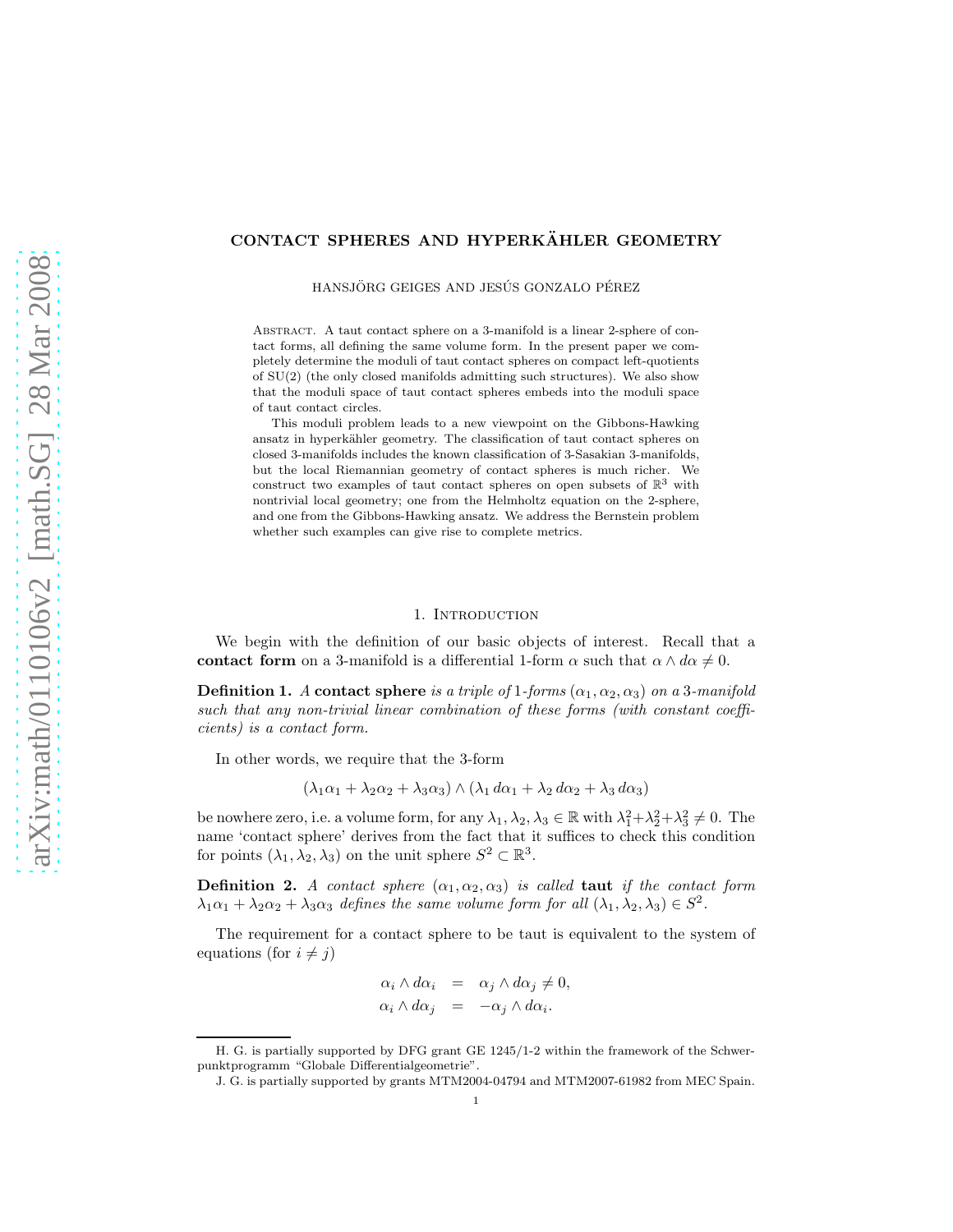# CONTACT SPHERES AND HYPERKÄHLER GEOMETRY

HANSJÖRG GEIGES AND JESÚS GONZALO PÉREZ

ABSTRACT. A taut contact sphere on a 3-manifold is a linear 2-sphere of contact forms, all defining the same volume form. In the present paper we completely determine the moduli of taut contact spheres on compact left-quotients of SU(2) (the only closed manifolds admitting such structures). We also show that the moduli space of taut contact spheres embeds into the moduli space of taut contact circles.

This moduli problem leads to a new viewpoint on the Gibbons-Hawking ansatz in hyperkähler geometry. The classification of taut contact spheres on closed 3-manifolds includes the known classification of 3-Sasakian 3-manifolds, but the local Riemannian geometry of contact spheres is much richer. We construct two examples of taut contact spheres on open subsets of  $\mathbb{R}^3$  with nontrivial local geometry; one from the Helmholtz equation on the 2-sphere, and one from the Gibbons-Hawking ansatz. We address the Bernstein problem whether such examples can give rise to complete metrics.

#### 1. INTRODUCTION

We begin with the definition of our basic objects of interest. Recall that a contact form on a 3-manifold is a differential 1-form  $\alpha$  such that  $\alpha \wedge d\alpha \neq 0$ .

**Definition 1.** A contact sphere is a triple of 1-forms  $(\alpha_1, \alpha_2, \alpha_3)$  on a 3-manifold such that any non-trivial linear combination of these forms (with constant coefficients) is a contact form.

In other words, we require that the 3-form

$$
(\lambda_1\alpha_1 + \lambda_2\alpha_2 + \lambda_3\alpha_3) \wedge (\lambda_1 d\alpha_1 + \lambda_2 d\alpha_2 + \lambda_3 d\alpha_3)
$$

be nowhere zero, i.e. a volume form, for any  $\lambda_1, \lambda_2, \lambda_3 \in \mathbb{R}$  with  $\lambda_1^2 + \lambda_2^2 + \lambda_3^2 \neq 0$ . The name 'contact sphere' derives from the fact that it suffices to check this condition for points  $(\lambda_1, \lambda_2, \lambda_3)$  on the unit sphere  $S^2 \subset \mathbb{R}^3$ .

**Definition 2.** A contact sphere  $(\alpha_1, \alpha_2, \alpha_3)$  is called **taut** if the contact form  $\lambda_1\alpha_1 + \lambda_2\alpha_2 + \lambda_3\alpha_3$  defines the same volume form for all  $(\lambda_1, \lambda_2, \lambda_3) \in S^2$ .

The requirement for a contact sphere to be taut is equivalent to the system of equations (for  $i \neq j$ )

$$
\alpha_i \wedge d\alpha_i = \alpha_j \wedge d\alpha_j \neq 0, \n\alpha_i \wedge d\alpha_j = -\alpha_j \wedge d\alpha_i.
$$

H. G. is partially supported by DFG grant GE 1245/1-2 within the framework of the Schwerpunktprogramm "Globale Differentialgeometrie".

J. G. is partially supported by grants MTM2004-04794 and MTM2007-61982 from MEC Spain.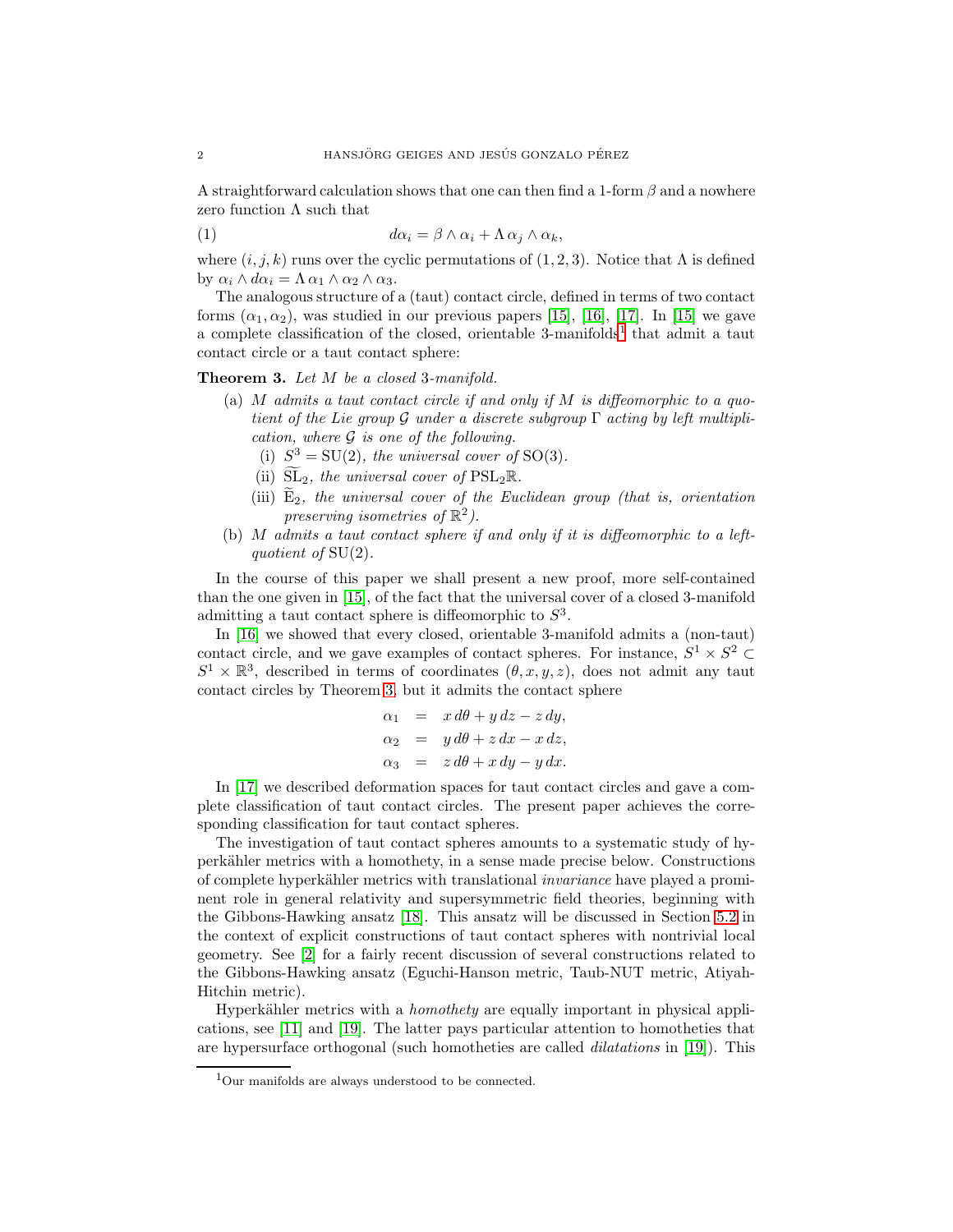A straightforward calculation shows that one can then find a 1-form  $\beta$  and a nowhere zero function  $\Lambda$  such that

<span id="page-1-2"></span>(1) 
$$
d\alpha_i = \beta \wedge \alpha_i + \Lambda \alpha_j \wedge \alpha_k,
$$

where  $(i, j, k)$  runs over the cyclic permutations of  $(1, 2, 3)$ . Notice that  $\Lambda$  is defined by  $\alpha_i \wedge d\alpha_i = \Lambda \alpha_1 \wedge \alpha_2 \wedge \alpha_3$ .

The analogous structure of a (taut) contact circle, defined in terms of two contact forms  $(\alpha_1, \alpha_2)$ , was studied in our previous papers [\[15\]](#page-28-0), [\[16\]](#page-28-1), [\[17\]](#page-28-2). In [15] we gave a complete classification of the closed, orientable  $3$ -manifolds<sup>[1](#page-1-0)</sup> that admit a taut contact circle or a taut contact sphere:

<span id="page-1-1"></span>Theorem 3. Let M be a closed 3-manifold.

- (a)  $M$  admits a taut contact circle if and only if  $M$  is diffeomorphic to a quotient of the Lie group  $\mathcal G$  under a discrete subgroup  $\Gamma$  acting by left multiplication, where  $G$  is one of the following.
	- (i)  $S^3 = SU(2)$ , the universal cover of SO(3).
	- (ii)  $\widetilde{\mathrm{SL}}_2$ , the universal cover of PSL<sub>2</sub>R.
	- (iii)  $\widetilde{E}_2$ , the universal cover of the Euclidean group (that is, orientation preserving isometries of  $\mathbb{R}^2$ .
- (b) M admits a taut contact sphere if and only if it is diffeomorphic to a leftquotient of SU(2).

In the course of this paper we shall present a new proof, more self-contained than the one given in [\[15\]](#page-28-0), of the fact that the universal cover of a closed 3-manifold admitting a taut contact sphere is diffeomorphic to  $S<sup>3</sup>$ .

In [\[16\]](#page-28-1) we showed that every closed, orientable 3-manifold admits a (non-taut) contact circle, and we gave examples of contact spheres. For instance,  $S^1 \times S^2 \subset \mathbb{R}^1 \times \mathbb{R}^2$  $S^1 \times \mathbb{R}^3$ , described in terms of coordinates  $(\theta, x, y, z)$ , does not admit any taut contact circles by Theorem [3,](#page-1-1) but it admits the contact sphere

$$
\alpha_1 = x d\theta + y dz - z dy,
$$
  
\n
$$
\alpha_2 = y d\theta + z dx - x dz,
$$
  
\n
$$
\alpha_3 = z d\theta + x dy - y dx.
$$

In [\[17\]](#page-28-2) we described deformation spaces for taut contact circles and gave a complete classification of taut contact circles. The present paper achieves the corresponding classification for taut contact spheres.

The investigation of taut contact spheres amounts to a systematic study of hyperk¨ahler metrics with a homothety, in a sense made precise below. Constructions of complete hyperkähler metrics with translational *invariance* have played a prominent role in general relativity and supersymmetric field theories, beginning with the Gibbons-Hawking ansatz [\[18\]](#page-28-3). This ansatz will be discussed in Section [5.2](#page-17-0) in the context of explicit constructions of taut contact spheres with nontrivial local geometry. See [\[2\]](#page-27-0) for a fairly recent discussion of several constructions related to the Gibbons-Hawking ansatz (Eguchi-Hanson metric, Taub-NUT metric, Atiyah-Hitchin metric).

Hyperkähler metrics with a *homothety* are equally important in physical applications, see [\[11\]](#page-28-4) and [\[19\]](#page-28-5). The latter pays particular attention to homotheties that are hypersurface orthogonal (such homotheties are called dilatations in [\[19\]](#page-28-5)). This

<span id="page-1-0"></span><sup>1</sup>Our manifolds are always understood to be connected.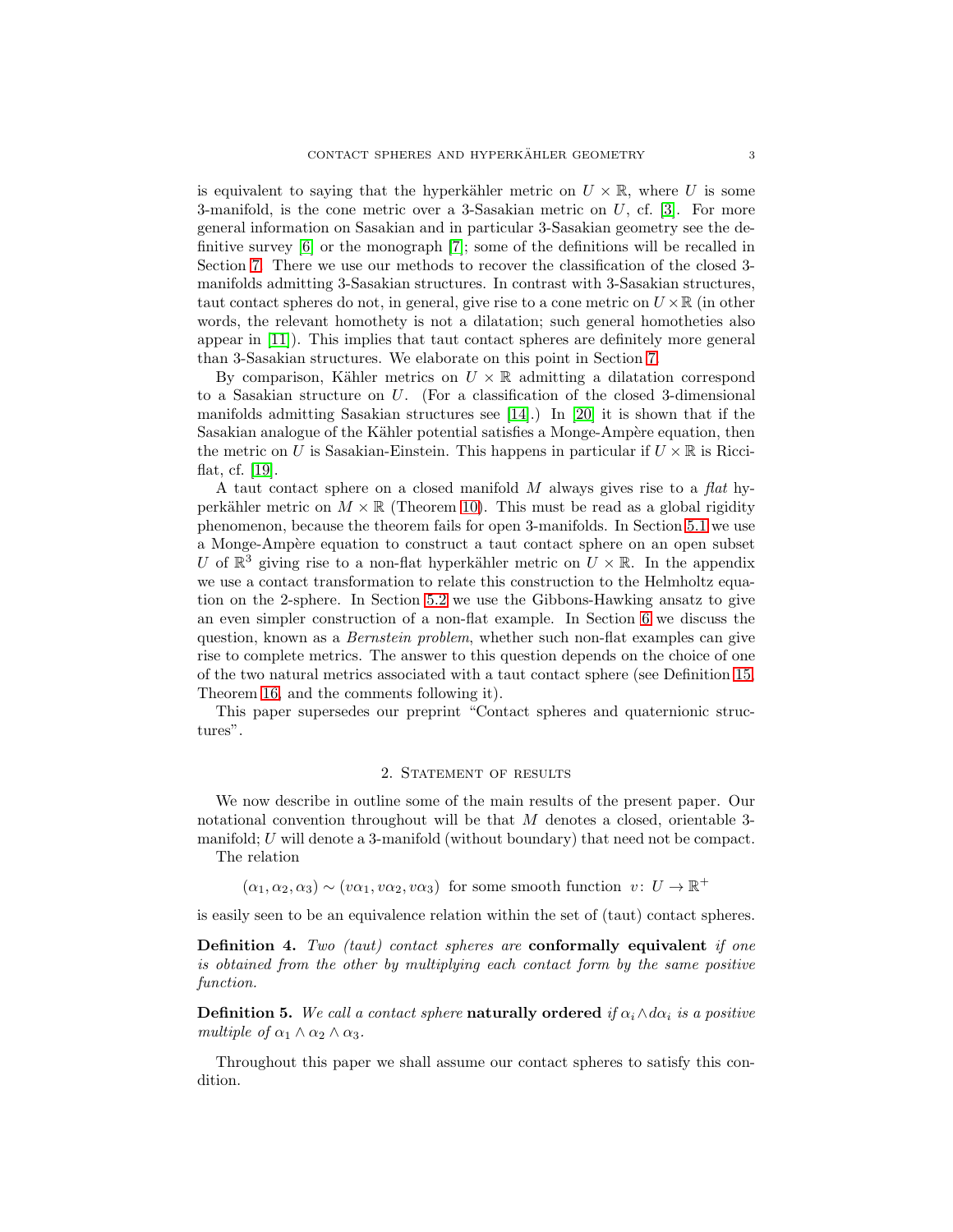is equivalent to saying that the hyperkähler metric on  $U \times \mathbb{R}$ , where U is some 3-manifold, is the cone metric over a 3-Sasakian metric on  $U$ , cf. [\[3\]](#page-27-1). For more general information on Sasakian and in particular 3-Sasakian geometry see the definitive survey [\[6\]](#page-27-2) or the monograph [\[7\]](#page-27-3); some of the definitions will be recalled in Section [7.](#page-21-0) There we use our methods to recover the classification of the closed 3 manifolds admitting 3-Sasakian structures. In contrast with 3-Sasakian structures, taut contact spheres do not, in general, give rise to a cone metric on  $U \times \mathbb{R}$  (in other words, the relevant homothety is not a dilatation; such general homotheties also appear in [\[11\]](#page-28-4)). This implies that taut contact spheres are definitely more general than 3-Sasakian structures. We elaborate on this point in Section [7.](#page-21-0)

By comparison, Kähler metrics on  $U \times \mathbb{R}$  admitting a dilatation correspond to a Sasakian structure on U. (For a classification of the closed 3-dimensional manifolds admitting Sasakian structures see [\[14\]](#page-28-6).) In [\[20\]](#page-28-7) it is shown that if the Sasakian analogue of the Kähler potential satisfies a Monge-Ampère equation, then the metric on U is Sasakian-Einstein. This happens in particular if  $U \times \mathbb{R}$  is Ricciflat, cf. [\[19\]](#page-28-5).

A taut contact sphere on a closed manifold  $M$  always gives rise to a flat hyperkähler metric on  $M \times \mathbb{R}$  (Theorem [10\)](#page-4-0). This must be read as a global rigidity phenomenon, because the theorem fails for open 3-manifolds. In Section [5.1](#page-16-0) we use a Monge-Amp`ere equation to construct a taut contact sphere on an open subset U of  $\mathbb{R}^3$  giving rise to a non-flat hyperkähler metric on  $U \times \mathbb{R}$ . In the appendix we use a contact transformation to relate this construction to the Helmholtz equation on the 2-sphere. In Section [5.2](#page-17-0) we use the Gibbons-Hawking ansatz to give an even simpler construction of a non-flat example. In Section [6](#page-18-0) we discuss the question, known as a Bernstein problem, whether such non-flat examples can give rise to complete metrics. The answer to this question depends on the choice of one of the two natural metrics associated with a taut contact sphere (see Definition [15,](#page-6-0) Theorem [16,](#page-6-1) and the comments following it).

This paper supersedes our preprint "Contact spheres and quaternionic structures".

#### 2. STATEMENT OF RESULTS

We now describe in outline some of the main results of the present paper. Our notational convention throughout will be that M denotes a closed, orientable 3 manifold; U will denote a 3-manifold (without boundary) that need not be compact.

The relation

 $(\alpha_1, \alpha_2, \alpha_3) \sim (v\alpha_1, v\alpha_2, v\alpha_3)$  for some smooth function  $v: U \to \mathbb{R}^+$ 

is easily seen to be an equivalence relation within the set of (taut) contact spheres.

Definition 4. Two (taut) contact spheres are conformally equivalent if one is obtained from the other by multiplying each contact form by the same positive function.

**Definition 5.** We call a contact sphere **naturally ordered** if  $\alpha_i \wedge d\alpha_i$  is a positive multiple of  $\alpha_1 \wedge \alpha_2 \wedge \alpha_3$ .

Throughout this paper we shall assume our contact spheres to satisfy this condition.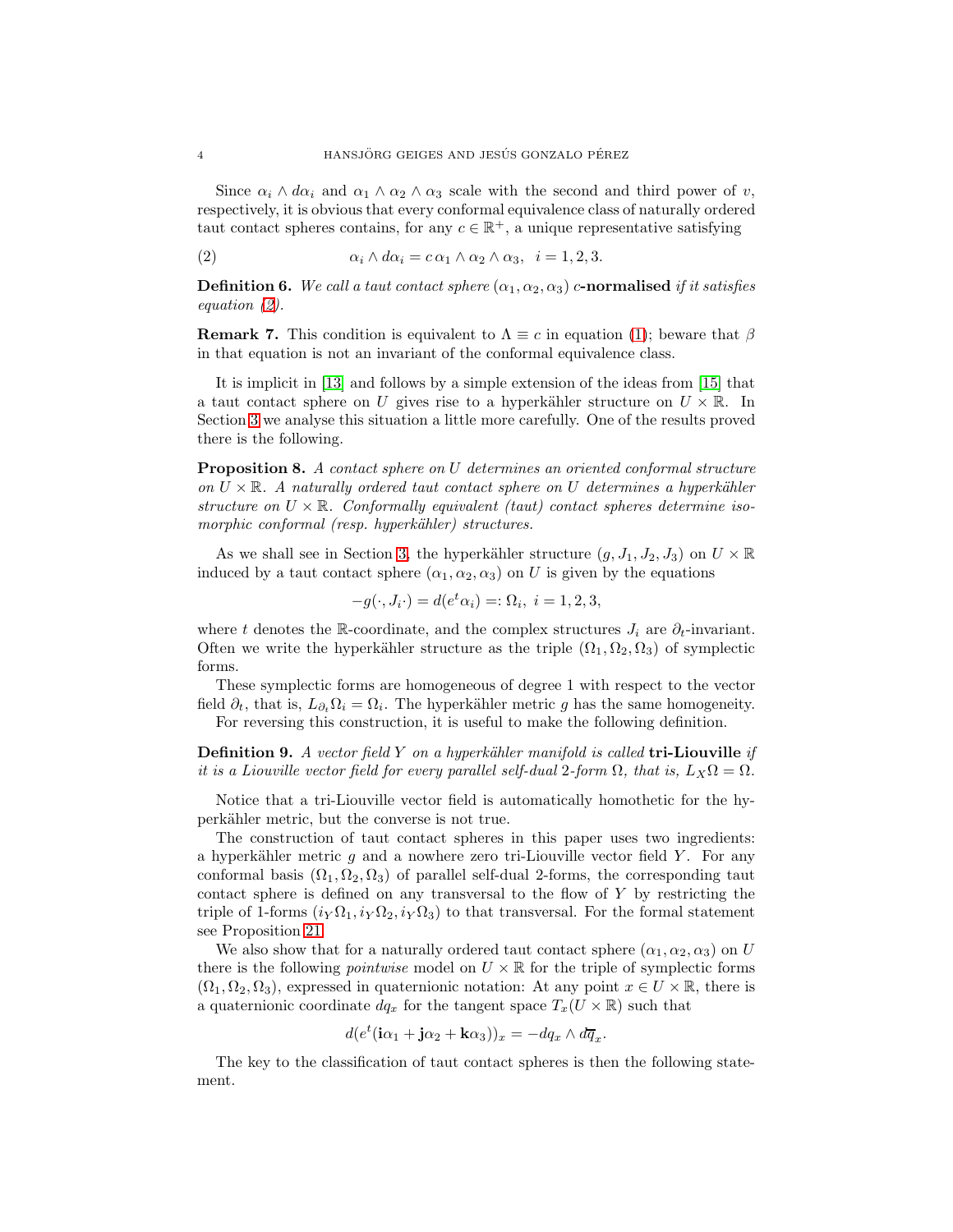Since  $\alpha_i \wedge d\alpha_i$  and  $\alpha_1 \wedge \alpha_2 \wedge \alpha_3$  scale with the second and third power of v, respectively, it is obvious that every conformal equivalence class of naturally ordered taut contact spheres contains, for any  $c \in \mathbb{R}^+$ , a unique representative satisfying

<span id="page-3-0"></span>(2) 
$$
\alpha_i \wedge d\alpha_i = c \alpha_1 \wedge \alpha_2 \wedge \alpha_3, \quad i = 1, 2, 3.
$$

**Definition 6.** We call a taut contact sphere  $(\alpha_1, \alpha_2, \alpha_3)$  c-normalised if it satisfies equation [\(2\)](#page-3-0).

**Remark 7.** This condition is equivalent to  $\Lambda \equiv c$  in equation [\(1\)](#page-1-2); beware that  $\beta$ in that equation is not an invariant of the conformal equivalence class.

It is implicit in [\[13\]](#page-28-8) and follows by a simple extension of the ideas from [\[15\]](#page-28-0) that a taut contact sphere on U gives rise to a hyperkähler structure on  $U \times \mathbb{R}$ . In Section [3](#page-7-0) we analyse this situation a little more carefully. One of the results proved there is the following.

<span id="page-3-1"></span>Proposition 8. A contact sphere on U determines an oriented conformal structure on  $U \times \mathbb{R}$ . A naturally ordered taut contact sphere on U determines a hyperkähler structure on  $U \times \mathbb{R}$ . Conformally equivalent (taut) contact spheres determine isomorphic conformal (resp. hyperkähler) structures.

As we shall see in Section [3,](#page-7-0) the hyperkähler structure  $(g, J_1, J_2, J_3)$  on  $U \times \mathbb{R}$ induced by a taut contact sphere  $(\alpha_1, \alpha_2, \alpha_3)$  on U is given by the equations

$$
-g(\cdot, J_i \cdot) = d(e^t \alpha_i) =: \Omega_i, \ i = 1, 2, 3,
$$

where t denotes the R-coordinate, and the complex structures  $J_i$  are  $\partial_t$ -invariant. Often we write the hyperkähler structure as the triple  $(\Omega_1, \Omega_2, \Omega_3)$  of symplectic forms.

These symplectic forms are homogeneous of degree 1 with respect to the vector field  $\partial_t$ , that is,  $L_{\partial_t} \Omega_i = \Omega_i$ . The hyperkähler metric g has the same homogeneity. For reversing this construction, it is useful to make the following definition.

**Definition 9.** A vector field Y on a hyperkähler manifold is called tri-Liouville if it is a Liouville vector field for every parallel self-dual 2-form  $\Omega$ , that is,  $L_X\Omega = \Omega$ .

Notice that a tri-Liouville vector field is automatically homothetic for the hyperkähler metric, but the converse is not true.

The construction of taut contact spheres in this paper uses two ingredients: a hyperkähler metric  $g$  and a nowhere zero tri-Liouville vector field Y. For any conformal basis  $(\Omega_1, \Omega_2, \Omega_3)$  of parallel self-dual 2-forms, the corresponding taut contact sphere is defined on any transversal to the flow of Y by restricting the triple of 1-forms  $(i_Y \Omega_1, i_Y \Omega_2, i_Y \Omega_3)$  to that transversal. For the formal statement see Proposition [21.](#page-10-0)

We also show that for a naturally ordered taut contact sphere  $(\alpha_1, \alpha_2, \alpha_3)$  on U there is the following *pointwise* model on  $U \times \mathbb{R}$  for the triple of symplectic forms  $(\Omega_1, \Omega_2, \Omega_3)$ , expressed in quaternionic notation: At any point  $x \in U \times \mathbb{R}$ , there is a quaternionic coordinate  $dq_x$  for the tangent space  $T_x(U \times \mathbb{R})$  such that

$$
d(e^t(i\alpha_1 + j\alpha_2 + k\alpha_3))_x = -dq_x \wedge d\overline{q}_x.
$$

The key to the classification of taut contact spheres is then the following statement.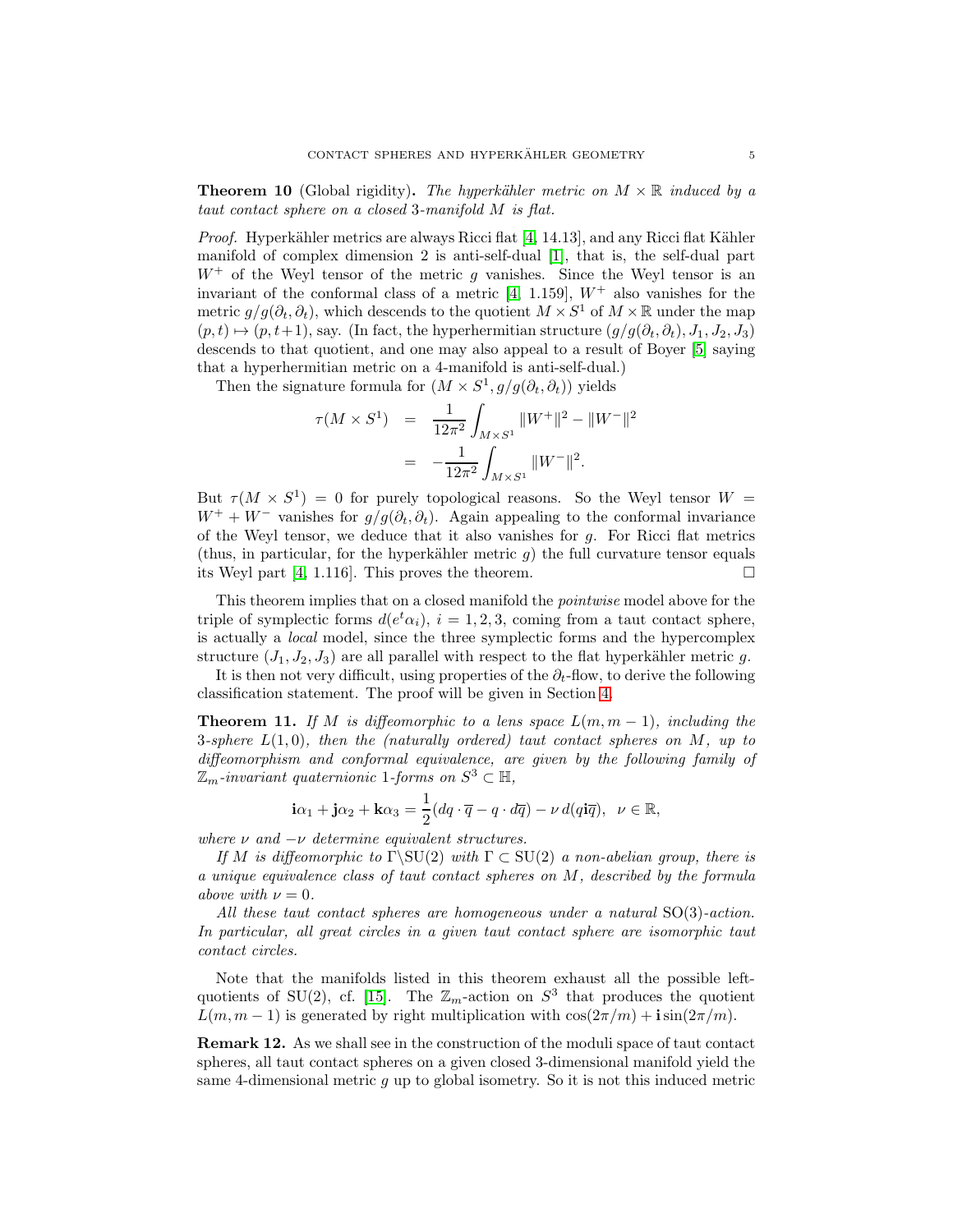<span id="page-4-0"></span>**Theorem 10** (Global rigidity). The hyperkähler metric on  $M \times \mathbb{R}$  induced by a taut contact sphere on a closed 3-manifold M is flat.

*Proof.* Hyperkähler metrics are always Ricci flat  $[4, 14.13]$ , and any Ricci flat Kähler manifold of complex dimension 2 is anti-self-dual [\[1\]](#page-27-5), that is, the self-dual part  $W^+$  of the Weyl tensor of the metric g vanishes. Since the Weyl tensor is an invariant of the conformal class of a metric [\[4,](#page-27-4) 1.159],  $W^+$  also vanishes for the metric  $g/g(\partial_t, \partial_t)$ , which descends to the quotient  $M \times S^1$  of  $M \times \mathbb{R}$  under the map  $(p, t) \mapsto (p, t+1)$ , say. (In fact, the hyperhermitian structure  $(g/g(\partial_t, \partial_t), J_1, J_2, J_3)$ ) descends to that quotient, and one may also appeal to a result of Boyer [\[5\]](#page-27-6) saying that a hyperhermitian metric on a 4-manifold is anti-self-dual.)

Then the signature formula for  $(M \times S^1, g/g(\partial_t, \partial_t))$  yields

$$
\tau(M \times S^1) = \frac{1}{12\pi^2} \int_{M \times S^1} ||W^+||^2 - ||W^-||^2
$$
  
= 
$$
-\frac{1}{12\pi^2} \int_{M \times S^1} ||W^-||^2.
$$

But  $\tau(M \times S^1) = 0$  for purely topological reasons. So the Weyl tensor  $W =$  $W^+ + W^-$  vanishes for  $g/g(\partial_t, \partial_t)$ . Again appealing to the conformal invariance of the Weyl tensor, we deduce that it also vanishes for g. For Ricci flat metrics (thus, in particular, for the hyperkähler metric  $g$ ) the full curvature tensor equals its Weyl part [\[4,](#page-27-4) 1.116]. This proves the theorem.  $\Box$ 

This theorem implies that on a closed manifold the *pointwise* model above for the triple of symplectic forms  $d(e^t \alpha_i)$ ,  $i = 1, 2, 3$ , coming from a taut contact sphere, is actually a local model, since the three symplectic forms and the hypercomplex structure  $(J_1, J_2, J_3)$  are all parallel with respect to the flat hyperkähler metric g.

It is then not very difficult, using properties of the  $\partial_t$ -flow, to derive the following classification statement. The proof will be given in Section [4.](#page-10-1)

<span id="page-4-1"></span>**Theorem 11.** If M is diffeomorphic to a lens space  $L(m, m - 1)$ , including the 3-sphere  $L(1,0)$ , then the (naturally ordered) taut contact spheres on M, up to diffeomorphism and conformal equivalence, are given by the following family of  $\mathbb{Z}_m$ -invariant quaternionic 1-forms on  $S^3 \subset \mathbb{H}$ ,

$$
i\alpha_1 + j\alpha_2 + k\alpha_3 = \frac{1}{2}(dq \cdot \overline{q} - q \cdot d\overline{q}) - \nu d(qi\overline{q}), \ \ \nu \in \mathbb{R},
$$

where  $\nu$  and  $-\nu$  determine equivalent structures.

If M is diffeomorphic to  $\Gamma\setminus \text{SU}(2)$  with  $\Gamma \subset \text{SU}(2)$  a non-abelian group, there is a unique equivalence class of taut contact spheres on M, described by the formula above with  $\nu = 0$ .

All these taut contact spheres are homogeneous under a natural SO(3)-action. In particular, all great circles in a given taut contact sphere are isomorphic taut contact circles.

Note that the manifolds listed in this theorem exhaust all the possible left-quotients of SU(2), cf. [\[15\]](#page-28-0). The  $\mathbb{Z}_m$ -action on  $S^3$  that produces the quotient  $L(m, m - 1)$  is generated by right multiplication with  $\cos(2\pi/m) + i\sin(2\pi/m)$ .

Remark 12. As we shall see in the construction of the moduli space of taut contact spheres, all taut contact spheres on a given closed 3-dimensional manifold yield the same 4-dimensional metric  $g$  up to global isometry. So it is not this induced metric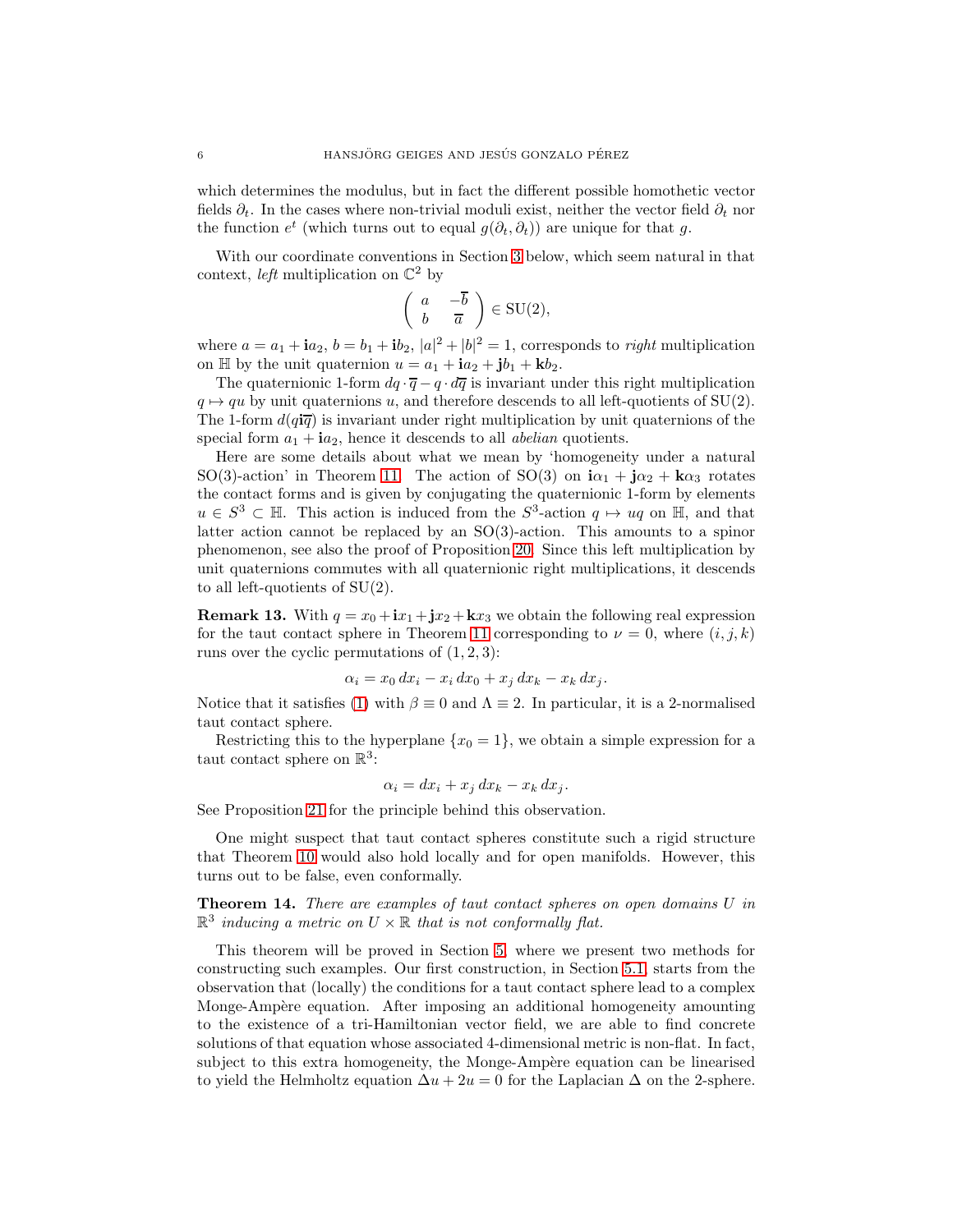which determines the modulus, but in fact the different possible homothetic vector fields  $\partial_t$ . In the cases where non-trivial moduli exist, neither the vector field  $\partial_t$  nor the function  $e^t$  (which turns out to equal  $g(\partial_t, \partial_t)$ ) are unique for that g.

With our coordinate conventions in Section [3](#page-7-0) below, which seem natural in that context, *left* multiplication on  $\mathbb{C}^2$  by

$$
\left(\begin{array}{cc}a&-\overline{b}\\b&\overline{a}\end{array}\right)\in \mathrm{SU}(2),
$$

where  $a = a_1 + i a_2$ ,  $b = b_1 + i b_2$ ,  $|a|^2 + |b|^2 = 1$ , corresponds to *right* multiplication on  $\mathbb{H}$  by the unit quaternion  $u = a_1 + i a_2 + j b_1 + k b_2$ .

The quaternionic 1-form  $dq \cdot \overline{q} - q \cdot d\overline{q}$  is invariant under this right multiplication  $q \mapsto qu$  by unit quaternions u, and therefore descends to all left-quotients of SU(2). The 1-form  $d(q\bar{q})$  is invariant under right multiplication by unit quaternions of the special form  $a_1 + i a_2$ , hence it descends to all *abelian* quotients.

Here are some details about what we mean by 'homogeneity under a natural SO(3)-action' in Theorem [11.](#page-4-1) The action of SO(3) on  $i\alpha_1 + j\alpha_2 + k\alpha_3$  rotates the contact forms and is given by conjugating the quaternionic 1-form by elements  $u \in S^3 \subset \mathbb{H}$ . This action is induced from the  $S^3$ -action  $q \mapsto uq$  on  $\mathbb{H}$ , and that latter action cannot be replaced by an SO(3)-action. This amounts to a spinor phenomenon, see also the proof of Proposition [20.](#page-9-0) Since this left multiplication by unit quaternions commutes with all quaternionic right multiplications, it descends to all left-quotients of SU(2).

**Remark 13.** With  $q = x_0 + \mathbf{i}x_1 + \mathbf{j}x_2 + \mathbf{k}x_3$  we obtain the following real expression for the taut contact sphere in Theorem [11](#page-4-1) corresponding to  $\nu = 0$ , where  $(i, j, k)$ runs over the cyclic permutations of  $(1, 2, 3)$ :

$$
\alpha_i = x_0 dx_i - x_i dx_0 + x_j dx_k - x_k dx_j.
$$

Notice that it satisfies [\(1\)](#page-1-2) with  $\beta \equiv 0$  and  $\Lambda \equiv 2$ . In particular, it is a 2-normalised taut contact sphere.

Restricting this to the hyperplane  $\{x_0 = 1\}$ , we obtain a simple expression for a taut contact sphere on  $\mathbb{R}^3$ :

$$
\alpha_i = dx_i + x_j dx_k - x_k dx_j.
$$

See Proposition [21](#page-10-0) for the principle behind this observation.

One might suspect that taut contact spheres constitute such a rigid structure that Theorem [10](#page-4-0) would also hold locally and for open manifolds. However, this turns out to be false, even conformally.

<span id="page-5-0"></span>Theorem 14. There are examples of taut contact spheres on open domains U in  $\mathbb{R}^3$  inducing a metric on  $U \times \mathbb{R}$  that is not conformally flat.

This theorem will be proved in Section [5,](#page-15-0) where we present two methods for constructing such examples. Our first construction, in Section [5.1,](#page-16-0) starts from the observation that (locally) the conditions for a taut contact sphere lead to a complex Monge-Ampère equation. After imposing an additional homogeneity amounting to the existence of a tri-Hamiltonian vector field, we are able to find concrete solutions of that equation whose associated 4-dimensional metric is non-flat. In fact, subject to this extra homogeneity, the Monge-Ampère equation can be linearised to yield the Helmholtz equation  $\Delta u + 2u = 0$  for the Laplacian  $\Delta$  on the 2-sphere.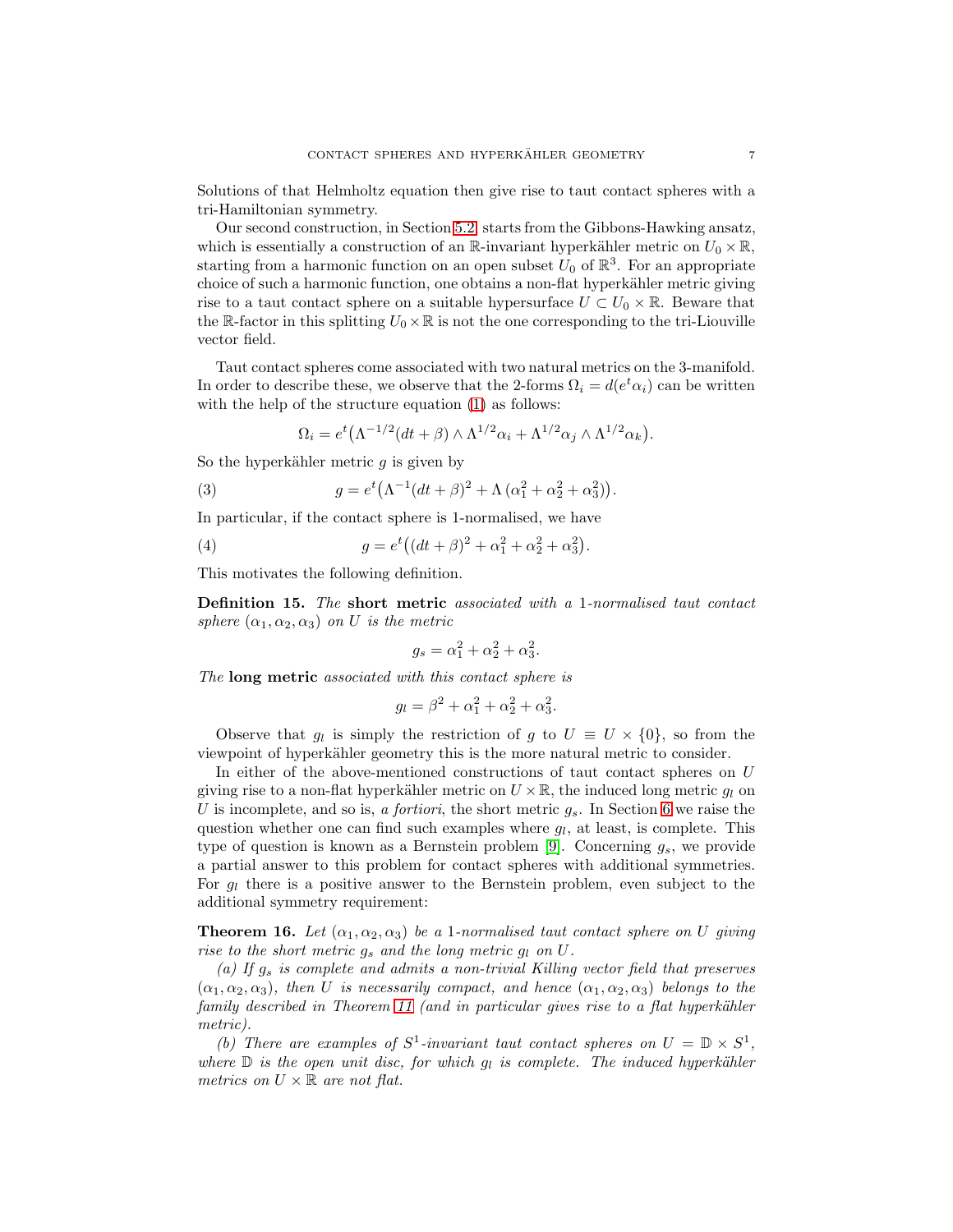Solutions of that Helmholtz equation then give rise to taut contact spheres with a tri-Hamiltonian symmetry.

Our second construction, in Section [5.2,](#page-17-0) starts from the Gibbons-Hawking ansatz, which is essentially a construction of an R-invariant hyperkähler metric on  $U_0 \times \mathbb{R}$ , starting from a harmonic function on an open subset  $U_0$  of  $\mathbb{R}^3$ . For an appropriate choice of such a harmonic function, one obtains a non-flat hyperkähler metric giving rise to a taut contact sphere on a suitable hypersurface  $U \subset U_0 \times \mathbb{R}$ . Beware that the R-factor in this splitting  $U_0\times\mathbb{R}$  is not the one corresponding to the tri-Liouville vector field.

Taut contact spheres come associated with two natural metrics on the 3-manifold. In order to describe these, we observe that the 2-forms  $\Omega_i = d(e^t \alpha_i)$  can be written with the help of the structure equation [\(1\)](#page-1-2) as follows:

<span id="page-6-2"></span>
$$
\Omega_i = e^t \left( \Lambda^{-1/2} (dt + \beta) \wedge \Lambda^{1/2} \alpha_i + \Lambda^{1/2} \alpha_j \wedge \Lambda^{1/2} \alpha_k \right).
$$

So the hyperkähler metric  $g$  is given by

(3) 
$$
g = e^t \left( \Lambda^{-1} (dt + \beta)^2 + \Lambda \left( \alpha_1^2 + \alpha_2^2 + \alpha_3^2 \right) \right).
$$

In particular, if the contact sphere is 1-normalised, we have

(4)  $g = e^t \left( (dt + \beta)^2 + \alpha_1^2 + \alpha_2^2 + \alpha_3^2 \right).$ 

This motivates the following definition.

<span id="page-6-0"></span>Definition 15. The short metric associated with a 1-normalised taut contact sphere  $(\alpha_1, \alpha_2, \alpha_3)$  on U is the metric

<span id="page-6-3"></span>
$$
g_s = \alpha_1^2 + \alpha_2^2 + \alpha_3^2.
$$

The long metric associated with this contact sphere is

$$
g_l = \beta^2 + \alpha_1^2 + \alpha_2^2 + \alpha_3^2.
$$

Observe that  $g_l$  is simply the restriction of g to  $U \equiv U \times \{0\}$ , so from the viewpoint of hyperkähler geometry this is the more natural metric to consider.

In either of the above-mentioned constructions of taut contact spheres on U giving rise to a non-flat hyperkähler metric on  $U \times \mathbb{R}$ , the induced long metric  $g_l$  on U is incomplete, and so is, a fortiori, the short metric  $g_s$ . In Section [6](#page-18-0) we raise the question whether one can find such examples where  $g_l$ , at least, is complete. This type of question is known as a Bernstein problem [\[9\]](#page-28-9). Concerning  $g_s$ , we provide a partial answer to this problem for contact spheres with additional symmetries. For  $g_l$  there is a positive answer to the Bernstein problem, even subject to the additional symmetry requirement:

<span id="page-6-1"></span>**Theorem 16.** Let  $(\alpha_1, \alpha_2, \alpha_3)$  be a 1-normalised taut contact sphere on U giving rise to the short metric  $g_s$  and the long metric  $g_l$  on U.

(a) If  $g_s$  is complete and admits a non-trivial Killing vector field that preserves  $(\alpha_1, \alpha_2, \alpha_3)$ , then U is necessarily compact, and hence  $(\alpha_1, \alpha_2, \alpha_3)$  belongs to the family described in Theorem [11](#page-4-1) (and in particular gives rise to a flat hyperkähler metric).

(b) There are examples of  $S^1$ -invariant taut contact spheres on  $U = \mathbb{D} \times S^1$ , where  $\mathbb D$  is the open unit disc, for which  $g_l$  is complete. The induced hyperkähler metrics on  $U \times \mathbb{R}$  are not flat.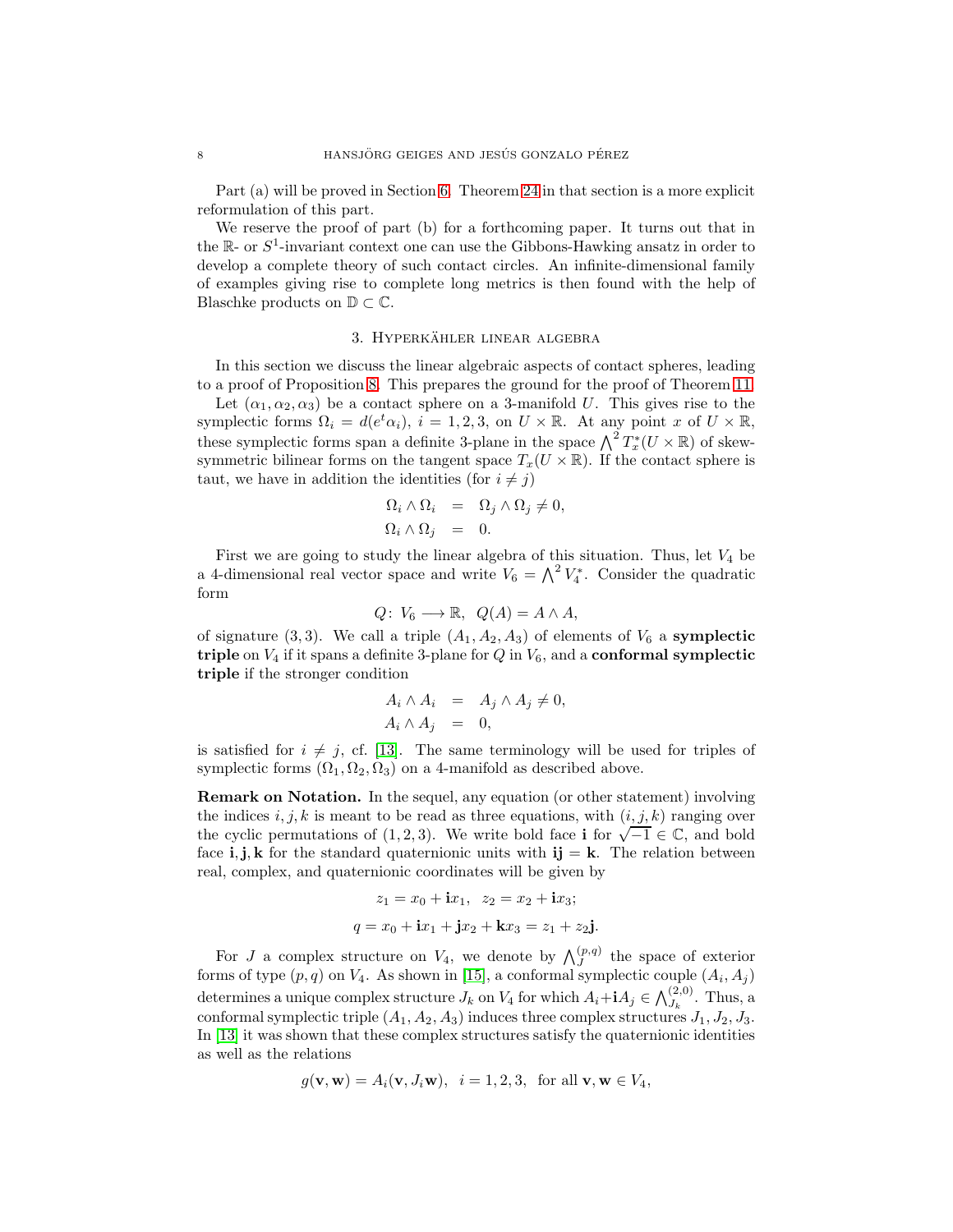Part (a) will be proved in Section [6.](#page-18-0) Theorem [24](#page-19-0) in that section is a more explicit reformulation of this part.

We reserve the proof of part (b) for a forthcoming paper. It turns out that in the  $\mathbb{R}$ - or  $S^1$ -invariant context one can use the Gibbons-Hawking ansatz in order to develop a complete theory of such contact circles. An infinite-dimensional family of examples giving rise to complete long metrics is then found with the help of Blaschke products on  $\mathbb{D} \subset \mathbb{C}$ .

# 3. HYPERKÄHLER LINEAR ALGEBRA

<span id="page-7-0"></span>In this section we discuss the linear algebraic aspects of contact spheres, leading to a proof of Proposition [8.](#page-3-1) This prepares the ground for the proof of Theorem [11.](#page-4-1)

Let  $(\alpha_1, \alpha_2, \alpha_3)$  be a contact sphere on a 3-manifold U. This gives rise to the symplectic forms  $\Omega_i = d(e^t \alpha_i), i = 1, 2, 3$ , on  $U \times \mathbb{R}$ . At any point x of  $U \times \mathbb{R}$ , these symplectic forms span a definite 3-plane in the space  $\bigwedge^2 T_x^*(U \times \mathbb{R})$  of skewsymmetric bilinear forms on the tangent space  $T_x(U \times \mathbb{R})$ . If the contact sphere is taut, we have in addition the identities (for  $i \neq j$ )

$$
\begin{array}{rcl}\n\Omega_i \wedge \Omega_i & = & \Omega_j \wedge \Omega_j \neq 0, \\
\Omega_i \wedge \Omega_j & = & 0.\n\end{array}
$$

First we are going to study the linear algebra of this situation. Thus, let  $V_4$  be a 4-dimensional real vector space and write  $V_6 = \Lambda^2 V_4^*$ . Consider the quadratic form

$$
Q\colon V_6\longrightarrow \mathbb{R},\ \ Q(A)=A\wedge A,
$$

of signature (3,3). We call a triple  $(A_1, A_2, A_3)$  of elements of  $V_6$  a **symplectic** triple on  $V_4$  if it spans a definite 3-plane for  $Q$  in  $V_6$ , and a **conformal symplectic** triple if the stronger condition

$$
A_i \wedge A_i = A_j \wedge A_j \neq 0,
$$
  

$$
A_i \wedge A_j = 0,
$$

is satisfied for  $i \neq j$ , cf. [\[13\]](#page-28-8). The same terminology will be used for triples of symplectic forms  $(\Omega_1, \Omega_2, \Omega_3)$  on a 4-manifold as described above.

Remark on Notation. In the sequel, any equation (or other statement) involving the indices i, j, k is meant to be read as three equations, with  $(i, j, k)$  ranging over the cyclic permutations of (1, 2, 3). We write bold face i for  $\sqrt{-1} \in \mathbb{C}$ , and bold face i, j, k for the standard quaternionic units with  $i$  j = k. The relation between real, complex, and quaternionic coordinates will be given by

$$
z_1 = x_0 + i x_1
$$
,  $z_2 = x_2 + i x_3$ ;  
\n $q = x_0 + i x_1 + j x_2 + k x_3 = z_1 + z_2 j$ .

For J a complex structure on  $V_4$ , we denote by  $\bigwedge_J^{(p,q)}$  the space of exterior forms of type  $(p, q)$  on  $V_4$ . As shown in [\[15\]](#page-28-0), a conformal symplectic couple  $(A_i, A_j)$ determines a unique complex structure  $J_k$  on  $V_4$  for which  $A_i + iA_j \in \bigwedge_{J_k}^{(2,0)}$ . Thus, a conformal symplectic triple  $(A_1, A_2, A_3)$  induces three complex structures  $J_1, J_2, J_3$ . In [\[13\]](#page-28-8) it was shown that these complex structures satisfy the quaternionic identities as well as the relations

$$
g(\mathbf{v}, \mathbf{w}) = A_i(\mathbf{v}, J_i \mathbf{w}), \quad i = 1, 2, 3, \text{ for all } \mathbf{v}, \mathbf{w} \in V_4,
$$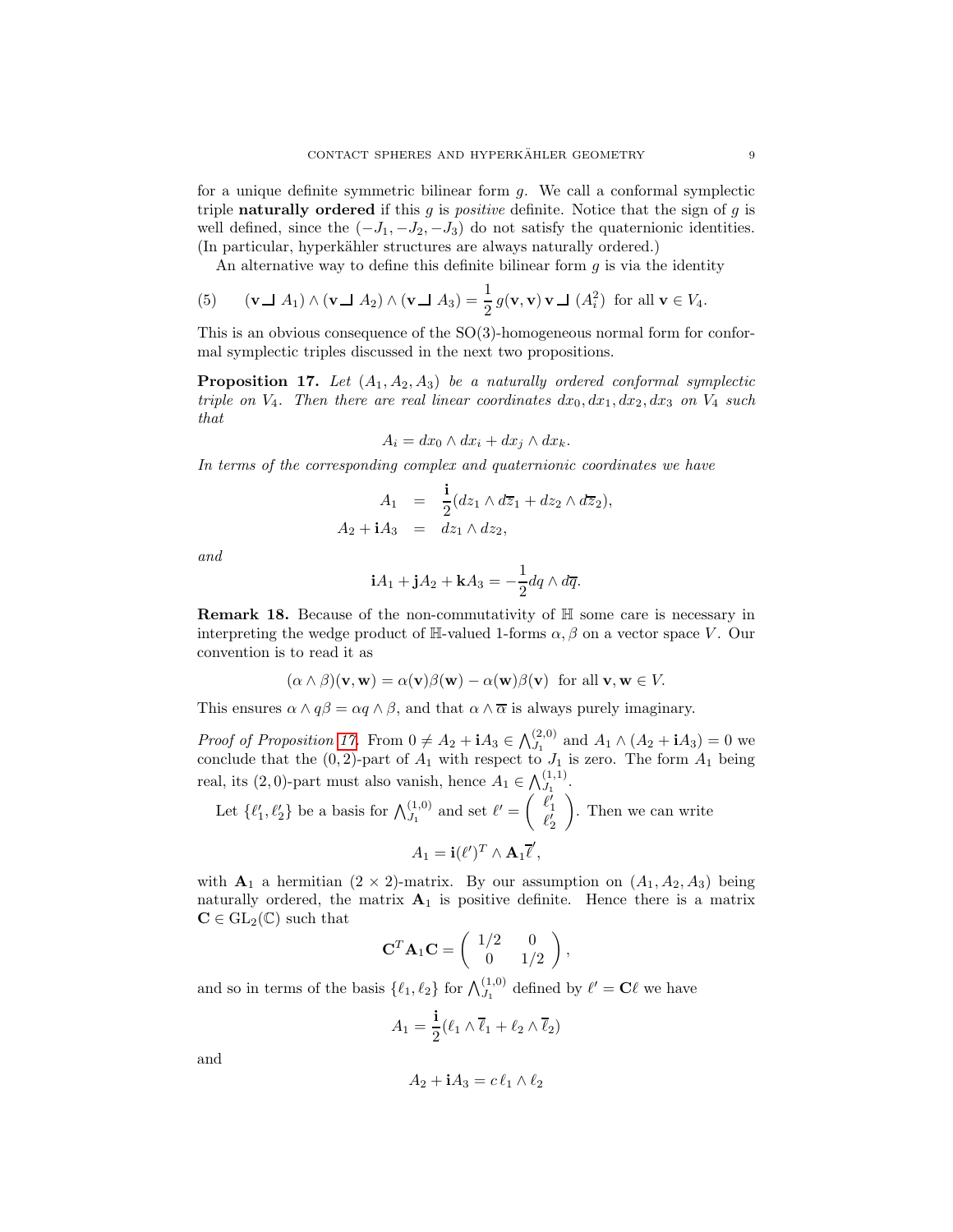for a unique definite symmetric bilinear form g. We call a conformal symplectic triple **naturally ordered** if this  $g$  is *positive* definite. Notice that the sign of  $g$  is well defined, since the  $(-J_1, -J_2, -J_3)$  do not satisfy the quaternionic identities. (In particular, hyperkähler structures are always naturally ordered.)

<span id="page-8-1"></span>An alternative way to define this definite bilinear form  $g$  is via the identity

(5) 
$$
(\mathbf{v} \perp A_1) \wedge (\mathbf{v} \perp A_2) \wedge (\mathbf{v} \perp A_3) = \frac{1}{2} g(\mathbf{v}, \mathbf{v}) \mathbf{v} \perp (A_i^2) \text{ for all } \mathbf{v} \in V_4.
$$

This is an obvious consequence of the SO(3)-homogeneous normal form for conformal symplectic triples discussed in the next two propositions.

<span id="page-8-0"></span>**Proposition 17.** Let  $(A_1, A_2, A_3)$  be a naturally ordered conformal symplectic triple on  $V_4$ . Then there are real linear coordinates  $dx_0, dx_1, dx_2, dx_3$  on  $V_4$  such that

$$
A_i = dx_0 \wedge dx_i + dx_j \wedge dx_k.
$$

In terms of the corresponding complex and quaternionic coordinates we have

$$
A_1 = \frac{\mathbf{i}}{2}(dz_1 \wedge d\overline{z}_1 + dz_2 \wedge d\overline{z}_2),
$$
  

$$
A_2 + \mathbf{i}A_3 = dz_1 \wedge dz_2,
$$

and

$$
\mathbf{i}A_1 + \mathbf{j}A_2 + \mathbf{k}A_3 = -\frac{1}{2}dq \wedge d\overline{q}.
$$

Remark 18. Because of the non-commutativity of H some care is necessary in interpreting the wedge product of H-valued 1-forms  $\alpha, \beta$  on a vector space V. Our convention is to read it as

$$
(\alpha \wedge \beta)(\mathbf{v}, \mathbf{w}) = \alpha(\mathbf{v})\beta(\mathbf{w}) - \alpha(\mathbf{w})\beta(\mathbf{v}) \text{ for all } \mathbf{v}, \mathbf{w} \in V.
$$

This ensures  $\alpha \wedge q\beta = \alpha q \wedge \beta$ , and that  $\alpha \wedge \overline{\alpha}$  is always purely imaginary.

*Proof of Proposition [17.](#page-8-0)* From  $0 \neq A_2 + \mathbf{i}A_3 \in \bigwedge_{J_1}^{(2,0)}$  and  $A_1 \wedge (A_2 + \mathbf{i}A_3) = 0$  we conclude that the  $(0, 2)$ -part of  $A_1$  with respect to  $J_1$  is zero. The form  $A_1$  being real, its (2,0)-part must also vanish, hence  $A_1 \in \bigwedge_{J_1}^{(1,1)}$ .

Let 
$$
\{\ell'_1, \ell'_2\}
$$
 be a basis for  $\bigwedge_{J_1}^{(1,0)}$  and set  $\ell' = \begin{pmatrix} \ell'_1 \\ \ell'_2 \end{pmatrix}$ . Then we can write  

$$
A_1 = \mathbf{i}(\ell')^T \wedge \mathbf{A}_1 \overline{\ell}',
$$

with  $A_1$  a hermitian  $(2 \times 2)$ -matrix. By our assumption on  $(A_1, A_2, A_3)$  being naturally ordered, the matrix  $A_1$  is positive definite. Hence there is a matrix  $C \in GL_2(\mathbb{C})$  such that

$$
\mathbf{C}^T \mathbf{A}_1 \mathbf{C} = \begin{pmatrix} 1/2 & 0 \\ 0 & 1/2 \end{pmatrix},
$$

and so in terms of the basis  $\{\ell_1, \ell_2\}$  for  $\bigwedge_{J_1}^{(1,0)}$  defined by  $\ell' = \mathbf{C}\ell$  we have

$$
A_1 = \frac{\mathbf{i}}{2} (\ell_1 \wedge \overline{\ell}_1 + \ell_2 \wedge \overline{\ell}_2)
$$

and

$$
A_2 + \mathbf{i}A_3 = c\,\ell_1 \wedge \ell_2
$$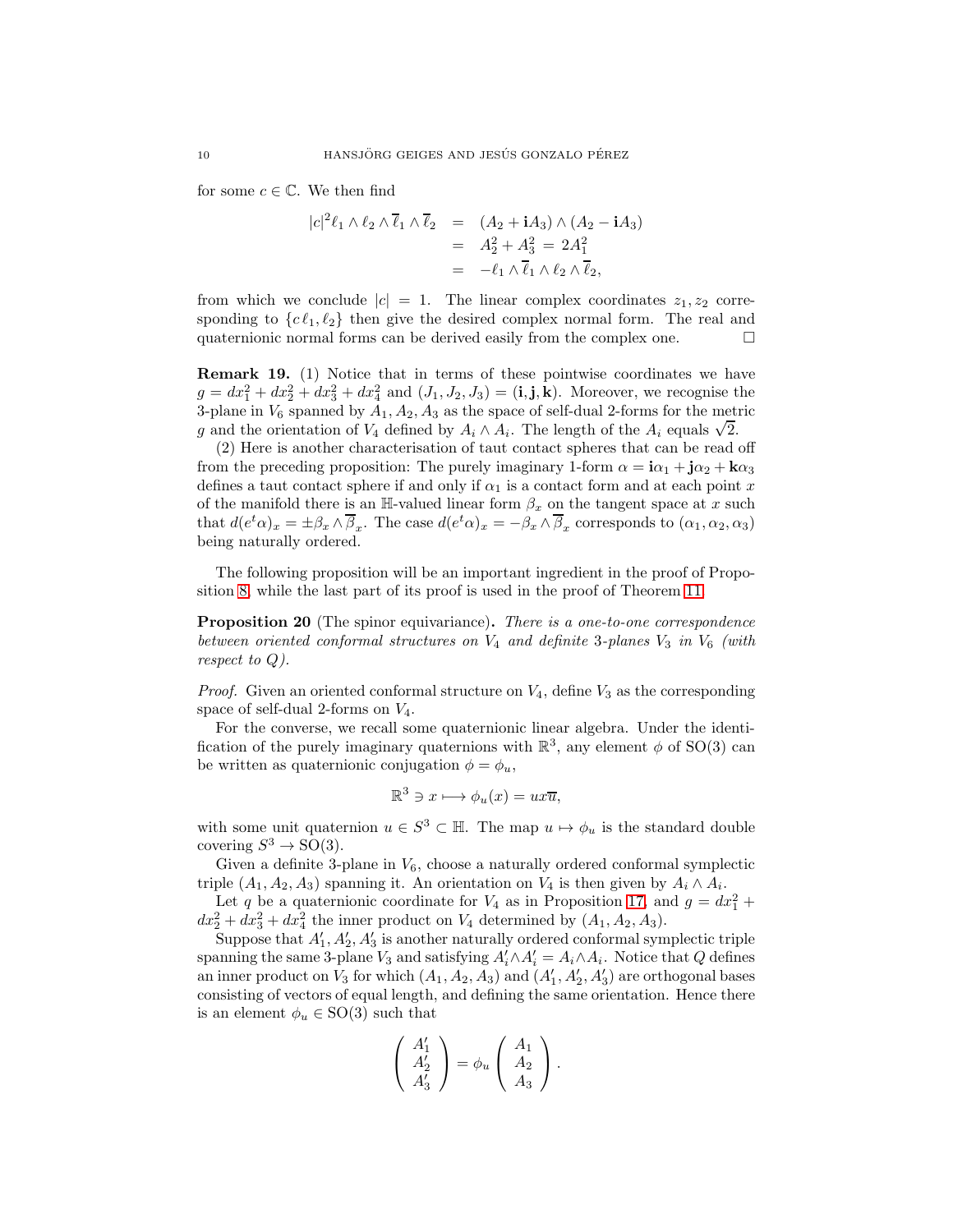for some  $c \in \mathbb{C}$ . We then find

$$
|c|^2 \ell_1 \wedge \ell_2 \wedge \overline{\ell}_1 \wedge \overline{\ell}_2 = (A_2 + iA_3) \wedge (A_2 - iA_3)
$$
  
=  $A_2^2 + A_3^2 = 2A_1^2$   
=  $-\ell_1 \wedge \overline{\ell}_1 \wedge \ell_2 \wedge \overline{\ell}_2$ ,

from which we conclude  $|c| = 1$ . The linear complex coordinates  $z_1, z_2$  corresponding to  $\{c \ell_1, \ell_2\}$  then give the desired complex normal form. The real and quaternionic normal forms can be derived easily from the complex one. quaternionic normal forms can be derived easily from the complex one.

Remark 19. (1) Notice that in terms of these pointwise coordinates we have  $g = dx_1^2 + dx_2^2 + dx_3^2 + dx_4^2$  and  $(J_1, J_2, J_3) = (\mathbf{i}, \mathbf{j}, \mathbf{k})$ . Moreover, we recognise the 3-plane in  $V_6$  spanned by  $A_1, A_2, A_3$  as the space of self-dual 2-forms for the metric g and the orientation of  $V_4$  defined by  $A_i \wedge A_i$ . The length of the  $A_i$  equals  $\sqrt{2}$ .

(2) Here is another characterisation of taut contact spheres that can be read off from the preceding proposition: The purely imaginary 1-form  $\alpha = i\alpha_1 + j\alpha_2 + k\alpha_3$ defines a taut contact sphere if and only if  $\alpha_1$  is a contact form and at each point x of the manifold there is an H-valued linear form  $\beta_x$  on the tangent space at x such that  $d(e^t\alpha)_x = \pm \beta_x \wedge \overline{\beta}_x$ . The case  $d(e^t\alpha)_x = -\beta_x \wedge \overline{\beta}_x$  corresponds to  $(\alpha_1, \alpha_2, \alpha_3)$ being naturally ordered.

The following proposition will be an important ingredient in the proof of Proposition [8,](#page-3-1) while the last part of its proof is used in the proof of Theorem [11.](#page-4-1)

<span id="page-9-0"></span>**Proposition 20** (The spinor equivariance). There is a one-to-one correspondence between oriented conformal structures on  $V_4$  and definite 3-planes  $V_3$  in  $V_6$  (with respect to Q).

*Proof.* Given an oriented conformal structure on  $V_4$ , define  $V_3$  as the corresponding space of self-dual 2-forms on  $V_4$ .

For the converse, we recall some quaternionic linear algebra. Under the identification of the purely imaginary quaternions with  $\mathbb{R}^3$ , any element  $\phi$  of SO(3) can be written as quaternionic conjugation  $\phi = \phi_u$ ,

$$
\mathbb{R}^3 \ni x \longmapsto \phi_u(x) = ux\overline{u},
$$

with some unit quaternion  $u \in S^3 \subset \mathbb{H}$ . The map  $u \mapsto \phi_u$  is the standard double covering  $S^3 \to SO(3)$ .

Given a definite 3-plane in  $V_6$ , choose a naturally ordered conformal symplectic triple  $(A_1, A_2, A_3)$  spanning it. An orientation on  $V_4$  is then given by  $A_i \wedge A_i$ .

Let q be a quaternionic coordinate for  $V_4$  as in Proposition [17,](#page-8-0) and  $g = dx_1^2 +$  $dx_2^2 + dx_3^2 + dx_4^2$  the inner product on  $V_4$  determined by  $(A_1, A_2, A_3)$ .

Suppose that  $A'_1, A'_2, A'_3$  is another naturally ordered conformal symplectic triple spanning the same 3-plane  $V_3$  and satisfying  $A'_i \wedge A'_i = A_i \wedge A_i$ . Notice that Q defines an inner product on  $V_3$  for which  $(A_1, A_2, A_3)$  and  $(A'_1, A'_2, A'_3)$  are orthogonal bases consisting of vectors of equal length, and defining the same orientation. Hence there is an element  $\phi_u \in SO(3)$  such that

$$
\left(\begin{array}{c} A_1'\\ A_2'\\ A_3' \end{array}\right) = \phi_u \left(\begin{array}{c} A_1\\ A_2\\ A_3 \end{array}\right).
$$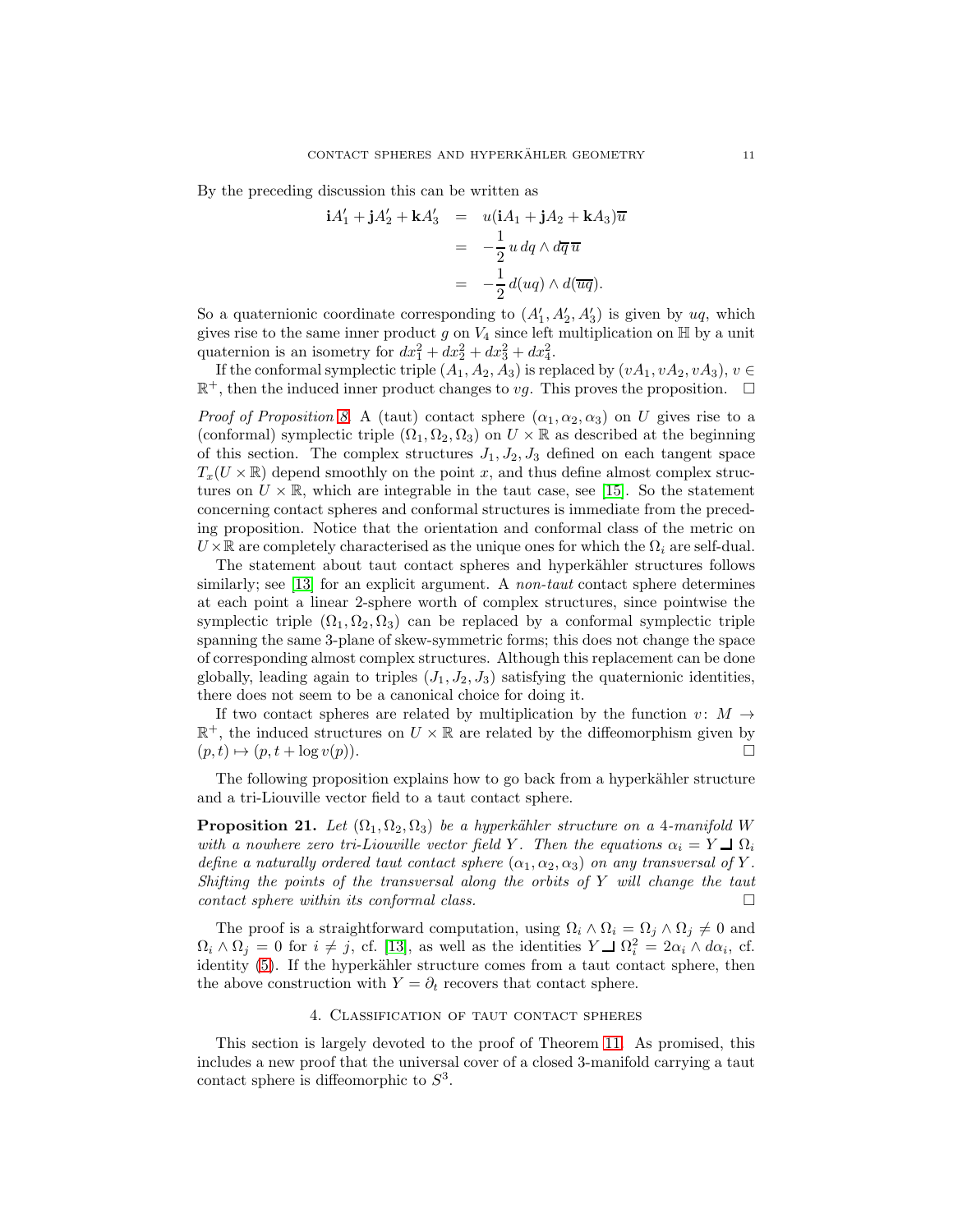By the preceding discussion this can be written as

$$
\mathbf{i}A'_1 + \mathbf{j}A'_2 + \mathbf{k}A'_3 = u(\mathbf{i}A_1 + \mathbf{j}A_2 + \mathbf{k}A_3)\overline{u}
$$
  
=  $-\frac{1}{2}u \, dq \wedge d\overline{q} \overline{u}$   
=  $-\frac{1}{2}d(uq) \wedge d(\overline{u}\overline{q}).$ 

So a quaternionic coordinate corresponding to  $(A'_1, A'_2, A'_3)$  is given by  $uq$ , which gives rise to the same inner product g on  $V_4$  since left multiplication on  $\mathbb H$  by a unit quaternion is an isometry for  $dx_1^2 + dx_2^2 + dx_3^2 + dx_4^2$ .

If the conformal symplectic triple  $(A_1, A_2, A_3)$  is replaced by  $(vA_1, vA_2, vA_3), v \in$  $\mathbb{R}^+$ , then the induced inner product changes to vg. This proves the proposition.  $\Box$ 

*Proof of Proposition [8.](#page-3-1)* A (taut) contact sphere  $(\alpha_1, \alpha_2, \alpha_3)$  on U gives rise to a (conformal) symplectic triple  $(\Omega_1, \Omega_2, \Omega_3)$  on  $U \times \mathbb{R}$  as described at the beginning of this section. The complex structures  $J_1, J_2, J_3$  defined on each tangent space  $T_x(U \times \mathbb{R})$  depend smoothly on the point x, and thus define almost complex structures on  $U \times \mathbb{R}$ , which are integrable in the taut case, see [\[15\]](#page-28-0). So the statement concerning contact spheres and conformal structures is immediate from the preceding proposition. Notice that the orientation and conformal class of the metric on  $U \times \mathbb{R}$  are completely characterised as the unique ones for which the  $\Omega_i$  are self-dual.

The statement about taut contact spheres and hyperkähler structures follows similarly; see [\[13\]](#page-28-8) for an explicit argument. A *non-taut* contact sphere determines at each point a linear 2-sphere worth of complex structures, since pointwise the symplectic triple  $(\Omega_1, \Omega_2, \Omega_3)$  can be replaced by a conformal symplectic triple spanning the same 3-plane of skew-symmetric forms; this does not change the space of corresponding almost complex structures. Although this replacement can be done globally, leading again to triples  $(J_1, J_2, J_3)$  satisfying the quaternionic identities, there does not seem to be a canonical choice for doing it.

If two contact spheres are related by multiplication by the function  $v: M \rightarrow$  $\mathbb{R}^+$  , the induced structures on  $U\times\mathbb{R}$  are related by the diffeomorphism given by  $(p, t) \mapsto (p, t + \log v(p)).$ 

The following proposition explains how to go back from a hyperkähler structure and a tri-Liouville vector field to a taut contact sphere.

<span id="page-10-0"></span>**Proposition 21.** Let  $(\Omega_1, \Omega_2, \Omega_3)$  be a hyperkähler structure on a 4-manifold W with a nowhere zero tri-Liouville vector field Y. Then the equations  $\alpha_i = Y \square \Omega_i$ define a naturally ordered taut contact sphere  $(\alpha_1, \alpha_2, \alpha_3)$  on any transversal of Y. Shifting the points of the transversal along the orbits of Y will change the taut contact sphere within its conformal class.

The proof is a straightforward computation, using  $\Omega_i \wedge \Omega_i = \Omega_j \wedge \Omega_j \neq 0$  and  $\Omega_i \wedge \Omega_j = 0$  for  $i \neq j$ , cf. [\[13\]](#page-28-8), as well as the identities  $Y \perp \Omega_i^2 = 2\alpha_i \wedge d\alpha_i$ , cf. identity [\(5\)](#page-8-1). If the hyperkähler structure comes from a taut contact sphere, then the above construction with  $Y = \partial_t$  recovers that contact sphere.

# 4. Classification of taut contact spheres

<span id="page-10-1"></span>This section is largely devoted to the proof of Theorem [11.](#page-4-1) As promised, this includes a new proof that the universal cover of a closed 3-manifold carrying a taut contact sphere is diffeomorphic to  $S^3$ .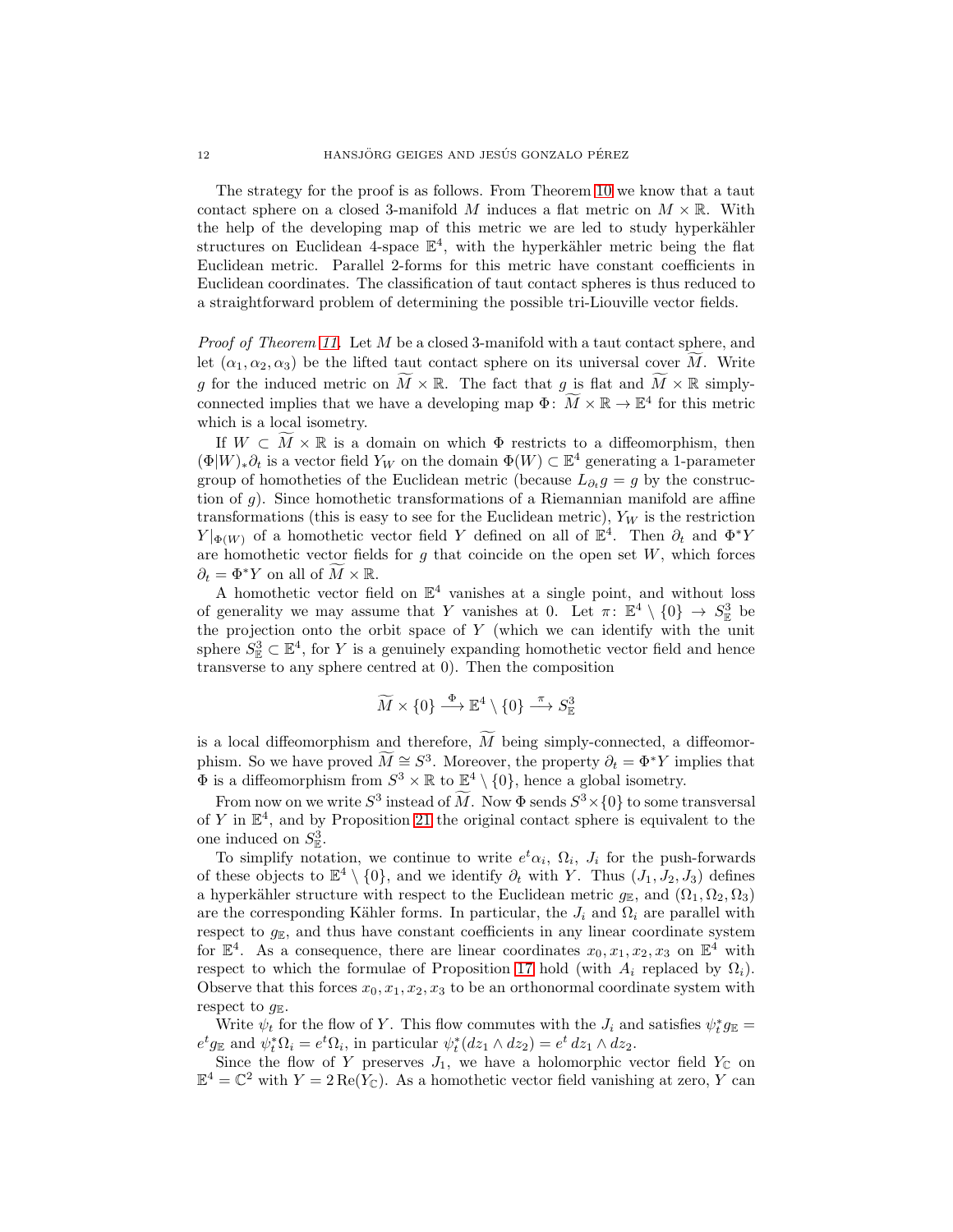The strategy for the proof is as follows. From Theorem [10](#page-4-0) we know that a taut contact sphere on a closed 3-manifold M induces a flat metric on  $M \times \mathbb{R}$ . With the help of the developing map of this metric we are led to study hyperkähler structures on Euclidean 4-space  $\mathbb{E}^4$ , with the hyperkähler metric being the flat Euclidean metric. Parallel 2-forms for this metric have constant coefficients in Euclidean coordinates. The classification of taut contact spheres is thus reduced to a straightforward problem of determining the possible tri-Liouville vector fields.

Proof of Theorem [11.](#page-4-1) Let M be a closed 3-manifold with a taut contact sphere, and let  $(\alpha_1, \alpha_2, \alpha_3)$  be the lifted taut contact sphere on its universal cover M. Write g for the induced metric on  $\widetilde{M} \times \mathbb{R}$ . The fact that g is flat and  $\widetilde{M} \times \mathbb{R}$  simplyconnected implies that we have a developing map  $\Phi: \widetilde{M} \times \mathbb{R} \to \mathbb{E}^4$  for this metric which is a local isometry.

If  $W \subset M \times \mathbb{R}$  is a domain on which  $\Phi$  restricts to a diffeomorphism, then  $(\Phi|W)_*\partial_t$  is a vector field  $Y_W$  on the domain  $\Phi(W) \subset \mathbb{E}^4$  generating a 1-parameter group of homotheties of the Euclidean metric (because  $L_{\partial_t} g = g$  by the construction of g). Since homothetic transformations of a Riemannian manifold are affine transformations (this is easy to see for the Euclidean metric),  $Y_W$  is the restriction  $Y|_{\Phi(W)}$  of a homothetic vector field Y defined on all of  $\mathbb{E}^4$ . Then  $\partial_t$  and  $\Phi^*Y$ are homothetic vector fields for  $g$  that coincide on the open set  $W$ , which forces  $\partial_t = \Phi^* Y$  on all of  $M \times \mathbb{R}$ .

A homothetic vector field on  $\mathbb{E}^4$  vanishes at a single point, and without loss of generality we may assume that Y vanishes at 0. Let  $\pi: \mathbb{E}^4 \setminus \{0\} \to S^3_{\mathbb{E}}$  be the projection onto the orbit space of  $Y$  (which we can identify with the unit sphere  $S^3_{\mathbb{E}} \subset \mathbb{E}^4$ , for Y is a genuinely expanding homothetic vector field and hence transverse to any sphere centred at 0). Then the composition

$$
\widetilde{M} \times \{0\} \stackrel{\Phi}{\longrightarrow} \mathbb{E}^4 \setminus \{0\} \stackrel{\pi}{\longrightarrow} S^3_{\mathbb{E}}
$$

is a local diffeomorphism and therefore,  $\tilde{M}$  being simply-connected, a diffeomorphism. So we have proved  $M \cong S^3$ . Moreover, the property  $\partial_t = \Phi^* Y$  implies that  $\Phi$  is a diffeomorphism from  $S^3 \times \mathbb{R}$  to  $\underline{\mathbb{R}}^4 \setminus \{0\}$ , hence a global isometry.

From now on we write  $S^3$  instead of M. Now  $\Phi$  sends  $S^3 \times \{0\}$  to some transversal of Y in  $\mathbb{E}^4$ , and by Proposition [21](#page-10-0) the original contact sphere is equivalent to the one induced on  $S^3_{\mathbb{E}}$ .

To simplify notation, we continue to write  $e^t \alpha_i$ ,  $\Omega_i$ ,  $J_i$  for the push-forwards of these objects to  $\mathbb{E}^4 \setminus \{0\}$ , and we identify  $\partial_t$  with Y. Thus  $(J_1, J_2, J_3)$  defines a hyperkähler structure with respect to the Euclidean metric  $g_{\mathbb{E}}$ , and  $(\Omega_1, \Omega_2, \Omega_3)$ are the corresponding Kähler forms. In particular, the  $J_i$  and  $\Omega_i$  are parallel with respect to  $g_{\mathbb{E}}$ , and thus have constant coefficients in any linear coordinate system for  $\mathbb{E}^4$ . As a consequence, there are linear coordinates  $x_0, x_1, x_2, x_3$  on  $\mathbb{E}^4$  with respect to which the formulae of Proposition [17](#page-8-0) hold (with  $A_i$  replaced by  $\Omega_i$ ). Observe that this forces  $x_0, x_1, x_2, x_3$  to be an orthonormal coordinate system with respect to  $g_{\mathbb{E}}$ .

Write  $\psi_t$  for the flow of Y. This flow commutes with the  $J_i$  and satisfies  $\psi_t^* g_{\mathbb{E}} =$  $e^t g_{\mathbb{E}}$  and  $\psi_t^* \Omega_i = e^t \Omega_i$ , in particular  $\psi_t^*(dz_1 \wedge dz_2) = e^t dz_1 \wedge dz_2$ .

Since the flow of Y preserves  $J_1$ , we have a holomorphic vector field  $Y_{\mathbb{C}}$  on  $\mathbb{E}^4 = \mathbb{C}^2$  with  $Y = 2 \operatorname{Re}(Y_{\mathbb{C}})$ . As a homothetic vector field vanishing at zero, Y can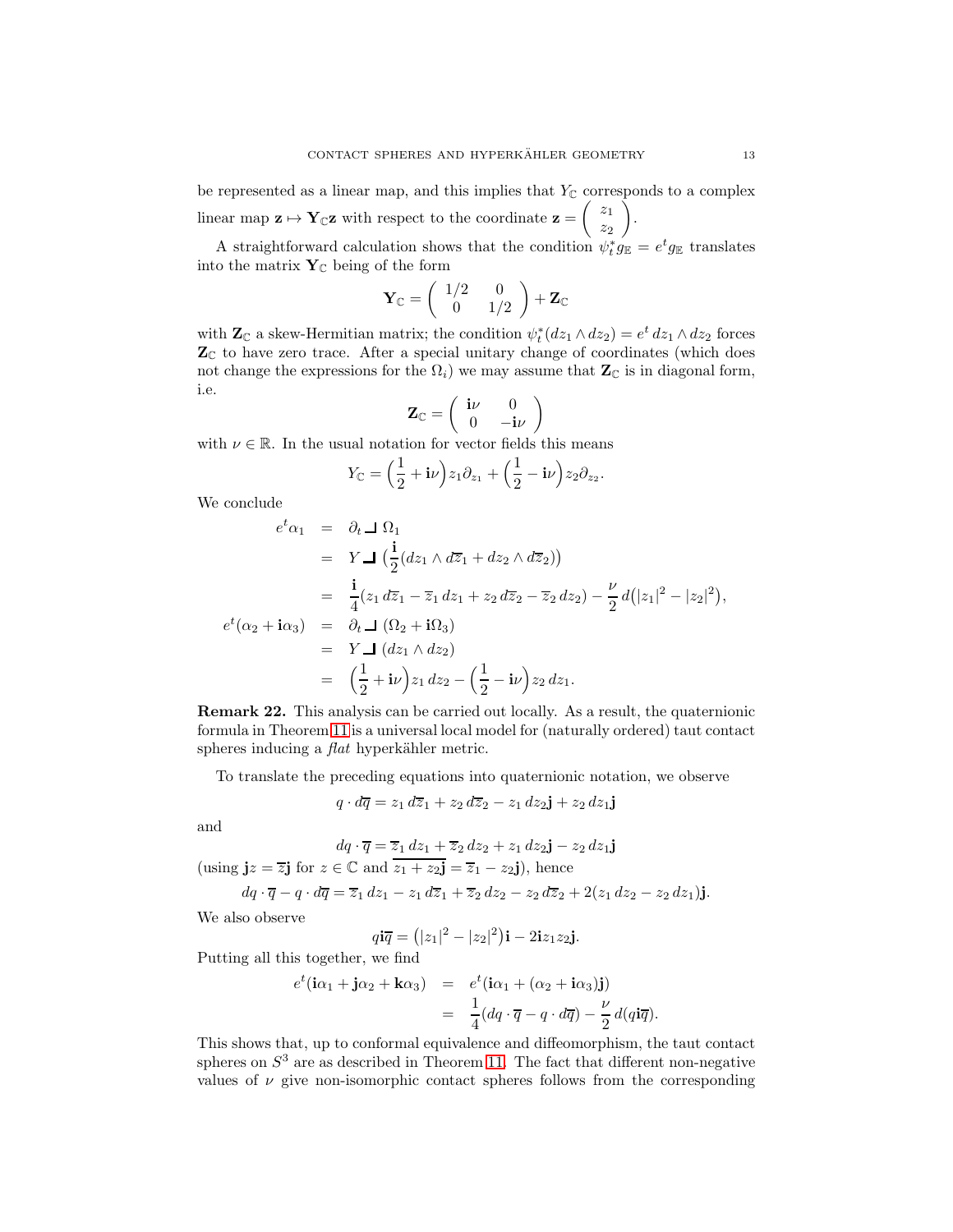be represented as a linear map, and this implies that  $Y_{\mathbb{C}}$  corresponds to a complex linear map  $z \mapsto Y_{\mathbb{C}}z$  with respect to the coordinate  $z =$  $\begin{pmatrix} z_1 \\ z_2 \end{pmatrix}$  $z_2$ Ź. .

A straightforward calculation shows that the condition  $\psi_t^* g_{\mathbb{E}} = e^t g_{\mathbb{E}}$  translates into the matrix  $\mathbf{Y}_{\mathbb{C}}$  being of the form

$$
\mathbf{Y}_{\mathbb{C}} = \left( \begin{array}{cc} 1/2 & 0 \\ 0 & 1/2 \end{array} \right) + \mathbf{Z}_{\mathbb{C}}
$$

with  $\mathbf{Z}_{\mathbb{C}}$  a skew-Hermitian matrix; the condition  $\psi_t^*(dz_1 \wedge dz_2) = e^t dz_1 \wedge dz_2$  forces  $\mathbf{Z}_{\mathbb{C}}$  to have zero trace. After a special unitary change of coordinates (which does not change the expressions for the  $\Omega_i$ ) we may assume that  $\mathbb{Z}_{\mathbb{C}}$  is in diagonal form, i.e.

$$
\mathbf{Z}_{\mathbb{C}} = \left( \begin{array}{cc} \mathbf{i}\nu & 0 \\ 0 & -\mathbf{i}\nu \end{array} \right)
$$

with  $\nu \in \mathbb{R}$ . In the usual notation for vector fields this means

$$
Y_{\mathbb{C}} = \left(\frac{1}{2} + i\nu\right)z_1\partial_{z_1} + \left(\frac{1}{2} - i\nu\right)z_2\partial_{z_2}.
$$

We conclude

$$
e^t \alpha_1 = \partial_t \mathbf{\underline{J}} \ \Omega_1
$$
  
\n
$$
= Y \mathbf{\underline{J}} \left( \frac{\mathbf{i}}{2} (dz_1 \wedge d\overline{z}_1 + dz_2 \wedge d\overline{z}_2) \right)
$$
  
\n
$$
= \frac{\mathbf{i}}{4} (z_1 d\overline{z}_1 - \overline{z}_1 dz_1 + z_2 d\overline{z}_2 - \overline{z}_2 dz_2) - \frac{\nu}{2} d (|z_1|^2 - |z_2|^2),
$$
  
\n
$$
e^t (\alpha_2 + i\alpha_3) = \partial_t \mathbf{\underline{J}} \ ( \Omega_2 + i\Omega_3)
$$
  
\n
$$
= Y \mathbf{\underline{J}} \ (dz_1 \wedge dz_2)
$$
  
\n
$$
= (\frac{1}{2} + i\nu) z_1 dz_2 - (\frac{1}{2} - i\nu) z_2 dz_1.
$$

Remark 22. This analysis can be carried out locally. As a result, the quaternionic formula in Theorem [11](#page-4-1) is a universal local model for (naturally ordered) taut contact spheres inducing a  $flat$  hyperkähler metric.

To translate the preceding equations into quaternionic notation, we observe

$$
q \cdot d\overline{q} = z_1 d\overline{z}_1 + z_2 d\overline{z}_2 - z_1 dz_2 \mathbf{j} + z_2 dz_1 \mathbf{j}
$$

and

$$
dq \cdot \overline{q} = \overline{z}_1 dz_1 + \overline{z}_2 dz_2 + z_1 dz_2 \mathbf{j} - z_2 dz_1 \mathbf{j}
$$
  
(using  $\mathbf{j}z = \overline{z}\mathbf{j}$  for  $z \in \mathbb{C}$  and  $\overline{z}_1 + z_2 \mathbf{j} = \overline{z}_1 - z_2 \mathbf{j}$ ), hence

$$
dq \cdot \overline{q} - q \cdot d\overline{q} = \overline{z}_1 dz_1 - z_1 d\overline{z}_1 + \overline{z}_2 dz_2 - z_2 d\overline{z}_2 + 2(z_1 dz_2 - z_2 dz_1)j.
$$

We also observe

$$
q\mathbf{i}\overline{q} = (|z_1|^2 - |z_2|^2)\mathbf{i} - 2\mathbf{i}z_1z_2\mathbf{j}.
$$

Putting all this together, we find

$$
e^t(i\alpha_1 + j\alpha_2 + k\alpha_3) = e^t(i\alpha_1 + (\alpha_2 + i\alpha_3)j)
$$
  
= 
$$
\frac{1}{4}(dq \cdot \overline{q} - q \cdot d\overline{q}) - \frac{\nu}{2}d(qi\overline{q}).
$$

This shows that, up to conformal equivalence and diffeomorphism, the taut contact spheres on  $S<sup>3</sup>$  are as described in Theorem [11.](#page-4-1) The fact that different non-negative values of  $\nu$  give non-isomorphic contact spheres follows from the corresponding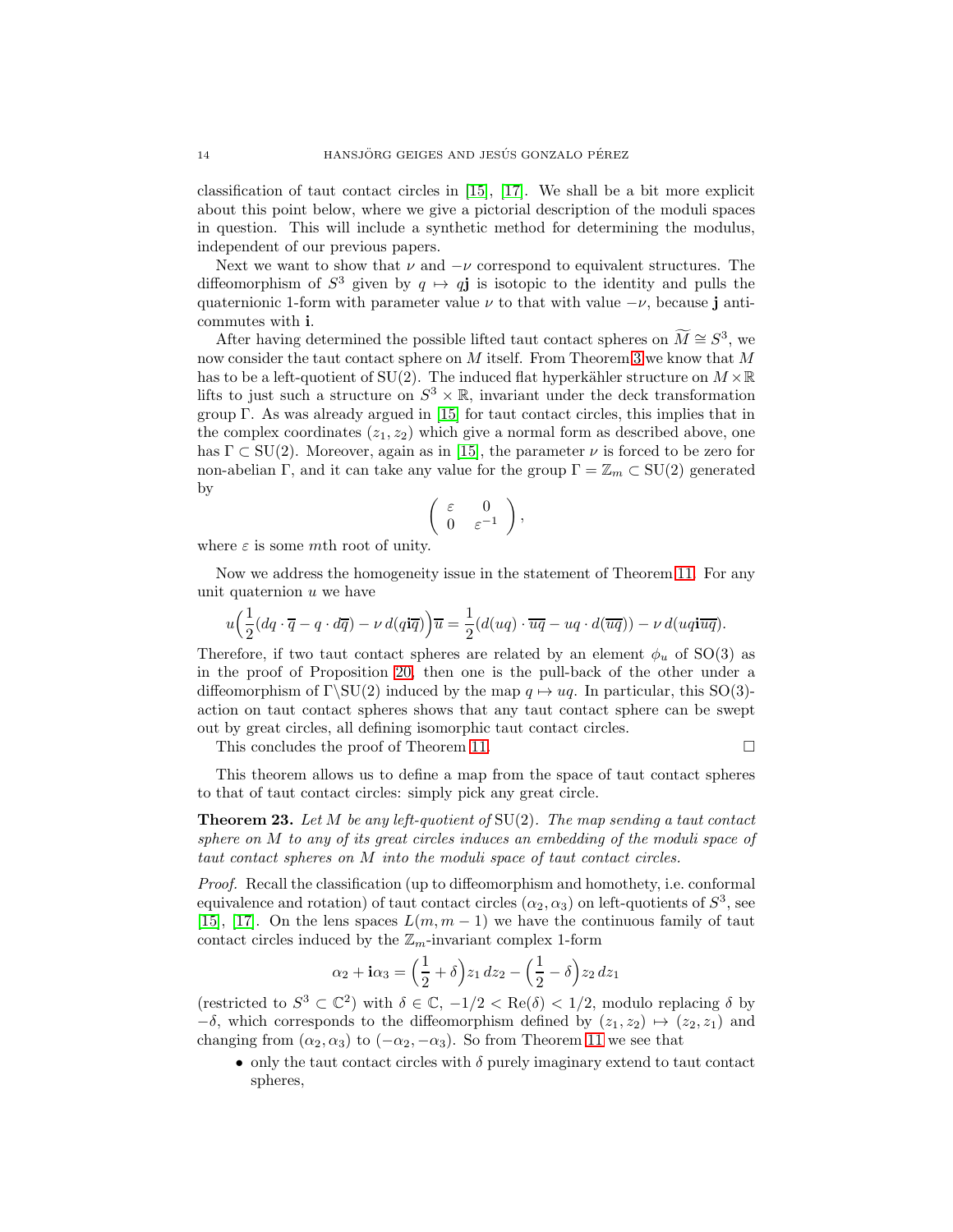classification of taut contact circles in [\[15\]](#page-28-0), [\[17\]](#page-28-2). We shall be a bit more explicit about this point below, where we give a pictorial description of the moduli spaces in question. This will include a synthetic method for determining the modulus, independent of our previous papers.

Next we want to show that  $\nu$  and  $-\nu$  correspond to equivalent structures. The diffeomorphism of  $S^3$  given by  $q \mapsto q\mathbf{j}$  is isotopic to the identity and pulls the quaternionic 1-form with parameter value  $\nu$  to that with value  $-\nu$ , because j anticommutes with i.

After having determined the possible lifted taut contact spheres on  $M \cong S^3$ , we now consider the taut contact sphere on  $M$  itself. From Theorem [3](#page-1-1) we know that  $M$ has to be a left-quotient of SU(2). The induced flat hyperkähler structure on  $M \times \mathbb{R}$ lifts to just such a structure on  $S^3 \times \mathbb{R}$ , invariant under the deck transformation group  $\Gamma$ . As was already argued in [\[15\]](#page-28-0) for taut contact circles, this implies that in the complex coordinates  $(z_1, z_2)$  which give a normal form as described above, one has  $\Gamma \subset SU(2)$ . Moreover, again as in [\[15\]](#page-28-0), the parameter  $\nu$  is forced to be zero for non-abelian Γ, and it can take any value for the group  $\Gamma = \mathbb{Z}_m \subset SU(2)$  generated by

$$
\left(\begin{array}{cc} \varepsilon & 0 \\ 0 & \varepsilon^{-1} \end{array}\right),
$$

where  $\varepsilon$  is some mth root of unity.

Now we address the homogeneity issue in the statement of Theorem [11.](#page-4-1) For any unit quaternion  $u$  we have

$$
u\Big(\frac{1}{2}(dq\cdot\overline{q}-q\cdot d\overline{q})-\nu\,d(q\mathbf{i}\overline{q})\Big)\overline{u}=\frac{1}{2}(d(uq)\cdot\overline{u}\overline{q}-uq\cdot d(\overline{u}\overline{q}))-\nu\,d(uq\mathbf{i}\overline{u}\overline{q}).
$$

Therefore, if two taut contact spheres are related by an element  $\phi_u$  of SO(3) as in the proof of Proposition [20,](#page-9-0) then one is the pull-back of the other under a diffeomorphism of  $\Gamma\setminus SU(2)$  induced by the map  $q \mapsto uq$ . In particular, this SO(3)action on taut contact spheres shows that any taut contact sphere can be swept out by great circles, all defining isomorphic taut contact circles.

This concludes the proof of Theorem [11.](#page-4-1)

This theorem allows us to define a map from the space of taut contact spheres to that of taut contact circles: simply pick any great circle.

<span id="page-13-0"></span>**Theorem 23.** Let M be any left-quotient of  $SU(2)$ . The map sending a taut contact sphere on M to any of its great circles induces an embedding of the moduli space of taut contact spheres on M into the moduli space of taut contact circles.

Proof. Recall the classification (up to diffeomorphism and homothety, i.e. conformal equivalence and rotation) of taut contact circles  $(\alpha_2, \alpha_3)$  on left-quotients of  $S^3$ , see [\[15\]](#page-28-0), [\[17\]](#page-28-2). On the lens spaces  $L(m, m - 1)$  we have the continuous family of taut contact circles induced by the  $\mathbb{Z}_m$ -invariant complex 1-form

$$
\alpha_2 + \mathbf{i}\alpha_3 = \left(\frac{1}{2} + \delta\right)z_1\,dz_2 - \left(\frac{1}{2} - \delta\right)z_2\,dz_1
$$

(restricted to  $S^3 \subset \mathbb{C}^2$ ) with  $\delta \in \mathbb{C}, -1/2 < \text{Re}(\delta) < 1/2$ , modulo replacing  $\delta$  by  $-\delta$ , which corresponds to the diffeomorphism defined by  $(z_1, z_2) \mapsto (z_2, z_1)$  and changing from  $(\alpha_2, \alpha_3)$  to  $(-\alpha_2, -\alpha_3)$ . So from Theorem [11](#page-4-1) we see that

• only the taut contact circles with  $\delta$  purely imaginary extend to taut contact spheres,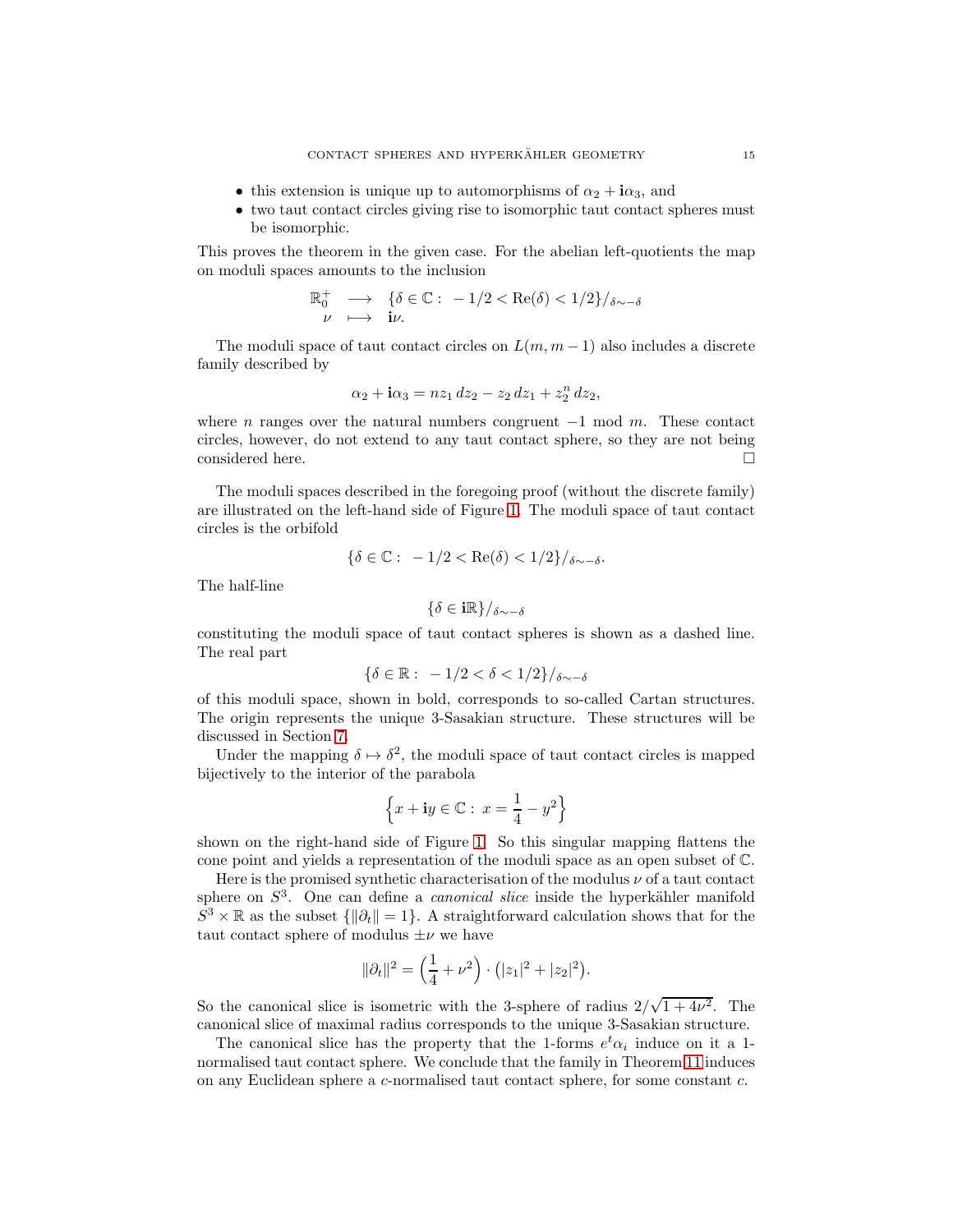- this extension is unique up to automorphisms of  $\alpha_2 + i\alpha_3$ , and
- two taut contact circles giving rise to isomorphic taut contact spheres must be isomorphic.

This proves the theorem in the given case. For the abelian left-quotients the map on moduli spaces amounts to the inclusion

$$
\mathbb{R}_0^+ \longrightarrow \{ \delta \in \mathbb{C} : -1/2 < \text{Re}(\delta) < 1/2 \} / \delta \sim -\delta
$$
\n
$$
\nu \longrightarrow \mathbf{i} \nu.
$$

The moduli space of taut contact circles on  $L(m, m-1)$  also includes a discrete family described by

$$
\alpha_2 + \mathbf{i}\alpha_3 = nz_1 \, dz_2 - z_2 \, dz_1 + z_2^n \, dz_2,
$$

where n ranges over the natural numbers congruent  $-1$  mod m. These contact circles, however, do not extend to any taut contact sphere, so they are not being considered here.

The moduli spaces described in the foregoing proof (without the discrete family) are illustrated on the left-hand side of Figure [1.](#page-15-1) The moduli space of taut contact circles is the orbifold

$$
\{\delta\in\mathbb{C}:\ -1/2<\mathrm{Re}(\delta)<1/2\}/_{\delta\sim-\delta}.
$$

The half-line

$$
\{\delta\in{\mathbf i}{\Bbb R}\}/_{\delta\sim-\delta}
$$

constituting the moduli space of taut contact spheres is shown as a dashed line. The real part

$$
\{\delta\in\mathbb{R}:\ -1/2<\delta<1/2\}/_{\delta\sim-\delta}
$$

of this moduli space, shown in bold, corresponds to so-called Cartan structures. The origin represents the unique 3-Sasakian structure. These structures will be discussed in Section [7.](#page-21-0)

Under the mapping  $\delta \mapsto \delta^2$ , the moduli space of taut contact circles is mapped bijectively to the interior of the parabola

$$
\left\{x + \mathbf{i}y \in \mathbb{C} : \ x = \frac{1}{4} - y^2\right\}
$$

shown on the right-hand side of Figure [1.](#page-15-1) So this singular mapping flattens the cone point and yields a representation of the moduli space as an open subset of C.

Here is the promised synthetic characterisation of the modulus  $\nu$  of a taut contact sphere on  $S<sup>3</sup>$ . One can define a *canonical slice* inside the hyperkähler manifold  $S^3 \times \mathbb{R}$  as the subset  $\{\|\partial_t\| = 1\}$ . A straightforward calculation shows that for the taut contact sphere of modulus  $\pm \nu$  we have

$$
\|\partial_t\|^2 = \left(\frac{1}{4} + \nu^2\right) \cdot \left(|z_1|^2 + |z_2|^2\right).
$$

So the canonical slice is isometric with the 3-sphere of radius  $2/\sqrt{1+4\nu^2}$ . The canonical slice of maximal radius corresponds to the unique 3-Sasakian structure.

The canonical slice has the property that the 1-forms  $e^t \alpha_i$  induce on it a 1normalised taut contact sphere. We conclude that the family in Theorem [11](#page-4-1) induces on any Euclidean sphere a c-normalised taut contact sphere, for some constant c.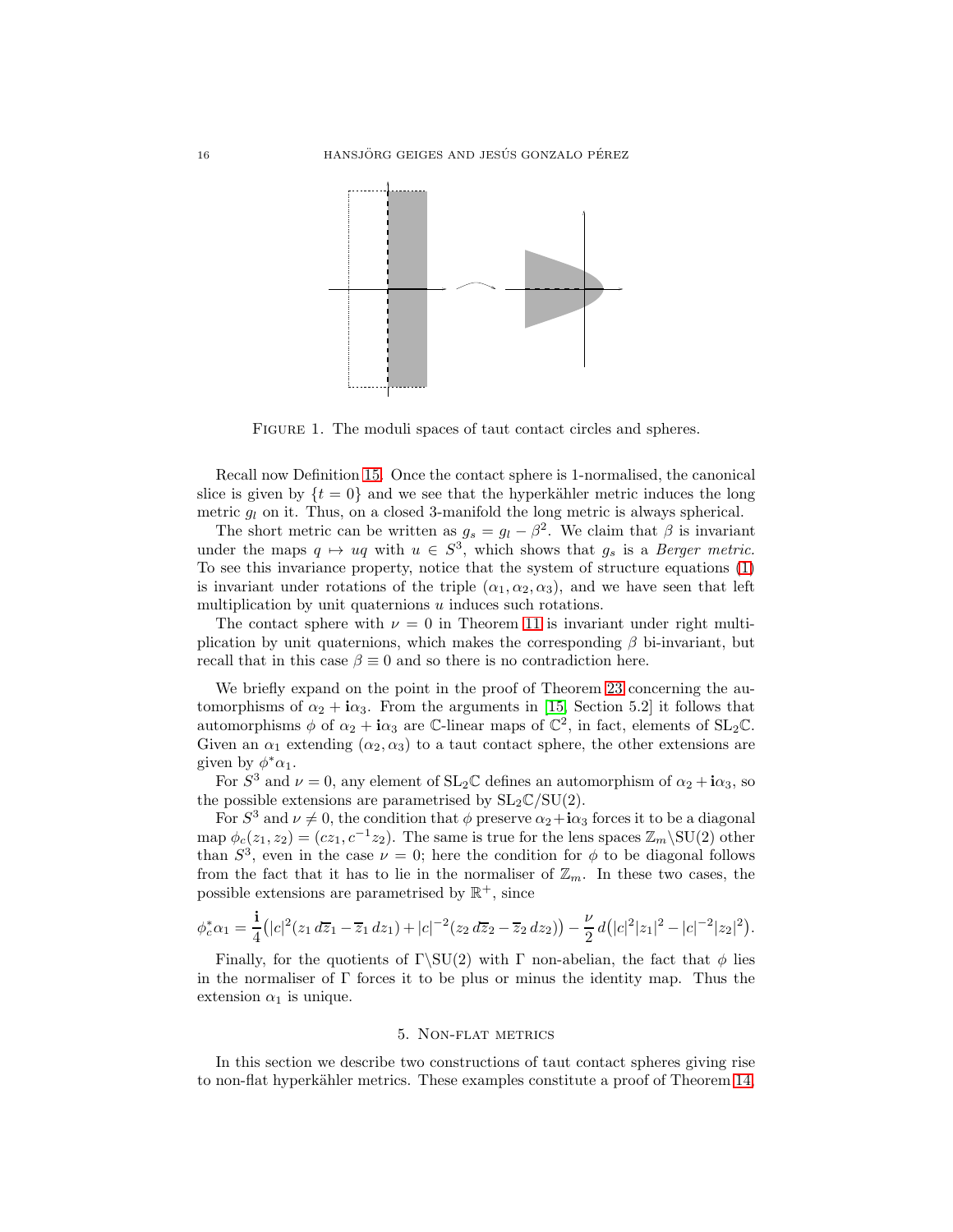

<span id="page-15-1"></span>FIGURE 1. The moduli spaces of taut contact circles and spheres.

Recall now Definition [15.](#page-6-0) Once the contact sphere is 1-normalised, the canonical slice is given by  $\{t = 0\}$  and we see that the hyperkähler metric induces the long metric  $q_l$  on it. Thus, on a closed 3-manifold the long metric is always spherical.

The short metric can be written as  $g_s = g_l - \beta^2$ . We claim that  $\beta$  is invariant under the maps  $q \mapsto uq$  with  $u \in S^3$ , which shows that  $g_s$  is a Berger metric. To see this invariance property, notice that the system of structure equations [\(1\)](#page-1-2) is invariant under rotations of the triple  $(\alpha_1, \alpha_2, \alpha_3)$ , and we have seen that left multiplication by unit quaternions  $u$  induces such rotations.

The contact sphere with  $\nu = 0$  in Theorem [11](#page-4-1) is invariant under right multiplication by unit quaternions, which makes the corresponding  $\beta$  bi-invariant, but recall that in this case  $\beta \equiv 0$  and so there is no contradiction here.

We briefly expand on the point in the proof of Theorem [23](#page-13-0) concerning the automorphisms of  $\alpha_2 + i\alpha_3$ . From the arguments in [\[15,](#page-28-0) Section 5.2] it follows that automorphisms  $\phi$  of  $\alpha_2 + i\alpha_3$  are C-linear maps of  $\mathbb{C}^2$ , in fact, elements of SL<sub>2</sub>C. Given an  $\alpha_1$  extending  $(\alpha_2, \alpha_3)$  to a taut contact sphere, the other extensions are given by  $\phi^*\alpha_1$ .

For  $S^3$  and  $\nu = 0$ , any element of  $SL_2\mathbb{C}$  defines an automorphism of  $\alpha_2 + i\alpha_3$ , so the possible extensions are parametrised by  $SL_2\mathbb{C}/SU(2)$ .

For  $S^3$  and  $\nu \neq 0$ , the condition that  $\phi$  preserve  $\alpha_2 + i\alpha_3$  forces it to be a diagonal map  $\phi_c(z_1, z_2) = (cz_1, c^{-1}z_2)$ . The same is true for the lens spaces  $\mathbb{Z}_m \backslash \text{SU}(2)$  other than  $S^3$ , even in the case  $\nu = 0$ ; here the condition for  $\phi$  to be diagonal follows from the fact that it has to lie in the normaliser of  $\mathbb{Z}_m$ . In these two cases, the possible extensions are parametrised by  $\mathbb{R}^+$ , since

$$
\phi_c^*\alpha_1 = \frac{1}{4} \big( |c|^2 (z_1 d\overline{z}_1 - \overline{z}_1 dz_1) + |c|^{-2} (z_2 d\overline{z}_2 - \overline{z}_2 dz_2) \big) - \frac{\nu}{2} d \big( |c|^2 |z_1|^2 - |c|^{-2} |z_2|^2 \big).
$$

Finally, for the quotients of  $\Gamma\setminus SU(2)$  with  $\Gamma$  non-abelian, the fact that  $\phi$  lies in the normaliser of Γ forces it to be plus or minus the identity map. Thus the extension  $\alpha_1$  is unique.

### 5. Non-flat metrics

<span id="page-15-0"></span>In this section we describe two constructions of taut contact spheres giving rise to non-flat hyperkähler metrics. These examples constitute a proof of Theorem [14,](#page-5-0)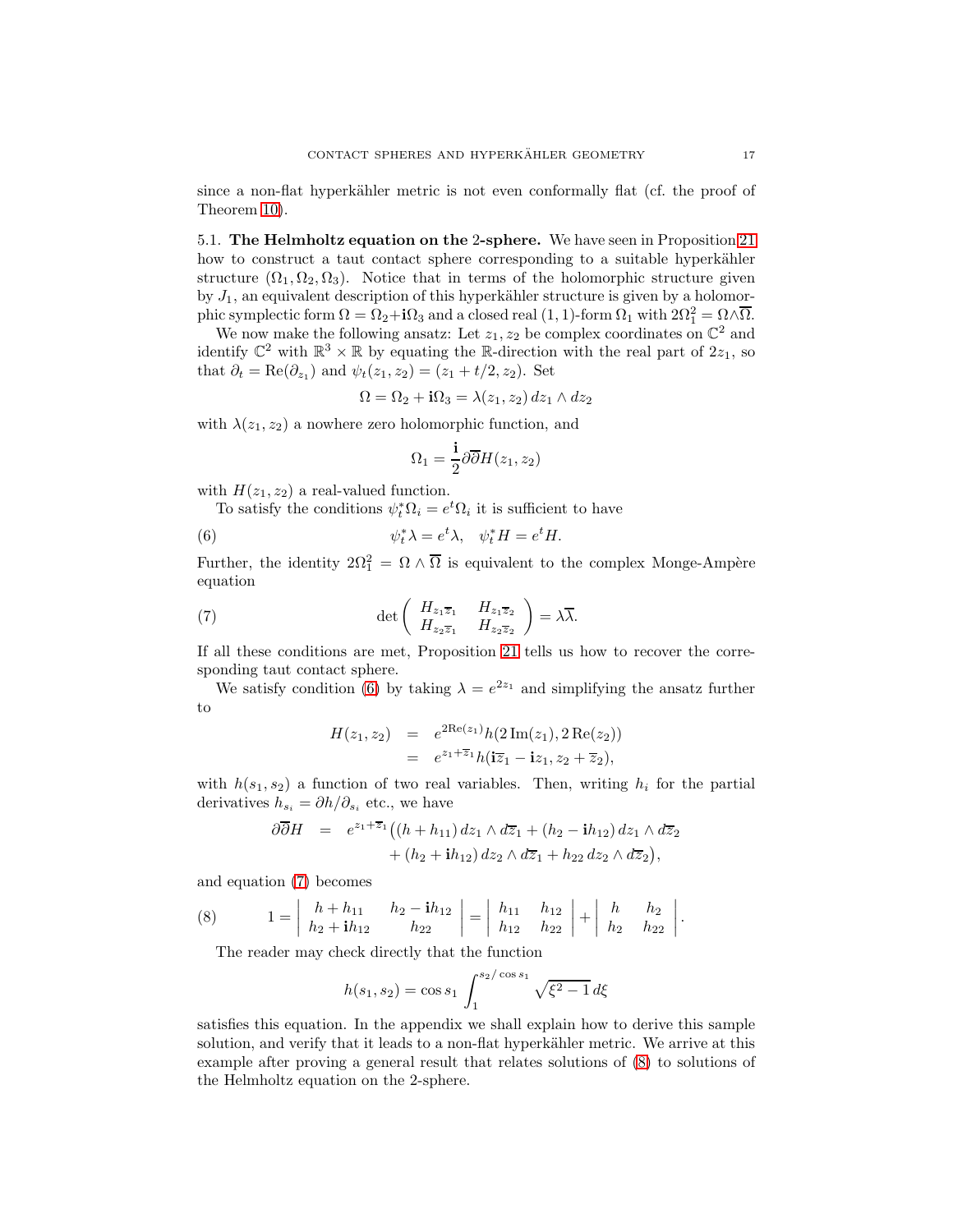since a non-flat hyperkähler metric is not even conformally flat (cf. the proof of Theorem [10\)](#page-4-0).

<span id="page-16-0"></span>5.1. The Helmholtz equation on the 2-sphere. We have seen in Proposition [21](#page-10-0) how to construct a taut contact sphere corresponding to a suitable hyperkähler structure  $(\Omega_1, \Omega_2, \Omega_3)$ . Notice that in terms of the holomorphic structure given by  $J_1$ , an equivalent description of this hyperkähler structure is given by a holomorphic symplectic form  $\Omega = \Omega_2 + i\Omega_3$  and a closed real  $(1, 1)$ -form  $\Omega_1$  with  $2\Omega_1^2 = \Omega \wedge \overline{\Omega}$ .

We now make the following ansatz: Let  $z_1, z_2$  be complex coordinates on  $\mathbb{C}^2$  and identify  $\mathbb{C}^2$  with  $\mathbb{R}^3 \times \mathbb{R}$  by equating the R-direction with the real part of  $2z_1$ , so that  $\partial_t = \text{Re}(\partial_{z_1})$  and  $\psi_t(z_1, z_2) = (z_1 + t/2, z_2)$ . Set

$$
\Omega = \Omega_2 + \mathbf{i}\Omega_3 = \lambda(z_1, z_2) dz_1 \wedge dz_2
$$

with  $\lambda(z_1, z_2)$  a nowhere zero holomorphic function, and

<span id="page-16-1"></span>
$$
\Omega_1 = \frac{\mathbf{i}}{2} \partial \overline{\partial} H(z_1, z_2)
$$

with  $H(z_1, z_2)$  a real-valued function.

To satisfy the conditions  $\psi_t^* \Omega_i = e^t \Omega_i$  it is sufficient to have

(6) 
$$
\psi_t^* \lambda = e^t \lambda, \quad \psi_t^* H = e^t H.
$$

Further, the identity  $2\Omega_1^2 = \Omega \wedge \overline{\Omega}$  is equivalent to the complex Monge-Ampère equation

(7) 
$$
\det \begin{pmatrix} H_{z_1 \overline{z}_1} & H_{z_1 \overline{z}_2} \\ H_{z_2 \overline{z}_1} & H_{z_2 \overline{z}_2} \end{pmatrix} = \lambda \overline{\lambda}.
$$

If all these conditions are met, Proposition [21](#page-10-0) tells us how to recover the corresponding taut contact sphere.

We satisfy condition [\(6\)](#page-16-1) by taking  $\lambda = e^{2z_1}$  and simplifying the ansatz further to

<span id="page-16-2"></span>
$$
H(z_1, z_2) = e^{2\text{Re}(z_1)} h(2\,\text{Im}(z_1), 2\,\text{Re}(z_2))
$$
  
=  $e^{z_1 + \overline{z}_1} h(i\overline{z}_1 - i z_1, z_2 + \overline{z}_2),$ 

with  $h(s_1, s_2)$  a function of two real variables. Then, writing  $h_i$  for the partial derivatives  $h_{s_i} = \partial h / \partial_{s_i}$  etc., we have

$$
\begin{array}{lll}\n\partial \overline{\partial} H & = & e^{z_1 + \overline{z}_1} \left( (h + h_{11}) \, dz_1 \wedge d\overline{z}_1 + (h_2 - \mathbf{i} h_{12}) \, dz_1 \wedge d\overline{z}_2 \right. \\
&\quad & \quad + (h_2 + \mathbf{i} h_{12}) \, dz_2 \wedge d\overline{z}_1 + h_{22} \, dz_2 \wedge d\overline{z}_2 \right),\n\end{array}
$$

and equation [\(7\)](#page-16-2) becomes

(8) 
$$
1 = \begin{vmatrix} h + h_{11} & h_2 - ih_{12} \\ h_2 + ih_{12} & h_{22} \end{vmatrix} = \begin{vmatrix} h_{11} & h_{12} \\ h_{12} & h_{22} \end{vmatrix} + \begin{vmatrix} h & h_2 \\ h_2 & h_{22} \end{vmatrix}.
$$

<span id="page-16-3"></span>The reader may check directly that the function

$$
h(s_1, s_2) = \cos s_1 \int_1^{s_2/\cos s_1} \sqrt{\xi^2 - 1} \, d\xi
$$

satisfies this equation. In the appendix we shall explain how to derive this sample solution, and verify that it leads to a non-flat hyperkähler metric. We arrive at this example after proving a general result that relates solutions of [\(8\)](#page-16-3) to solutions of the Helmholtz equation on the 2-sphere.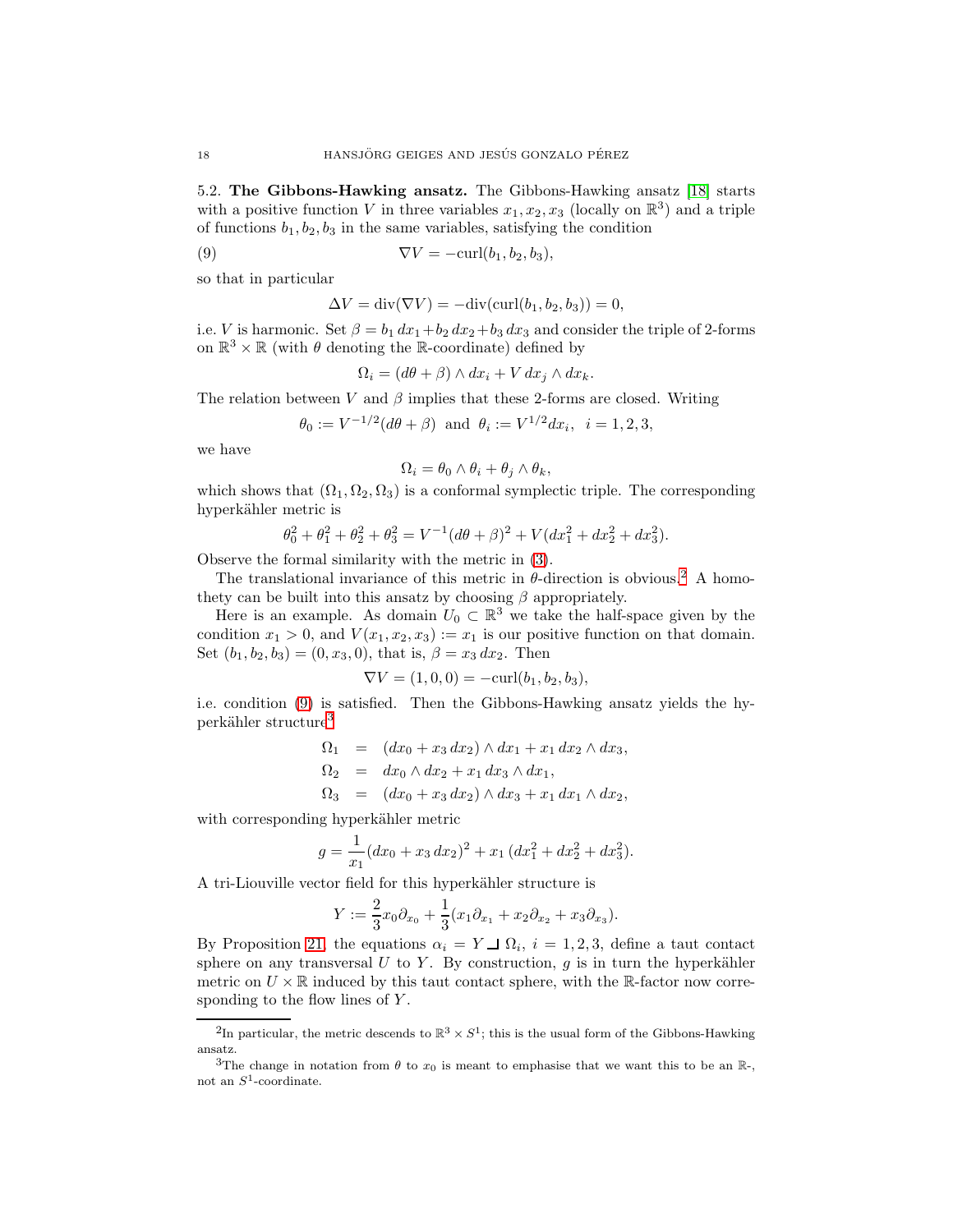<span id="page-17-0"></span>5.2. The Gibbons-Hawking ansatz. The Gibbons-Hawking ansatz [\[18\]](#page-28-3) starts with a positive function V in three variables  $x_1, x_2, x_3$  (locally on  $\mathbb{R}^3$ ) and a triple of functions  $b_1, b_2, b_3$  in the same variables, satisfying the condition

(9) 
$$
\nabla V = -\text{curl}(b_1, b_2, b_3),
$$

so that in particular

<span id="page-17-2"></span>
$$
\Delta V = \operatorname{div}(\nabla V) = -\operatorname{div}(\operatorname{curl}(b_1, b_2, b_3)) = 0,
$$

i.e. *V* is harmonic. Set  $\beta = b_1 dx_1 + b_2 dx_2 + b_3 dx_3$  and consider the triple of 2-forms on  $\mathbb{R}^3 \times \mathbb{R}$  (with  $\theta$  denoting the  $\mathbb{R}\text{-coordinate}$  ) defined by

$$
\Omega_i = (d\theta + \beta) \wedge dx_i + V dx_j \wedge dx_k.
$$

The relation between V and  $\beta$  implies that these 2-forms are closed. Writing

$$
\theta_0 := V^{-1/2}(d\theta + \beta)
$$
 and  $\theta_i := V^{1/2}dx_i$ ,  $i = 1, 2, 3$ ,

we have

$$
\Omega_i = \theta_0 \wedge \theta_i + \theta_j \wedge \theta_k,
$$

which shows that  $(\Omega_1, \Omega_2, \Omega_3)$  is a conformal symplectic triple. The corresponding hyperkähler metric is

$$
\theta_0^2 + \theta_1^2 + \theta_2^2 + \theta_3^2 = V^{-1}(d\theta + \beta)^2 + V(dx_1^2 + dx_2^2 + dx_3^2).
$$

Observe the formal similarity with the metric in [\(3\)](#page-6-2).

The translational invariance of this metric in  $\theta$ -direction is obvious.<sup>[2](#page-17-1)</sup> A homothety can be built into this ansatz by choosing  $\beta$  appropriately.

Here is an example. As domain  $U_0 \subset \mathbb{R}^3$  we take the half-space given by the condition  $x_1 > 0$ , and  $V(x_1, x_2, x_3) := x_1$  is our positive function on that domain. Set  $(b_1, b_2, b_3) = (0, x_3, 0)$ , that is,  $\beta = x_3 dx_2$ . Then

$$
\nabla V = (1,0,0) = -\mathrm{curl}(b_1, b_2, b_3),
$$

i.e. condition [\(9\)](#page-17-2) is satisfied. Then the Gibbons-Hawking ansatz yields the hy-perkähler structure<sup>[3](#page-17-3)</sup>

$$
\Omega_1 = (dx_0 + x_3 dx_2) \wedge dx_1 + x_1 dx_2 \wedge dx_3,
$$
  
\n
$$
\Omega_2 = dx_0 \wedge dx_2 + x_1 dx_3 \wedge dx_1,
$$
  
\n
$$
\Omega_3 = (dx_0 + x_3 dx_2) \wedge dx_3 + x_1 dx_1 \wedge dx_2,
$$

with corresponding hyperkähler metric

$$
g = \frac{1}{x_1}(dx_0 + x_3 dx_2)^2 + x_1 (dx_1^2 + dx_2^2 + dx_3^2).
$$

A tri-Liouville vector field for this hyperkähler structure is

$$
Y := \frac{2}{3}x_0\partial_{x_0} + \frac{1}{3}(x_1\partial_{x_1} + x_2\partial_{x_2} + x_3\partial_{x_3}).
$$

By Proposition [21,](#page-10-0) the equations  $\alpha_i = Y \Box \Omega_i$ ,  $i = 1, 2, 3$ , define a taut contact sphere on any transversal  $U$  to  $Y$ . By construction,  $g$  is in turn the hyperkähler metric on  $U \times \mathbb{R}$  induced by this taut contact sphere, with the  $\mathbb{R}$ -factor now corresponding to the flow lines of  $Y$ .

<span id="page-17-1"></span><sup>&</sup>lt;sup>2</sup>In particular, the metric descends to  $\mathbb{R}^3 \times S^1$ ; this is the usual form of the Gibbons-Hawking ansatz.

<span id="page-17-3"></span><sup>&</sup>lt;sup>3</sup>The change in notation from  $\theta$  to  $x_0$  is meant to emphasise that we want this to be an  $\mathbb{R}_-$ , not an  $S^1$ -coordinate.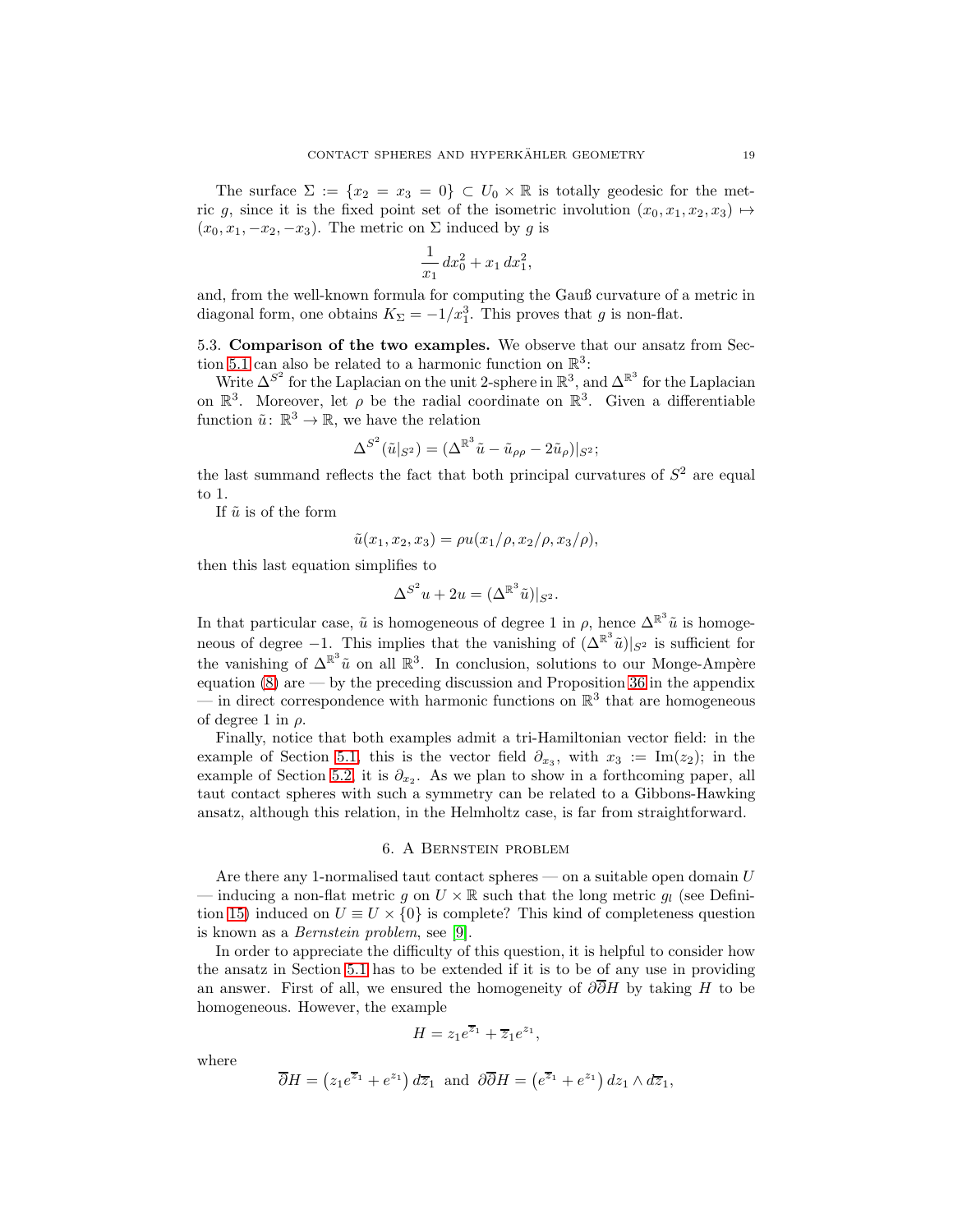The surface  $\Sigma := \{x_2 = x_3 = 0\} \subset U_0 \times \mathbb{R}$  is totally geodesic for the metric g, since it is the fixed point set of the isometric involution  $(x_0, x_1, x_2, x_3) \mapsto$  $(x_0, x_1, -x_2, -x_3)$ . The metric on  $\Sigma$  induced by g is

$$
\frac{1}{x_1} dx_0^2 + x_1 dx_1^2,
$$

and, from the well-known formula for computing the Gauß curvature of a metric in diagonal form, one obtains  $K_{\Sigma} = -1/x_1^3$ . This proves that g is non-flat.

5.3. Comparison of the two examples. We observe that our ansatz from Sec-tion [5.1](#page-16-0) can also be related to a harmonic function on  $\mathbb{R}^3$ :

Write  $\Delta^{S^2}$  for the Laplacian on the unit 2-sphere in  $\mathbb{R}^3$ , and  $\Delta^{R^3}$  for the Laplacian on  $\mathbb{R}^3$ . Moreover, let  $\rho$  be the radial coordinate on  $\mathbb{R}^3$ . Given a differentiable function  $\tilde{u} \colon \mathbb{R}^3 \to \mathbb{R}$ , we have the relation

$$
\Delta^{S^2}(\tilde{u}|_{S^2}) = (\Delta^{\mathbb{R}^3}\tilde{u} - \tilde{u}_{\rho\rho} - 2\tilde{u}_\rho)|_{S^2};
$$

the last summand reflects the fact that both principal curvatures of  $S<sup>2</sup>$  are equal to 1.

If  $\tilde{u}$  is of the form

$$
\tilde{u}(x_1, x_2, x_3) = \rho u(x_1/\rho, x_2/\rho, x_3/\rho),
$$

then this last equation simplifies to

$$
\Delta^{S^2} u + 2u = (\Delta^{\mathbb{R}^3} \tilde{u})|_{S^2}.
$$

In that particular case,  $\tilde{u}$  is homogeneous of degree 1 in  $\rho$ , hence  $\Delta^{\mathbb{R}^3}\tilde{u}$  is homogeneous of degree  $-1$ . This implies that the vanishing of  $(\Delta^{\mathbb{R}^3}\tilde{u})|_{S^2}$  is sufficient for the vanishing of  $\Delta^{\mathbb{R}^3}\tilde{u}$  on all  $\mathbb{R}^3$ . In conclusion, solutions to our Monge-Ampère equation  $(8)$  are — by the preceding discussion and Proposition [36](#page-24-0) in the appendix — in direct correspondence with harmonic functions on  $\mathbb{R}^3$  that are homogeneous of degree 1 in  $\rho$ .

Finally, notice that both examples admit a tri-Hamiltonian vector field: in the example of Section [5.1,](#page-16-0) this is the vector field  $\partial_{x_3}$ , with  $x_3 := \text{Im}(z_2)$ ; in the example of Section [5.2,](#page-17-0) it is  $\partial_{x_2}$ . As we plan to show in a forthcoming paper, all taut contact spheres with such a symmetry can be related to a Gibbons-Hawking ansatz, although this relation, in the Helmholtz case, is far from straightforward.

#### 6. A Bernstein problem

<span id="page-18-0"></span>Are there any 1-normalised taut contact spheres — on a suitable open domain  $U$ — inducing a non-flat metric g on  $U \times \mathbb{R}$  such that the long metric  $g_l$  (see Defini-tion [15\)](#page-6-0) induced on  $U \equiv U \times \{0\}$  is complete? This kind of completeness question is known as a Bernstein problem, see [\[9\]](#page-28-9).

In order to appreciate the difficulty of this question, it is helpful to consider how the ansatz in Section [5.1](#page-16-0) has to be extended if it is to be of any use in providing an answer. First of all, we ensured the homogeneity of  $\partial \partial H$  by taking H to be homogeneous. However, the example

$$
H = z_1 e^{\overline{z}_1} + \overline{z}_1 e^{z_1},
$$

where

$$
\overline{\partial}H = (z_1e^{\overline{z}_1} + e^{z_1}) d\overline{z}_1 \text{ and } \partial \overline{\partial}H = (e^{\overline{z}_1} + e^{z_1}) dz_1 \wedge d\overline{z}_1,
$$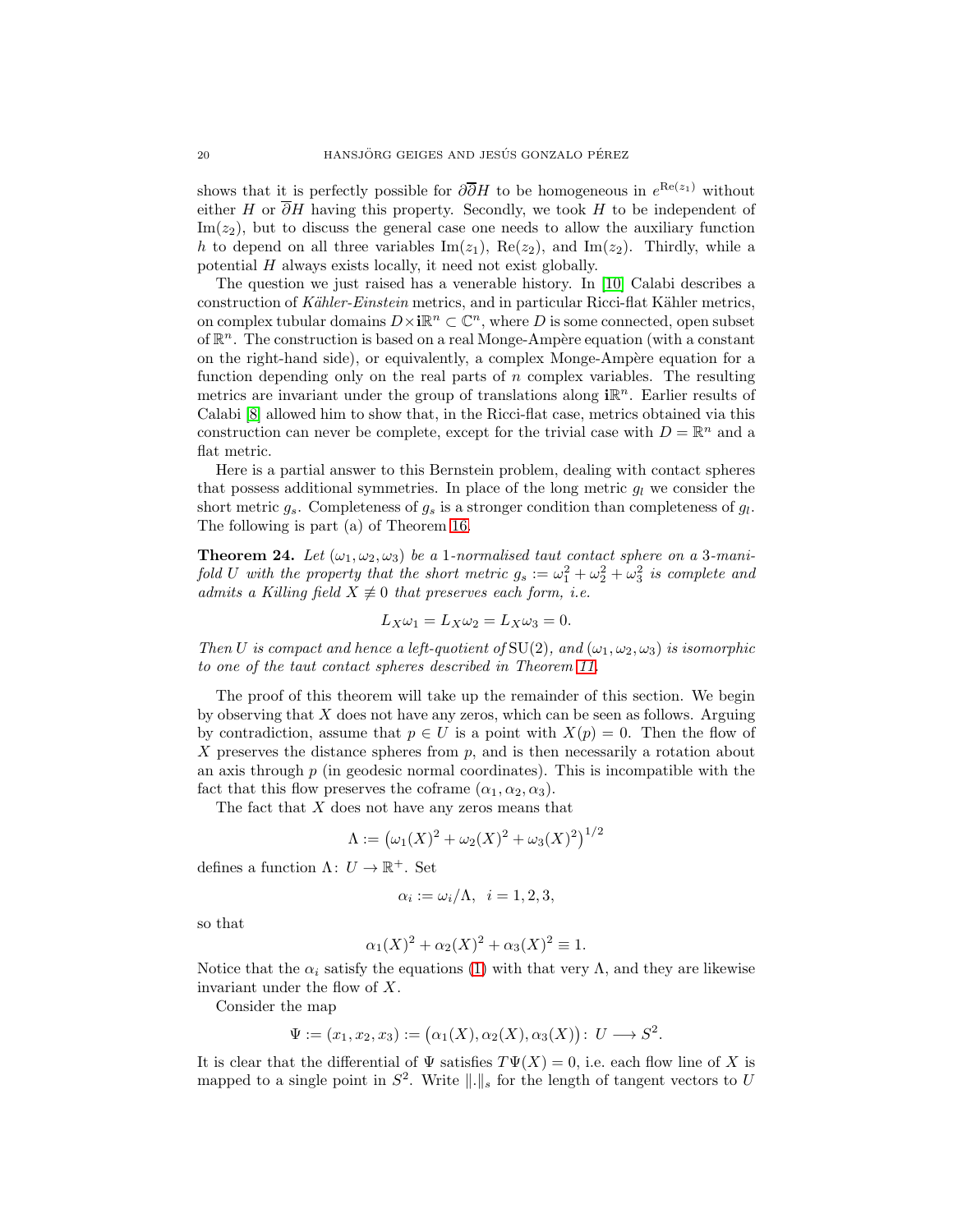shows that it is perfectly possible for  $\partial \overline{\partial} H$  to be homogeneous in  $e^{\text{Re}(z_1)}$  without either H or  $\overline{\partial}H$  having this property. Secondly, we took H to be independent of  $\text{Im}(z_2)$ , but to discuss the general case one needs to allow the auxiliary function h to depend on all three variables  $\text{Im}(z_1)$ ,  $\text{Re}(z_2)$ , and  $\text{Im}(z_2)$ . Thirdly, while a potential H always exists locally, it need not exist globally.

The question we just raised has a venerable history. In [\[10\]](#page-28-10) Calabi describes a construction of Kähler-Einstein metrics, and in particular Ricci-flat Kähler metrics, on complex tubular domains  $D\times\mathbf{i}\mathbb{R}^n\subset\mathbb{C}^n$ , where  $D$  is some connected, open subset of  $\mathbb{R}^n$ . The construction is based on a real Monge-Ampère equation (with a constant on the right-hand side), or equivalently, a complex Monge-Ampère equation for a function depending only on the real parts of n complex variables. The resulting metrics are invariant under the group of translations along  $i\mathbb{R}^n$ . Earlier results of Calabi [\[8\]](#page-27-7) allowed him to show that, in the Ricci-flat case, metrics obtained via this construction can never be complete, except for the trivial case with  $D = \mathbb{R}^n$  and a flat metric.

Here is a partial answer to this Bernstein problem, dealing with contact spheres that possess additional symmetries. In place of the long metric  $g_l$  we consider the short metric  $g_s$ . Completeness of  $g_s$  is a stronger condition than completeness of  $g_l$ . The following is part (a) of Theorem [16.](#page-6-1)

<span id="page-19-0"></span>**Theorem 24.** Let  $(\omega_1, \omega_2, \omega_3)$  be a 1-normalised taut contact sphere on a 3-manifold U with the property that the short metric  $g_s := \omega_1^2 + \omega_2^2 + \omega_3^2$  is complete and admits a Killing field  $X \not\equiv 0$  that preserves each form, i.e.

$$
L_X \omega_1 = L_X \omega_2 = L_X \omega_3 = 0.
$$

Then U is compact and hence a left-quotient of  $SU(2)$ , and  $(\omega_1, \omega_2, \omega_3)$  is isomorphic to one of the taut contact spheres described in Theorem [11.](#page-4-1)

The proof of this theorem will take up the remainder of this section. We begin by observing that X does not have any zeros, which can be seen as follows. Arguing by contradiction, assume that  $p \in U$  is a point with  $X(p) = 0$ . Then the flow of X preserves the distance spheres from  $p$ , and is then necessarily a rotation about an axis through  $p$  (in geodesic normal coordinates). This is incompatible with the fact that this flow preserves the coframe  $(\alpha_1, \alpha_2, \alpha_3)$ .

The fact that  $X$  does not have any zeros means that

$$
\Lambda := (\omega_1(X)^2 + \omega_2(X)^2 + \omega_3(X)^2)^{1/2}
$$

defines a function  $\Lambda: U \to \mathbb{R}^+$ . Set

$$
\alpha_i := \omega_i/\Lambda, \ \ i = 1, 2, 3,
$$

so that

$$
\alpha_1(X)^2 + \alpha_2(X)^2 + \alpha_3(X)^2 \equiv 1.
$$

Notice that the  $\alpha_i$  satisfy the equations [\(1\)](#page-1-2) with that very  $\Lambda$ , and they are likewise invariant under the flow of X.

Consider the map

$$
\Psi := (x_1, x_2, x_3) := (\alpha_1(X), \alpha_2(X), \alpha_3(X)) : U \longrightarrow S^2.
$$

It is clear that the differential of  $\Psi$  satisfies  $T\Psi(X) = 0$ , i.e. each flow line of X is mapped to a single point in  $S^2$ . Write  $\|\cdot\|_s$  for the length of tangent vectors to U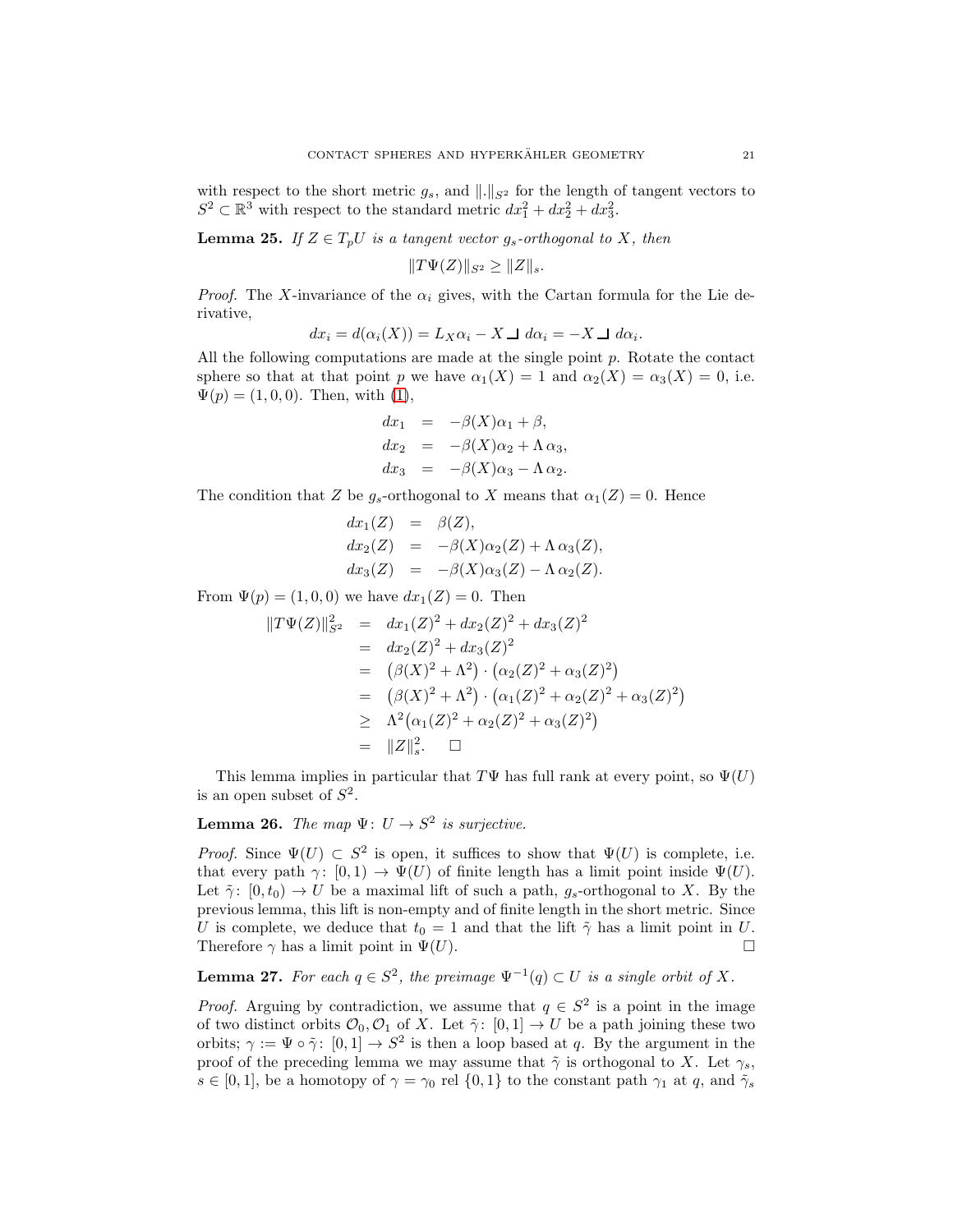with respect to the short metric  $g_s$ , and  $\|.\|_{S^2}$  for the length of tangent vectors to  $S^2 \subset \mathbb{R}^3$  with respect to the standard metric  $dx_1^2 + dx_2^2 + dx_3^2$ .

**Lemma 25.** If  $Z \in T_pU$  is a tangent vector  $g_s$ -orthogonal to X, then

 $||T\Psi(Z)||_{S^2} \geq ||Z||_s.$ 

*Proof.* The X-invariance of the  $\alpha_i$  gives, with the Cartan formula for the Lie derivative,

$$
dx_i = d(\alpha_i(X)) = L_X \alpha_i - X \sqcup d\alpha_i = -X \sqcup d\alpha_i.
$$

All the following computations are made at the single point  $p$ . Rotate the contact sphere so that at that point p we have  $\alpha_1(X) = 1$  and  $\alpha_2(X) = \alpha_3(X) = 0$ , i.e.  $\Psi(p) = (1, 0, 0)$ . Then, with  $(1)$ ,

$$
dx_1 = -\beta(X)\alpha_1 + \beta,
$$
  
\n
$$
dx_2 = -\beta(X)\alpha_2 + \Lambda \alpha_3,
$$
  
\n
$$
dx_3 = -\beta(X)\alpha_3 - \Lambda \alpha_2.
$$

The condition that Z be  $g_s$ -orthogonal to X means that  $\alpha_1(Z) = 0$ . Hence

$$
dx_1(Z) = \beta(Z),
$$
  
\n
$$
dx_2(Z) = -\beta(X)\alpha_2(Z) + \Lambda \alpha_3(Z),
$$
  
\n
$$
dx_3(Z) = -\beta(X)\alpha_3(Z) - \Lambda \alpha_2(Z).
$$

From  $\Psi(p) = (1, 0, 0)$  we have  $dx_1(Z) = 0$ . Then

$$
||T\Psi(Z)||_{S^2}^2 = dx_1(Z)^2 + dx_2(Z)^2 + dx_3(Z)^2
$$
  
=  $dx_2(Z)^2 + dx_3(Z)^2$   
=  $(\beta(X)^2 + \Lambda^2) \cdot (\alpha_2(Z)^2 + \alpha_3(Z)^2)$   
=  $(\beta(X)^2 + \Lambda^2) \cdot (\alpha_1(Z)^2 + \alpha_2(Z)^2 + \alpha_3(Z)^2)$   
 $\geq \Lambda^2(\alpha_1(Z)^2 + \alpha_2(Z)^2 + \alpha_3(Z)^2)$   
=  $||Z||_s^2$ .  $\square$ 

This lemma implies in particular that  $T\Psi$  has full rank at every point, so  $\Psi(U)$ is an open subset of  $S^2$ .

# **Lemma 26.** The map  $\Psi: U \to S^2$  is surjective.

*Proof.* Since  $\Psi(U) \subset S^2$  is open, it suffices to show that  $\Psi(U)$  is complete, i.e. that every path  $\gamma: [0, 1) \to \Psi(U)$  of finite length has a limit point inside  $\Psi(U)$ . Let  $\tilde{\gamma}$ :  $[0, t_0] \rightarrow U$  be a maximal lift of such a path,  $g_s$ -orthogonal to X. By the previous lemma, this lift is non-empty and of finite length in the short metric. Since U is complete, we deduce that  $t_0 = 1$  and that the lift  $\tilde{\gamma}$  has a limit point in U. Therefore  $\gamma$  has a limit point in  $\Psi(U)$ .

**Lemma 27.** For each  $q \in S^2$ , the preimage  $\Psi^{-1}(q) \subset U$  is a single orbit of X.

*Proof.* Arguing by contradiction, we assume that  $q \in S^2$  is a point in the image of two distinct orbits  $\mathcal{O}_0$ ,  $\mathcal{O}_1$  of X. Let  $\tilde{\gamma}$ :  $[0,1] \to U$  be a path joining these two orbits;  $\gamma := \Psi \circ \tilde{\gamma}$ :  $[0,1] \to S^2$  is then a loop based at q. By the argument in the proof of the preceding lemma we may assume that  $\tilde{\gamma}$  is orthogonal to X. Let  $\gamma_s$ ,  $s \in [0,1]$ , be a homotopy of  $\gamma = \gamma_0$  rel  $\{0,1\}$  to the constant path  $\gamma_1$  at q, and  $\tilde{\gamma}_s$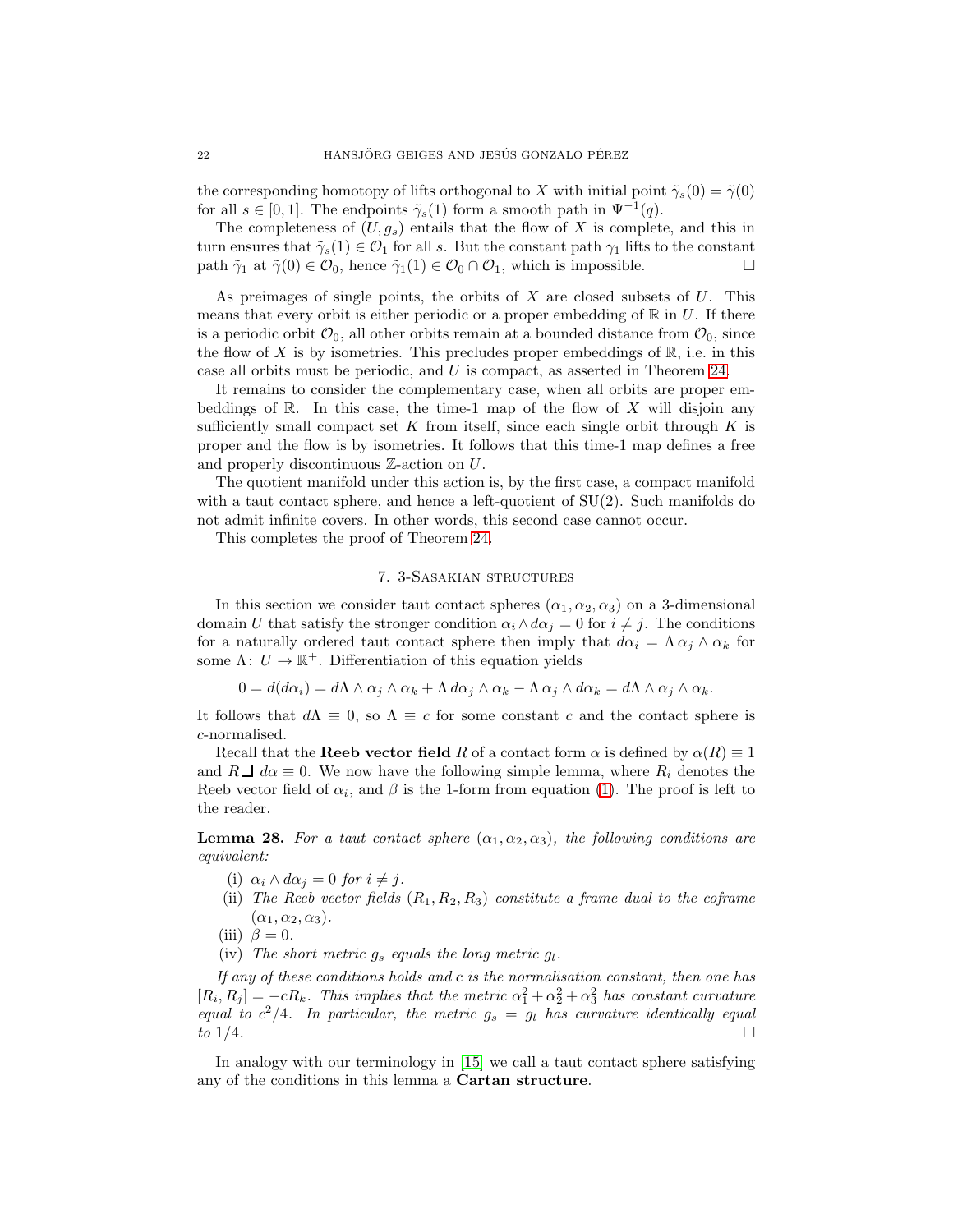the corresponding homotopy of lifts orthogonal to X with initial point  $\tilde{\gamma}_s(0) = \tilde{\gamma}(0)$ for all  $s \in [0, 1]$ . The endpoints  $\tilde{\gamma}_s(1)$  form a smooth path in  $\Psi^{-1}(q)$ .

The completeness of  $(U, g_s)$  entails that the flow of X is complete, and this in turn ensures that  $\tilde{\gamma}_s(1) \in \mathcal{O}_1$  for all s. But the constant path  $\gamma_1$  lifts to the constant path  $\tilde{\gamma}_1$  at  $\tilde{\gamma}(0) \in \mathcal{O}_0$ , hence  $\tilde{\gamma}_1(1) \in \mathcal{O}_0 \cap \mathcal{O}_1$ , which is impossible. path  $\tilde{\gamma}_1$  at  $\tilde{\gamma}(0) \in \mathcal{O}_0$ , hence  $\tilde{\gamma}_1(1) \in \mathcal{O}_0 \cap \mathcal{O}_1$ , which is impossible.

As preimages of single points, the orbits of  $X$  are closed subsets of  $U$ . This means that every orbit is either periodic or a proper embedding of  $\mathbb R$  in U. If there is a periodic orbit  $\mathcal{O}_0$ , all other orbits remain at a bounded distance from  $\mathcal{O}_0$ , since the flow of X is by isometries. This precludes proper embeddings of  $\mathbb{R}$ , i.e. in this case all orbits must be periodic, and U is compact, as asserted in Theorem [24.](#page-19-0)

It remains to consider the complementary case, when all orbits are proper embeddings of  $\mathbb R$ . In this case, the time-1 map of the flow of X will disjoin any sufficiently small compact set K from itself, since each single orbit through K is proper and the flow is by isometries. It follows that this time-1 map defines a free and properly discontinuous Z-action on U.

The quotient manifold under this action is, by the first case, a compact manifold with a taut contact sphere, and hence a left-quotient of  $SU(2)$ . Such manifolds do not admit infinite covers. In other words, this second case cannot occur.

<span id="page-21-0"></span>This completes the proof of Theorem [24.](#page-19-0)

## 7. 3-Sasakian structures

In this section we consider taut contact spheres  $(\alpha_1, \alpha_2, \alpha_3)$  on a 3-dimensional domain U that satisfy the stronger condition  $\alpha_i \wedge d\alpha_j = 0$  for  $i \neq j$ . The conditions for a naturally ordered taut contact sphere then imply that  $d\alpha_i = \Lambda \alpha_i \wedge \alpha_k$  for some  $\Lambda: U \to \mathbb{R}^+$ . Differentiation of this equation yields

$$
0 = d(d\alpha_i) = d\Lambda \wedge \alpha_j \wedge \alpha_k + \Lambda d\alpha_j \wedge \alpha_k - \Lambda \alpha_j \wedge d\alpha_k = d\Lambda \wedge \alpha_j \wedge \alpha_k.
$$

It follows that  $d\Lambda \equiv 0$ , so  $\Lambda \equiv c$  for some constant c and the contact sphere is c-normalised.

Recall that the **Reeb vector field** R of a contact form  $\alpha$  is defined by  $\alpha(R) \equiv 1$ and  $R \perp d\alpha \equiv 0$ . We now have the following simple lemma, where  $R_i$  denotes the Reeb vector field of  $\alpha_i$ , and  $\beta$  is the 1-form from equation [\(1\)](#page-1-2). The proof is left to the reader.

**Lemma 28.** For a taut contact sphere  $(\alpha_1, \alpha_2, \alpha_3)$ , the following conditions are equivalent:

- (i)  $\alpha_i \wedge d\alpha_j = 0$  for  $i \neq j$ .
- (ii) The Reeb vector fields  $(R_1, R_2, R_3)$  constitute a frame dual to the coframe  $(\alpha_1, \alpha_2, \alpha_3).$
- (iii)  $\beta = 0$ .
- (iv) The short metric  $g_s$  equals the long metric  $g_l$ .

If any of these conditions holds and c is the normalisation constant, then one has  $[R_i, R_j] = -cR_k$ . This implies that the metric  $\alpha_1^2 + \alpha_2^2 + \alpha_3^2$  has constant curvature equal to  $c^2/4$ . In particular, the metric  $g_s = g_l$  has curvature identically equal to  $1/4$ .

In analogy with our terminology in [\[15\]](#page-28-0) we call a taut contact sphere satisfying any of the conditions in this lemma a Cartan structure.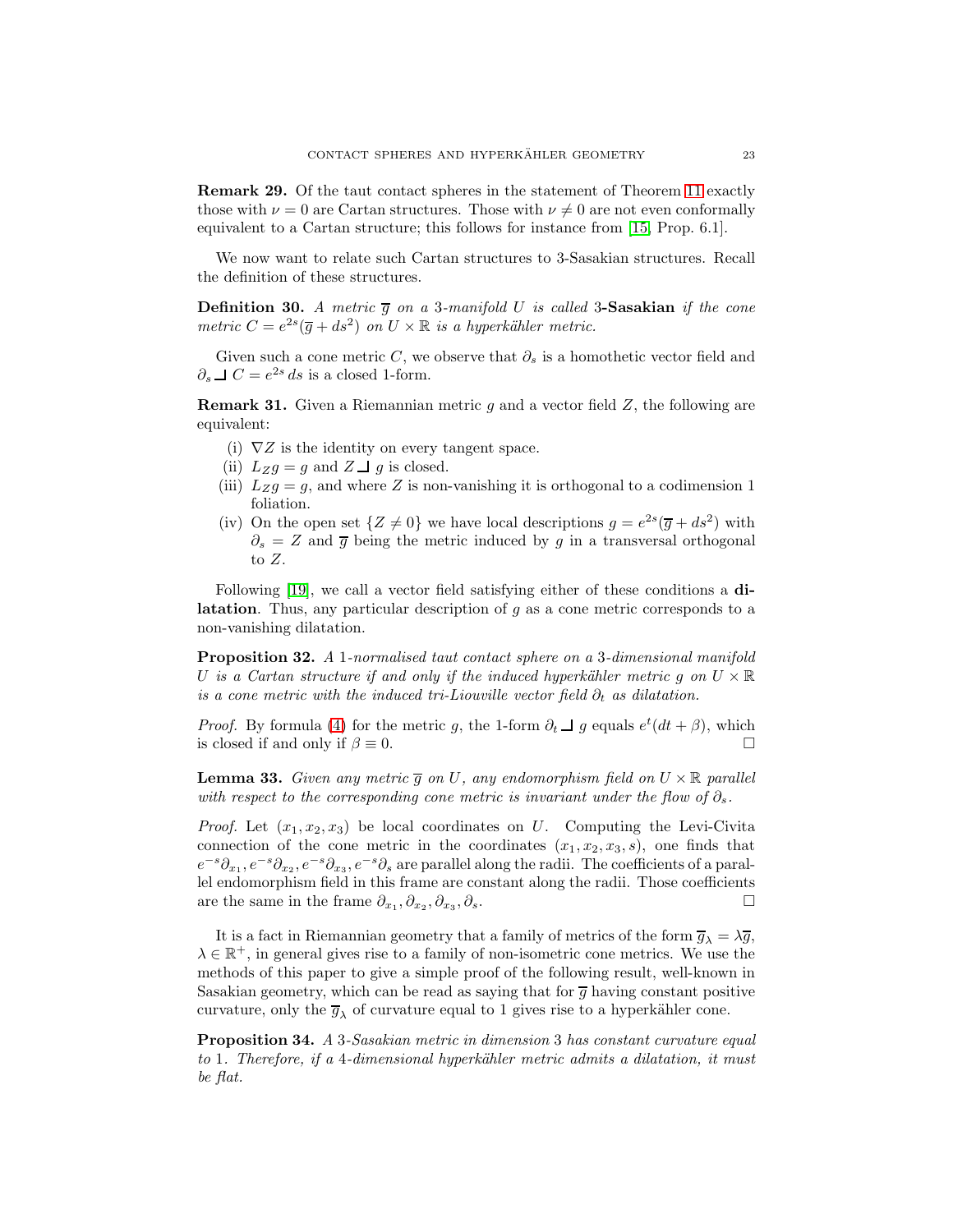Remark 29. Of the taut contact spheres in the statement of Theorem [11](#page-4-1) exactly those with  $\nu = 0$  are Cartan structures. Those with  $\nu \neq 0$  are not even conformally equivalent to a Cartan structure; this follows for instance from [\[15,](#page-28-0) Prop. 6.1].

We now want to relate such Cartan structures to 3-Sasakian structures. Recall the definition of these structures.

**Definition 30.** A metric  $\overline{g}$  on a 3-manifold U is called 3-Sasakian if the cone metric  $C = e^{2s}(\overline{g} + ds^2)$  on  $U \times \mathbb{R}$  is a hyperkähler metric.

Given such a cone metric C, we observe that  $\partial_s$  is a homothetic vector field and  $∂<sub>s</sub> ⊥ C = e<sup>2s</sup> ds$  is a closed 1-form.

**Remark 31.** Given a Riemannian metric q and a vector field  $Z$ , the following are equivalent:

- (i)  $\nabla Z$  is the identity on every tangent space.
- (ii)  $L_Z g = g$  and  $Z \perp g$  is closed.
- (iii)  $L_Z g = g$ , and where Z is non-vanishing it is orthogonal to a codimension 1 foliation.
- (iv) On the open set  $\{Z \neq 0\}$  we have local descriptions  $g = e^{2s}(\overline{g} + ds^2)$  with  $\partial_s = Z$  and  $\overline{g}$  being the metric induced by g in a transversal orthogonal to Z.

Following [\[19\]](#page-28-5), we call a vector field satisfying either of these conditions a di**latation**. Thus, any particular description of  $g$  as a cone metric corresponds to a non-vanishing dilatation.

Proposition 32. A 1-normalised taut contact sphere on a 3-dimensional manifold U is a Cartan structure if and only if the induced hyperkähler metric g on  $U \times \mathbb{R}$ is a cone metric with the induced tri-Liouville vector field  $\partial_t$  as dilatation.

*Proof.* By formula [\(4\)](#page-6-3) for the metric g, the 1-form  $\partial_t \mathbf{\underline{I}}$  g equals  $e^t(dt + \beta)$ , which is closed if and only if  $\beta \equiv 0$ .

**Lemma 33.** Given any metric  $\overline{g}$  on U, any endomorphism field on  $U \times \mathbb{R}$  parallel with respect to the corresponding cone metric is invariant under the flow of  $\partial_s$ .

*Proof.* Let  $(x_1, x_2, x_3)$  be local coordinates on U. Computing the Levi-Civita connection of the cone metric in the coordinates  $(x_1, x_2, x_3, s)$ , one finds that  $e^{-s}\partial_{x_1}, e^{-s}\partial_{x_2}, e^{-s}\partial_{x_3}, e^{-s}\partial_s$  are parallel along the radii. The coefficients of a parallel endomorphism field in this frame are constant along the radii. Those coefficients are the same in the frame  $\partial_{x_1}, \partial_{x_2}, \partial_{x_3}$ ,  $\partial_s$ .  $\Box$ 

It is a fact in Riemannian geometry that a family of metrics of the form  $\overline{g}_{\lambda} = \lambda \overline{g}$ ,  $\lambda \in \mathbb{R}^+$ , in general gives rise to a family of non-isometric cone metrics. We use the methods of this paper to give a simple proof of the following result, well-known in Sasakian geometry, which can be read as saying that for  $\overline{g}$  having constant positive curvature, only the  $\overline{g}_{\lambda}$  of curvature equal to 1 gives rise to a hyperkähler cone.

Proposition 34. A 3-Sasakian metric in dimension 3 has constant curvature equal to 1. Therefore, if a 4-dimensional hyperkähler metric admits a dilatation, it must be flat.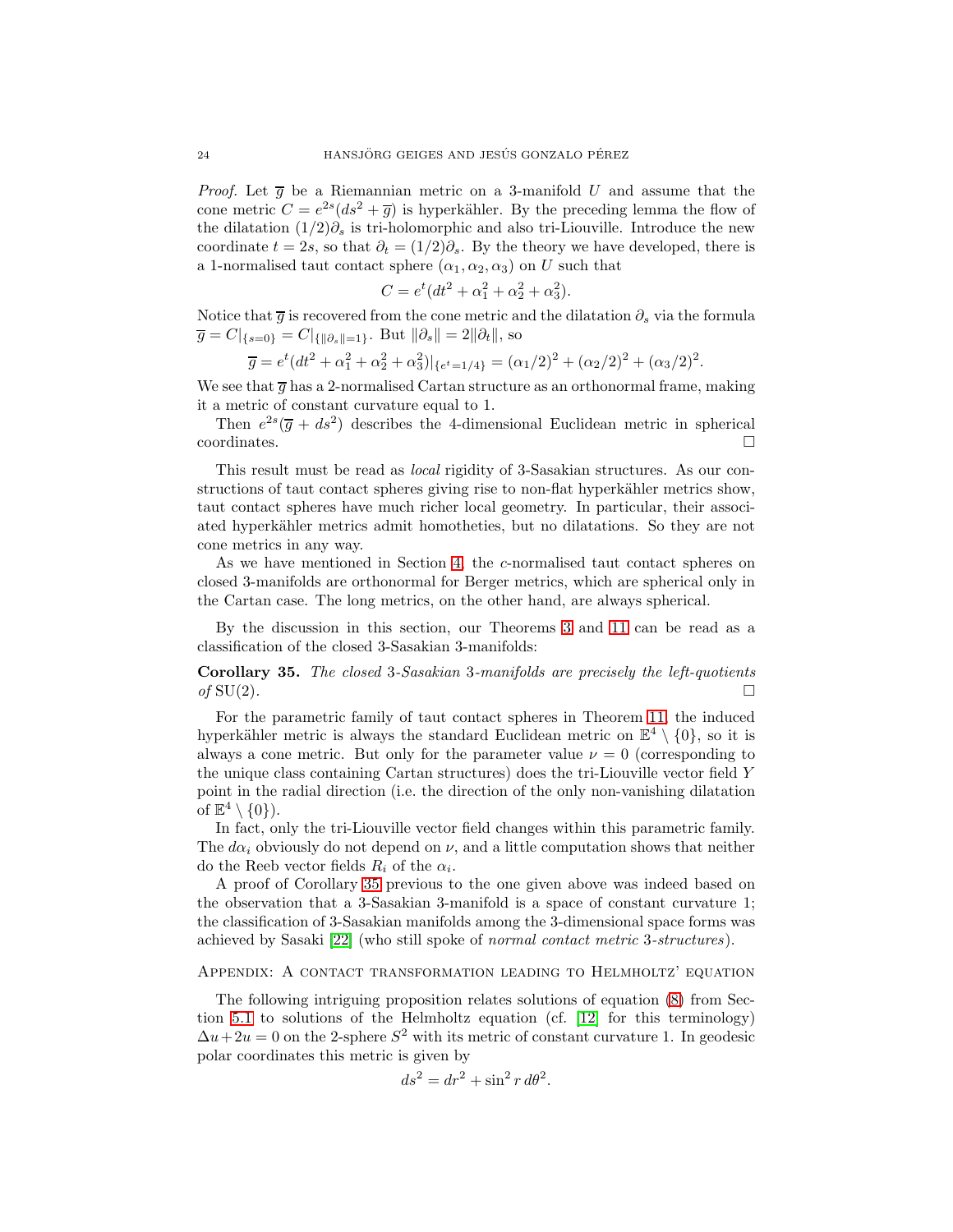*Proof.* Let  $\overline{g}$  be a Riemannian metric on a 3-manifold U and assume that the cone metric  $C = e^{2s}(ds^2 + \overline{g})$  is hyperkähler. By the preceding lemma the flow of the dilatation  $(1/2)\partial_s$  is tri-holomorphic and also tri-Liouville. Introduce the new coordinate  $t = 2s$ , so that  $\partial_t = (1/2)\partial_s$ . By the theory we have developed, there is a 1-normalised taut contact sphere  $(\alpha_1, \alpha_2, \alpha_3)$  on U such that

$$
C = e^t(dt^2 + \alpha_1^2 + \alpha_2^2 + \alpha_3^2).
$$

Notice that  $\bar{g}$  is recovered from the cone metric and the dilatation  $\partial_s$  via the formula  $\overline{g} = C|_{\{s=0\}} = C|_{\{\|\partial_s\|=1\}}.$  But  $\|\partial_s\| = 2\|\partial_t\|,$  so

$$
\overline{g} = e^t(dt^2 + \alpha_1^2 + \alpha_2^2 + \alpha_3^2)|_{\{e^t = 1/4\}} = (\alpha_1/2)^2 + (\alpha_2/2)^2 + (\alpha_3/2)^2.
$$

We see that  $\overline{g}$  has a 2-normalised Cartan structure as an orthonormal frame, making it a metric of constant curvature equal to 1.

Then  $e^{2s}(\overline{g} + ds^2)$  describes the 4-dimensional Euclidean metric in spherical  $\Box$ coordinates.

This result must be read as *local* rigidity of 3-Sasakian structures. As our constructions of taut contact spheres giving rise to non-flat hyperkähler metrics show, taut contact spheres have much richer local geometry. In particular, their associated hyperkähler metrics admit homotheties, but no dilatations. So they are not cone metrics in any way.

As we have mentioned in Section [4,](#page-10-1) the c-normalised taut contact spheres on closed 3-manifolds are orthonormal for Berger metrics, which are spherical only in the Cartan case. The long metrics, on the other hand, are always spherical.

By the discussion in this section, our Theorems [3](#page-1-1) and [11](#page-4-1) can be read as a classification of the closed 3-Sasakian 3-manifolds:

<span id="page-23-0"></span>Corollary 35. The closed 3-Sasakian 3-manifolds are precisely the left-quotients of  $SU(2)$ .

For the parametric family of taut contact spheres in Theorem [11,](#page-4-1) the induced hyperkähler metric is always the standard Euclidean metric on  $\mathbb{E}^4 \setminus \{0\}$ , so it is always a cone metric. But only for the parameter value  $\nu = 0$  (corresponding to the unique class containing Cartan structures) does the tri-Liouville vector field Y point in the radial direction (i.e. the direction of the only non-vanishing dilatation of  $\mathbb{E}^4 \setminus \{0\}$ .

In fact, only the tri-Liouville vector field changes within this parametric family. The  $d\alpha_i$  obviously do not depend on  $\nu$ , and a little computation shows that neither do the Reeb vector fields  $R_i$  of the  $\alpha_i$ .

A proof of Corollary [35](#page-23-0) previous to the one given above was indeed based on the observation that a 3-Sasakian 3-manifold is a space of constant curvature 1; the classification of 3-Sasakian manifolds among the 3-dimensional space forms was achieved by Sasaki [\[22\]](#page-28-11) (who still spoke of normal contact metric 3-structures).

#### Appendix: A contact transformation leading to Helmholtz' equation

The following intriguing proposition relates solutions of equation [\(8\)](#page-16-3) from Section [5.1](#page-16-0) to solutions of the Helmholtz equation (cf. [\[12\]](#page-28-12) for this terminology)  $\Delta u + 2u = 0$  on the 2-sphere  $S^2$  with its metric of constant curvature 1. In geodesic polar coordinates this metric is given by

$$
ds^2 = dr^2 + \sin^2 r \, d\theta^2.
$$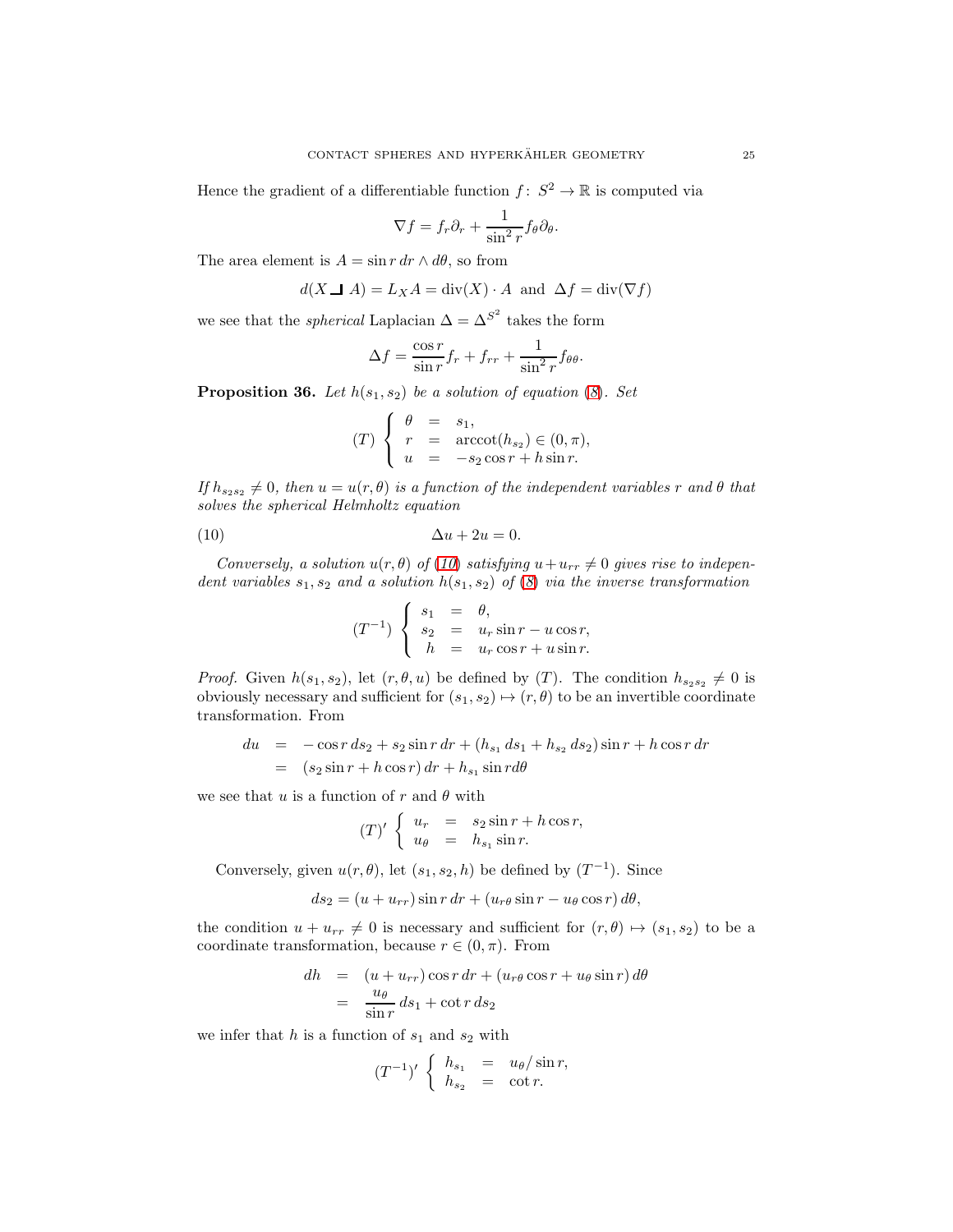Hence the gradient of a differentiable function  $f: S^2 \to \mathbb{R}$  is computed via

$$
\nabla f = f_r \partial_r + \frac{1}{\sin^2 r} f_\theta \partial_\theta.
$$

The area element is  $A = \sin r dr \wedge d\theta$ , so from

$$
d(X \perp A) = L_X A = \text{div}(X) \cdot A \text{ and } \Delta f = \text{div}(\nabla f)
$$

we see that the *spherical* Laplacian  $\Delta = \Delta^{S^2}$  takes the form

$$
\Delta f = \frac{\cos r}{\sin r} f_r + f_{rr} + \frac{1}{\sin^2 r} f_{\theta\theta}.
$$

<span id="page-24-0"></span>**Proposition 36.** Let  $h(s_1, s_2)$  be a solution of equation ([8](#page-16-3)). Set

$$
(T) \begin{cases} \theta = s_1, \\ r = \operatorname{arccot}(h_{s_2}) \in (0, \pi), \\ u = -s_2 \cos r + h \sin r. \end{cases}
$$

If  $h_{s_2s_2} \neq 0$ , then  $u = u(r, \theta)$  is a function of the independent variables r and  $\theta$  that solves the spherical Helmholtz equation

$$
(10) \qquad \qquad \Delta u + 2u = 0.
$$

Conversely, a solution  $u(r, \theta)$  of ([10](#page-24-1)) satisfying  $u+u_{rr} \neq 0$  gives rise to independent variables  $s_1, s_2$  and a solution  $h(s_1, s_2)$  of  $(8)$  $(8)$  $(8)$  via the inverse transformation

<span id="page-24-1"></span>
$$
(T^{-1})\begin{cases} s_1 = \theta, \\ s_2 = u_r \sin r - u \cos r, \\ h = u_r \cos r + u \sin r. \end{cases}
$$

*Proof.* Given  $h(s_1, s_2)$ , let  $(r, \theta, u)$  be defined by  $(T)$ . The condition  $h_{s_2s_2} \neq 0$  is obviously necessary and sufficient for  $(s_1, s_2) \mapsto (r, \theta)$  to be an invertible coordinate transformation. From

$$
du = -\cos r \, ds_2 + s_2 \sin r \, dr + (h_{s_1} \, ds_1 + h_{s_2} \, ds_2) \sin r + h \cos r \, dr
$$
  
=  $(s_2 \sin r + h \cos r) \, dr + h_{s_1} \sin r d\theta$ 

we see that u is a function of r and  $\theta$  with

$$
(T)'\begin{cases} u_r &= s_2 \sin r + h \cos r, \\ u_\theta &= h_{s_1} \sin r. \end{cases}
$$

Conversely, given  $u(r, \theta)$ , let  $(s_1, s_2, h)$  be defined by  $(T^{-1})$ . Since

$$
ds_2 = (u + u_{rr})\sin r \, dr + (u_{r\theta}\sin r - u_{\theta}\cos r) \, d\theta,
$$

the condition  $u + u_{rr} \neq 0$  is necessary and sufficient for  $(r, \theta) \mapsto (s_1, s_2)$  to be a coordinate transformation, because  $r \in (0, \pi)$ . From

$$
dh = (u + u_{rr}) \cos r dr + (u_{r\theta} \cos r + u_{\theta} \sin r) d\theta
$$
  
= 
$$
\frac{u_{\theta}}{\sin r} ds_1 + \cot r ds_2
$$

we infer that  $h$  is a function of  $s_1$  and  $s_2$  with

$$
(T^{-1})' \begin{cases} h_{s_1} = u_{\theta}/\sin r, \\ h_{s_2} = \cot r. \end{cases}
$$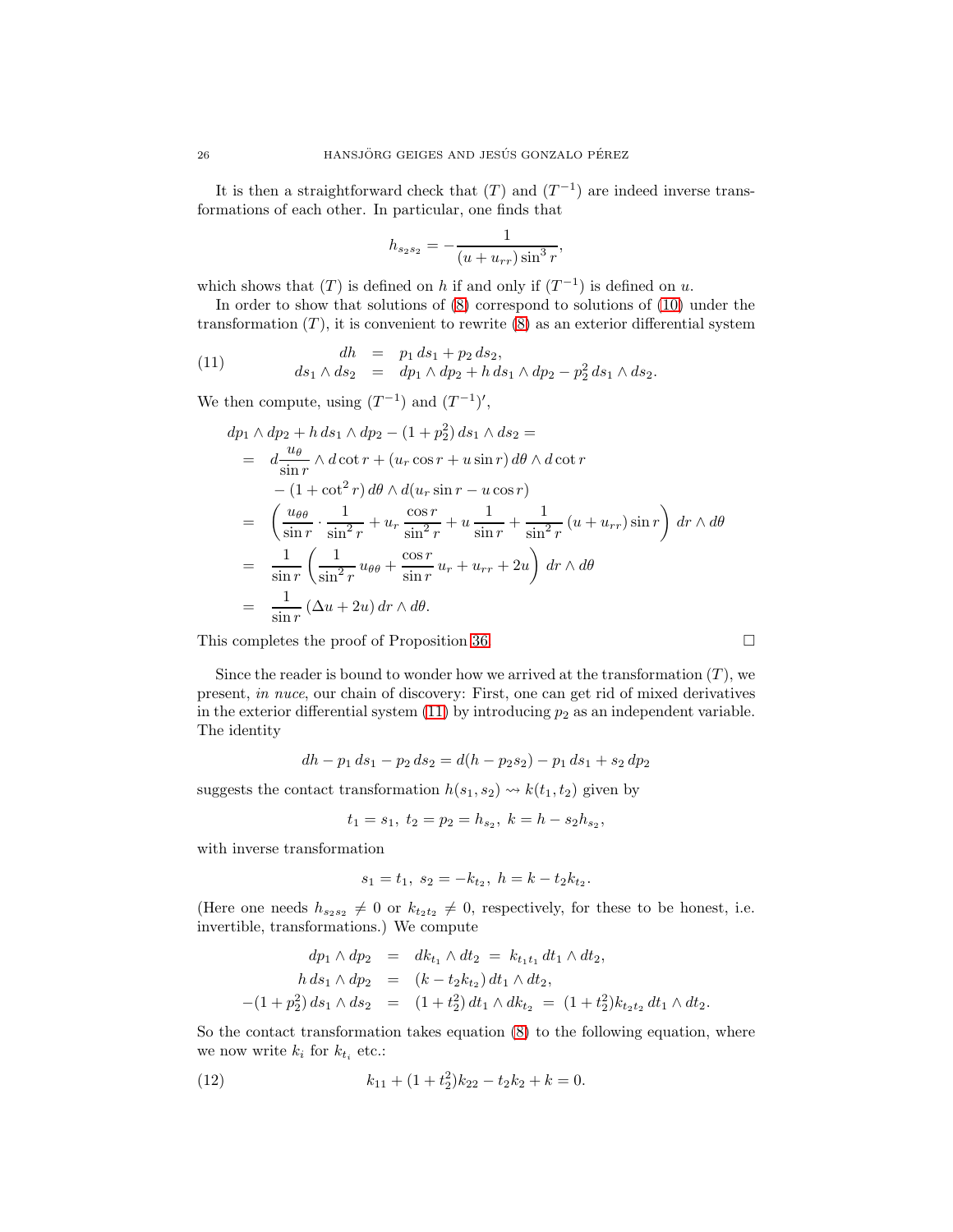It is then a straightforward check that  $(T)$  and  $(T^{-1})$  are indeed inverse transformations of each other. In particular, one finds that

$$
h_{s_2s_2} = -\frac{1}{(u + u_{rr})\sin^3 r},
$$

which shows that  $(T)$  is defined on h if and only if  $(T^{-1})$  is defined on u.

In order to show that solutions of [\(8\)](#page-16-3) correspond to solutions of [\(10\)](#page-24-1) under the transformation  $(T)$ , it is convenient to rewrite  $(8)$  as an exterior differential system

(11) 
$$
dh = p_1 ds_1 + p_2 ds_2, \nds_1 \wedge ds_2 = dp_1 \wedge dp_2 + h ds_1 \wedge dp_2 - p_2^2 ds_1 \wedge ds_2.
$$

We then compute, using  $(T^{-1})$  and  $(T^{-1})'$ ,

<span id="page-25-0"></span>
$$
dp_1 \wedge dp_2 + h ds_1 \wedge dp_2 - (1 + p_2^2) ds_1 \wedge ds_2 =
$$
  
\n
$$
= d \frac{u_{\theta}}{\sin r} \wedge d \cot r + (u_r \cos r + u \sin r) d\theta \wedge d \cot r
$$
  
\n
$$
- (1 + \cot^2 r) d\theta \wedge d(u_r \sin r - u \cos r)
$$
  
\n
$$
= \left( \frac{u_{\theta\theta}}{\sin r} \cdot \frac{1}{\sin^2 r} + u_r \frac{\cos r}{\sin^2 r} + u \frac{1}{\sin r} + \frac{1}{\sin^2 r} (u + u_{rr}) \sin r \right) dr \wedge d\theta
$$
  
\n
$$
= \frac{1}{\sin r} \left( \frac{1}{\sin^2 r} u_{\theta\theta} + \frac{\cos r}{\sin r} u_r + u_{rr} + 2u \right) dr \wedge d\theta
$$
  
\n
$$
= \frac{1}{\sin r} (\Delta u + 2u) dr \wedge d\theta.
$$

This completes the proof of Proposition [36.](#page-24-0)

Since the reader is bound to wonder how we arrived at the transformation  $(T)$ , we present, in nuce, our chain of discovery: First, one can get rid of mixed derivatives in the exterior differential system  $(11)$  by introducing  $p_2$  as an independent variable. The identity

$$
dh - p_1 ds_1 - p_2 ds_2 = d(h - p_2 s_2) - p_1 ds_1 + s_2 dp_2
$$

suggests the contact transformation  $h(s_1, s_2) \rightsquigarrow k(t_1, t_2)$  given by

$$
t_1 = s_1, t_2 = p_2 = h_{s_2}, k = h - s_2 h_{s_2},
$$

with inverse transformation

$$
s_1 = t_1, \ s_2 = -k_{t_2}, \ h = k - t_2 k_{t_2}.
$$

(Here one needs  $h_{s_2s_2} \neq 0$  or  $k_{t_2t_2} \neq 0$ , respectively, for these to be honest, i.e. invertible, transformations.) We compute

$$
dp_1 \wedge dp_2 = dk_{t_1} \wedge dt_2 = k_{t_1t_1} dt_1 \wedge dt_2,
$$
  
\n
$$
h ds_1 \wedge dp_2 = (k - t_2k_{t_2}) dt_1 \wedge dt_2,
$$
  
\n
$$
-(1 + p_2^2) ds_1 \wedge ds_2 = (1 + t_2^2) dt_1 \wedge dk_{t_2} = (1 + t_2^2) k_{t_2t_2} dt_1 \wedge dt_2.
$$

So the contact transformation takes equation [\(8\)](#page-16-3) to the following equation, where we now write  $k_i$  for  $k_{t_i}$  etc.:

<span id="page-25-1"></span>(12) 
$$
k_{11} + (1 + t_2^2)k_{22} - t_2k_2 + k = 0.
$$

$$
\Box
$$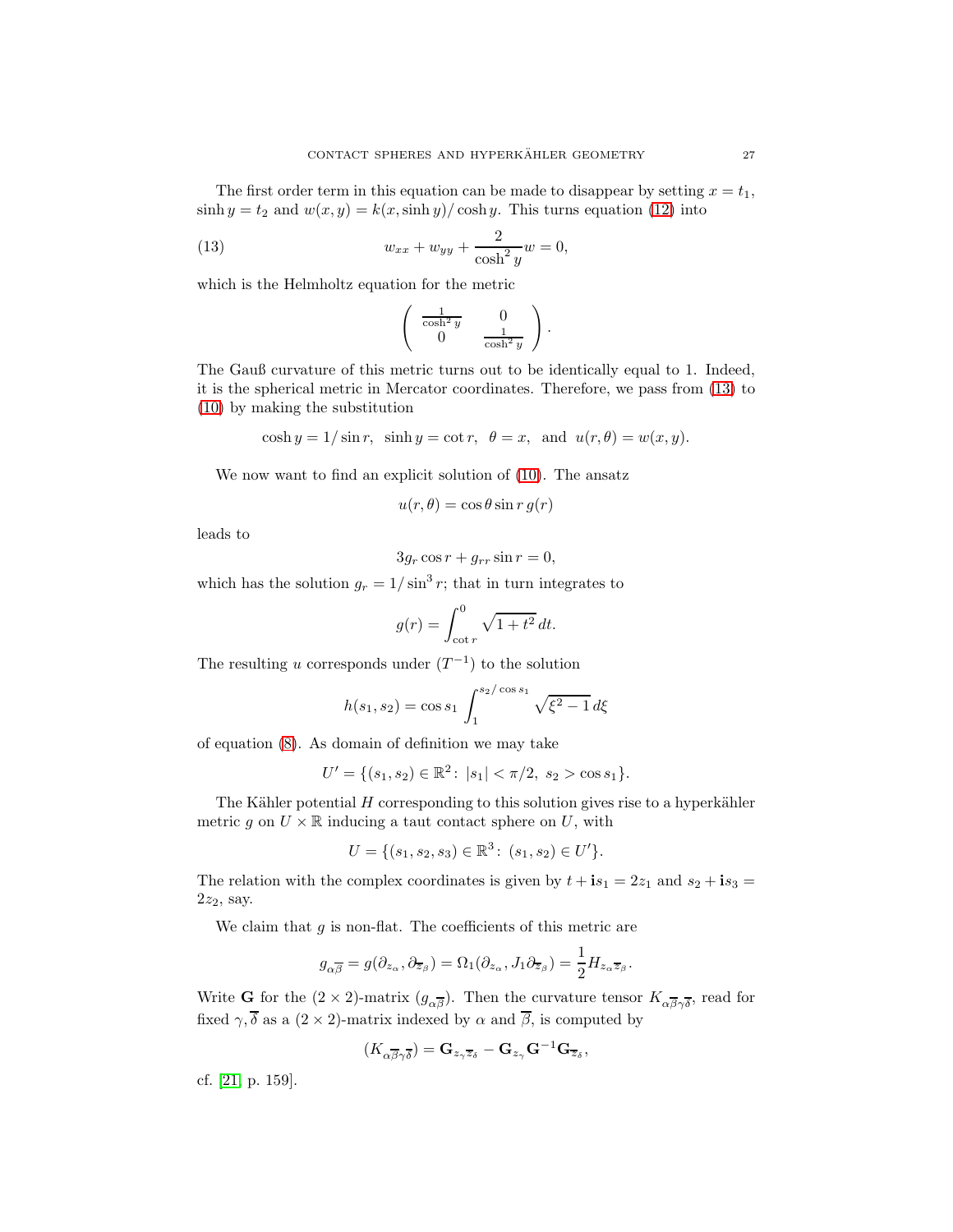The first order term in this equation can be made to disappear by setting  $x = t_1$ ,  $\sinh y = t_2$  and  $w(x, y) = k(x, \sinh y) / \cosh y$ . This turns equation [\(12\)](#page-25-1) into

(13) 
$$
w_{xx} + w_{yy} + \frac{2}{\cosh^2 y} w = 0,
$$

which is the Helmholtz equation for the metric

<span id="page-26-0"></span>
$$
\left(\begin{array}{cc} \frac{1}{\cosh^2 y} & 0\\ 0 & \frac{1}{\cosh^2 y} \end{array}\right).
$$

The Gauß curvature of this metric turns out to be identically equal to 1. Indeed, it is the spherical metric in Mercator coordinates. Therefore, we pass from [\(13\)](#page-26-0) to [\(10\)](#page-24-1) by making the substitution

$$
\cosh y = 1/\sin r, \quad \sinh y = \cot r, \quad \theta = x, \text{ and } u(r, \theta) = w(x, y).
$$

We now want to find an explicit solution of [\(10\)](#page-24-1). The ansatz

$$
u(r,\theta) = \cos\theta \sin r \, g(r)
$$

leads to

$$
3g_r \cos r + g_{rr} \sin r = 0,
$$

which has the solution  $g_r = 1/\sin^3 r$ ; that in turn integrates to

$$
g(r) = \int_{\cot r}^{0} \sqrt{1 + t^2} \, dt.
$$

The resulting u corresponds under  $(T^{-1})$  to the solution

$$
h(s_1, s_2) = \cos s_1 \int_1^{s_2/\cos s_1} \sqrt{\xi^2 - 1} \, d\xi
$$

of equation [\(8\)](#page-16-3). As domain of definition we may take

$$
U' = \{(s_1, s_2) \in \mathbb{R}^2 \colon |s_1| < \pi/2, \ s_2 > \cos s_1\}.
$$

The Kähler potential  $H$  corresponding to this solution gives rise to a hyperkähler metric g on  $U \times \mathbb{R}$  inducing a taut contact sphere on U, with

$$
U = \{(s_1, s_2, s_3) \in \mathbb{R}^3 \colon (s_1, s_2) \in U'\}.
$$

The relation with the complex coordinates is given by  $t + is_1 = 2z_1$  and  $s_2 + is_3 =$  $2z_2$ , say.

We claim that  $g$  is non-flat. The coefficients of this metric are

$$
g_{\alpha\overline{\beta}} = g(\partial_{z_{\alpha}}, \partial_{\overline{z}_{\beta}}) = \Omega_1(\partial_{z_{\alpha}}, J_1 \partial_{\overline{z}_{\beta}}) = \frac{1}{2} H_{z_{\alpha} \overline{z}_{\beta}}.
$$

Write **G** for the  $(2 \times 2)$ -matrix  $(g_{\alpha\overline{\beta}})$ . Then the curvature tensor  $K_{\alpha\overline{\beta}\gamma\overline{\delta}}$ , read for fixed  $\gamma$ ,  $\overline{\delta}$  as a (2 × 2)-matrix indexed by  $\alpha$  and  $\overline{\beta}$ , is computed by

$$
(K_{\alpha\overline{\beta}\gamma\overline{\delta}}) = \mathbf{G}_{z_{\gamma}\overline{z}_{\delta}} - \mathbf{G}_{z_{\gamma}}\mathbf{G}^{-1}\mathbf{G}_{\overline{z}_{\delta}},
$$

cf. [\[21,](#page-28-13) p. 159].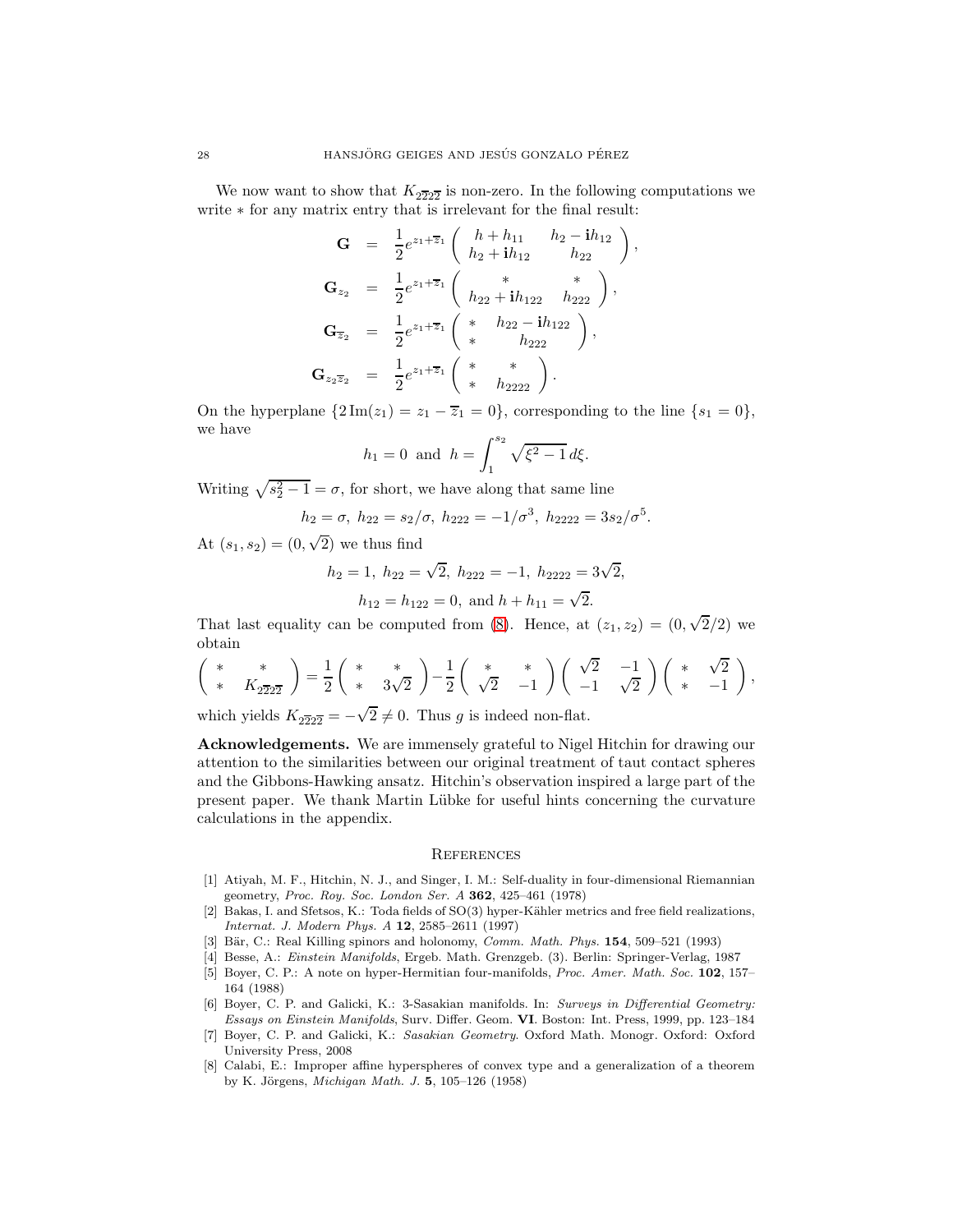We now want to show that  $K_{2\overline{2}2\overline{2}}$  is non-zero. In the following computations we write ∗ for any matrix entry that is irrelevant for the final result:

$$
\mathbf{G} = \frac{1}{2}e^{z_1 + \overline{z}_1} \begin{pmatrix} h + h_{11} & h_2 - \mathbf{i}h_{12} \\ h_2 + \mathbf{i}h_{12} & h_{22} \end{pmatrix},
$$
  
\n
$$
\mathbf{G}_{z_2} = \frac{1}{2}e^{z_1 + \overline{z}_1} \begin{pmatrix} * & * \\ h_{22} + \mathbf{i}h_{122} & h_{222} \end{pmatrix},
$$
  
\n
$$
\mathbf{G}_{\overline{z}_2} = \frac{1}{2}e^{z_1 + \overline{z}_1} \begin{pmatrix} * & h_{22} - \mathbf{i}h_{122} \\ * & h_{222} \end{pmatrix},
$$
  
\n
$$
\mathbf{G}_{z_2 \overline{z}_2} = \frac{1}{2}e^{z_1 + \overline{z}_1} \begin{pmatrix} * & * \\ * & h_{2222} \end{pmatrix}.
$$

On the hyperplane  $\{2 \text{Im}(z_1) = z_1 - \overline{z}_1 = 0\}$ , corresponding to the line  $\{s_1 = 0\}$ , we have

$$
h_1 = 0
$$
 and  $h = \int_1^{s_2} \sqrt{\xi^2 - 1} d\xi$ .

Writing  $\sqrt{s_2^2 - 1} = \sigma$ , for short, we have along that same line

$$
h_2 = \sigma
$$
,  $h_{22} = s_2/\sigma$ ,  $h_{222} = -1/\sigma^3$ ,  $h_{2222} = 3s_2/\sigma^5$ .

At  $(s_1, s_2) = (0, \sqrt{2})$  we thus find

$$
h_2 = 1
$$
,  $h_{22} = \sqrt{2}$ ,  $h_{222} = -1$ ,  $h_{2222} = 3\sqrt{2}$ ,  
 $h_{12} = h_{122} = 0$ , and  $h + h_{11} = \sqrt{2}$ .

$$
n_{12} = n_{122} = 0, \text{ and } n + n_{11} = \sqrt{2}.
$$

That last equality can be computed from [\(8\)](#page-16-3). Hence, at  $(z_1, z_2) = (0, \sqrt{2}/2)$  we obtain

$$
\begin{pmatrix} * & * \\ * & K_{2\overline{2}2\overline{2}} \end{pmatrix} = \frac{1}{2} \begin{pmatrix} * & * \\ * & 3\sqrt{2} \end{pmatrix} - \frac{1}{2} \begin{pmatrix} * & * \\ \sqrt{2} & -1 \end{pmatrix} \begin{pmatrix} \sqrt{2} & -1 \\ -1 & \sqrt{2} \end{pmatrix} \begin{pmatrix} * & \sqrt{2} \\ * & -1 \end{pmatrix},
$$

which yields  $K_{2\overline{2}2\overline{2}} = -\sqrt{2} \neq 0$ . Thus g is indeed non-flat.

Acknowledgements. We are immensely grateful to Nigel Hitchin for drawing our attention to the similarities between our original treatment of taut contact spheres and the Gibbons-Hawking ansatz. Hitchin's observation inspired a large part of the present paper. We thank Martin L¨ubke for useful hints concerning the curvature calculations in the appendix.

#### **REFERENCES**

- <span id="page-27-5"></span>[1] Atiyah, M. F., Hitchin, N. J., and Singer, I. M.: Self-duality in four-dimensional Riemannian geometry, Proc. Roy. Soc. London Ser. A 362, 425–461 (1978)
- <span id="page-27-0"></span>[2] Bakas, I. and Sfetsos, K.: Toda fields of SO(3) hyper-Kähler metrics and free field realizations, Internat. J. Modern Phys. A 12, 2585–2611 (1997)
- <span id="page-27-4"></span><span id="page-27-1"></span>[3] Bär, C.: Real Killing spinors and holonomy, Comm. Math. Phys. 154, 509-521 (1993)
- <span id="page-27-6"></span>[4] Besse, A.: Einstein Manifolds, Ergeb. Math. Grenzgeb. (3). Berlin: Springer-Verlag, 1987
- [5] Boyer, C. P.: A note on hyper-Hermitian four-manifolds, Proc. Amer. Math. Soc. 102, 157– 164 (1988)
- <span id="page-27-2"></span>[6] Boyer, C. P. and Galicki, K.: 3-Sasakian manifolds. In: Surveys in Differential Geometry: Essays on Einstein Manifolds, Surv. Differ. Geom. VI. Boston: Int. Press, 1999, pp. 123–184
- <span id="page-27-3"></span>[7] Boyer, C. P. and Galicki, K.: Sasakian Geometry. Oxford Math. Monogr. Oxford: Oxford University Press, 2008
- <span id="page-27-7"></span>[8] Calabi, E.: Improper affine hyperspheres of convex type and a generalization of a theorem by K. Jörgens, *Michigan Math. J.* 5, 105–126 (1958)